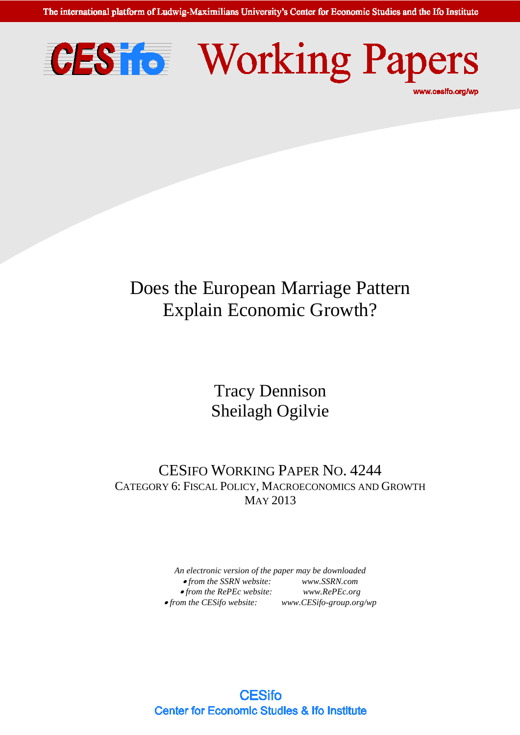The international platform of Ludwig-Maximilians University's Center for Economic Studies and the Ifo Institute





# Does the European Marriage Pattern Explain Economic Growth?

Tracy Dennison Sheilagh Ogilvie

CESIFO WORKING PAPER NO. 4244 CATEGORY 6: FISCAL POLICY, MACROECONOMICS AND GROWTH MAY 2013

> *An electronic version of the paper may be downloaded*  • *from the SSRN website: [www.SSRN.com](http://www.ssrn.com/)* • *from the RePEc website: [www.RePEc.org](http://www.repec.org/)*  $\bullet$  *from the CESifo website: [www.CESifo-group.org/wp](http://www.cesifo-group.de/)*

**CESifo Center for Economic Studies & Ifo Institute**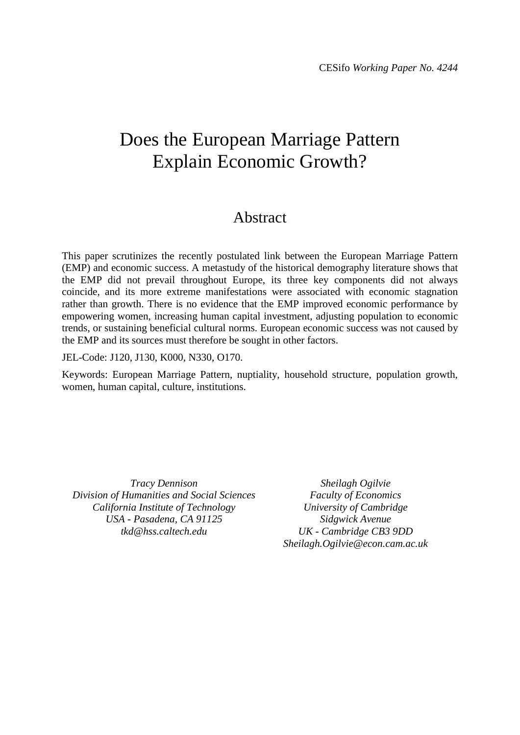## Does the European Marriage Pattern Explain Economic Growth?

### Abstract

This paper scrutinizes the recently postulated link between the European Marriage Pattern (EMP) and economic success. A metastudy of the historical demography literature shows that the EMP did not prevail throughout Europe, its three key components did not always coincide, and its more extreme manifestations were associated with economic stagnation rather than growth. There is no evidence that the EMP improved economic performance by empowering women, increasing human capital investment, adjusting population to economic trends, or sustaining beneficial cultural norms. European economic success was not caused by the EMP and its sources must therefore be sought in other factors.

JEL-Code: J120, J130, K000, N330, O170.

Keywords: European Marriage Pattern, nuptiality, household structure, population growth, women, human capital, culture, institutions.

*Tracy Dennison Division of Humanities and Social Sciences California Institute of Technology USA - Pasadena, CA 91125 tkd@hss.caltech.edu*

*Sheilagh Ogilvie Faculty of Economics University of Cambridge Sidgwick Avenue UK - Cambridge CB3 9DD Sheilagh.Ogilvie@econ.cam.ac.uk*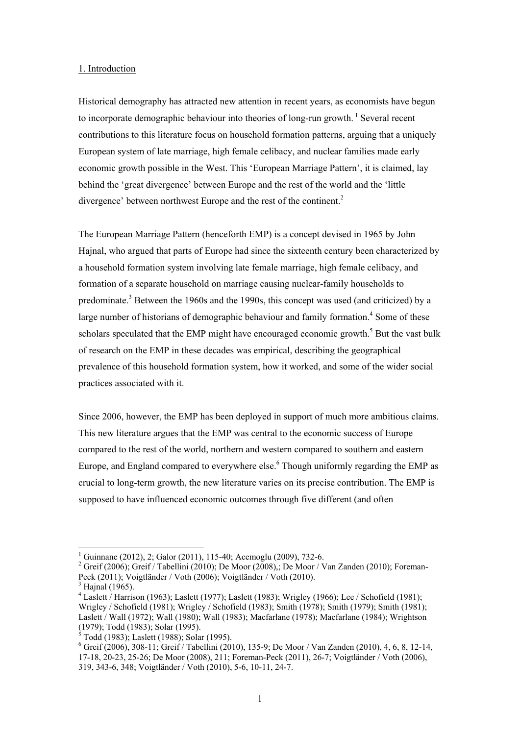#### 1. Introduction

Historical demography has attracted new attention in recent years, as economists have begun to incorporate demographic behaviour into theories of long-run growth.<sup>1</sup> Several recent contributions to this literature focus on household formation patterns, arguing that a uniquely European system of late marriage, high female celibacy, and nuclear families made early economic growth possible in the West. This 'European Marriage Pattern', it is claimed, lay behind the 'great divergence' between Europe and the rest of the world and the 'little divergence' between northwest Europe and the rest of the continent.<sup>2</sup>

The European Marriage Pattern (henceforth EMP) is a concept devised in 1965 by John Hajnal, who argued that parts of Europe had since the sixteenth century been characterized by a household formation system involving late female marriage, high female celibacy, and formation of a separate household on marriage causing nuclear-family households to predominate.<sup>3</sup> Between the 1960s and the 1990s, this concept was used (and criticized) by a large number of historians of demographic behaviour and family formation.<sup>4</sup> Some of these scholars speculated that the EMP might have encouraged economic growth.<sup>5</sup> But the vast bulk of research on the EMP in these decades was empirical, describing the geographical prevalence of this household formation system, how it worked, and some of the wider social practices associated with it.

Since 2006, however, the EMP has been deployed in support of much more ambitious claims. This new literature argues that the EMP was central to the economic success of Europe compared to the rest of the world, northern and western compared to southern and eastern Europe, and England compared to everywhere else.<sup>6</sup> Though uniformly regarding the EMP as crucial to long-term growth, the new literature varies on its precise contribution. The EMP is supposed to have influenced economic outcomes through five different (and often

<sup>1</sup> Guinnane (2012), 2; Galor (2011), 115-40; Acemoglu (2009), 732-6.

<sup>&</sup>lt;sup>2</sup> Greif (2006); Greif / Tabellini (2010); De Moor (2008),; De Moor / Van Zanden (2010); Foreman-Peck (2011); Voigtländer / Voth (2006); Voigtländer / Voth (2010).

 $<sup>3</sup>$  Hajnal (1965).</sup>

 $4$  Laslett / Harrison (1963); Laslett (1977); Laslett (1983); Wrigley (1966); Lee / Schofield (1981); Wrigley / Schofield (1981); Wrigley / Schofield (1983); Smith (1978); Smith (1979); Smith (1981); Laslett / Wall (1972); Wall (1980); Wall (1983); Macfarlane (1978); Macfarlane (1984); Wrightson  $(1979)$ ; Todd (1983); Solar (1995).<br>  $5 \text{ Todd } (1982)$ ; Loslatt (1988); Solar

Todd (1983); Laslett (1988); Solar (1995).

<sup>6</sup> Greif (2006), 308-11; Greif / Tabellini (2010), 135-9; De Moor / Van Zanden (2010), 4, 6, 8, 12-14, 17-18, 20-23, 25-26; De Moor (2008), 211; Foreman-Peck (2011), 26-7; Voigtländer / Voth (2006), 319, 343-6, 348; Voigtländer / Voth (2010), 5-6, 10-11, 24-7.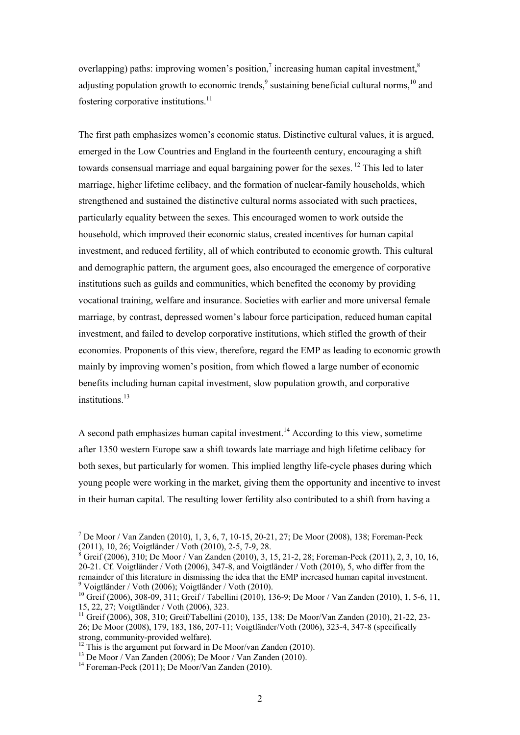overlapping) paths: improving women's position,<sup>7</sup> increasing human capital investment,<sup>8</sup> adjusting population growth to economic trends, $9$  sustaining beneficial cultural norms,  $10$  and fostering corporative institutions.<sup>11</sup>

The first path emphasizes women's economic status. Distinctive cultural values, it is argued, emerged in the Low Countries and England in the fourteenth century, encouraging a shift towards consensual marriage and equal bargaining power for the sexes. <sup>12</sup> This led to later marriage, higher lifetime celibacy, and the formation of nuclear-family households, which strengthened and sustained the distinctive cultural norms associated with such practices, particularly equality between the sexes. This encouraged women to work outside the household, which improved their economic status, created incentives for human capital investment, and reduced fertility, all of which contributed to economic growth. This cultural and demographic pattern, the argument goes, also encouraged the emergence of corporative institutions such as guilds and communities, which benefited the economy by providing vocational training, welfare and insurance. Societies with earlier and more universal female marriage, by contrast, depressed women's labour force participation, reduced human capital investment, and failed to develop corporative institutions, which stifled the growth of their economies. Proponents of this view, therefore, regard the EMP as leading to economic growth mainly by improving women's position, from which flowed a large number of economic benefits including human capital investment, slow population growth, and corporative institutions $13$ 

A second path emphasizes human capital investment.<sup>14</sup> According to this view, sometime after 1350 western Europe saw a shift towards late marriage and high lifetime celibacy for both sexes, but particularly for women. This implied lengthy life-cycle phases during which young people were working in the market, giving them the opportunity and incentive to invest in their human capital. The resulting lower fertility also contributed to a shift from having a

<sup>7</sup> De Moor / Van Zanden (2010), 1, 3, 6, 7, 10-15, 20-21, 27; De Moor (2008), 138; Foreman-Peck (2011), 10, 26; Voigtländer / Voth (2010), 2-5, 7-9, 28.<br><sup>8</sup> Greif (2006), 210: De Meer / Ven Zanden (2010), 2, 1

Greif (2006), 310; De Moor / Van Zanden (2010), 3, 15, 21-2, 28; Foreman-Peck (2011), 2, 3, 10, 16, 20-21. Cf. Voigtländer / Voth (2006), 347-8, and Voigtländer / Voth (2010), 5, who differ from the remainder of this literature in dismissing the idea that the EMP increased human capital investment. 9 Voigtländer / Voth (2006); Voigtländer / Voth (2010).

<sup>10</sup> Greif (2006), 308-09, 311; Greif / Tabellini (2010), 136-9; De Moor / Van Zanden (2010), 1, 5-6, 11, 15, 22, 27; Voigtländer / Voth (2006), 323.

<sup>11</sup> Greif (2006), 308, 310; Greif/Tabellini (2010), 135, 138; De Moor/Van Zanden (2010), 21-22, 23- 26; De Moor (2008), 179, 183, 186, 207-11; Voigtländer/Voth (2006), 323-4, 347-8 (specifically strong, community-provided welfare).

 $12$  This is the argument put forward in De Moor/van Zanden (2010).

<sup>13</sup> De Moor / Van Zanden (2006); De Moor / Van Zanden (2010).

 $14$  Foreman-Peck (2011); De Moor/Van Zanden (2010).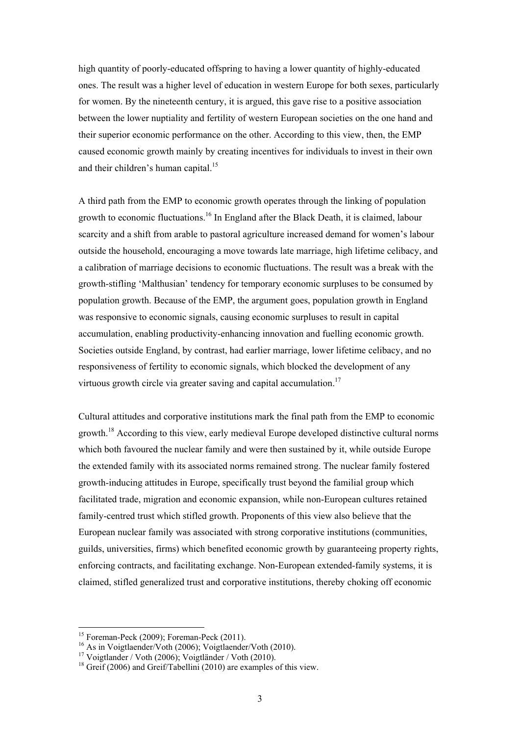high quantity of poorly-educated offspring to having a lower quantity of highly-educated ones. The result was a higher level of education in western Europe for both sexes, particularly for women. By the nineteenth century, it is argued, this gave rise to a positive association between the lower nuptiality and fertility of western European societies on the one hand and their superior economic performance on the other. According to this view, then, the EMP caused economic growth mainly by creating incentives for individuals to invest in their own and their children's human capital.<sup>15</sup>

A third path from the EMP to economic growth operates through the linking of population growth to economic fluctuations.<sup>16</sup> In England after the Black Death, it is claimed, labour scarcity and a shift from arable to pastoral agriculture increased demand for women's labour outside the household, encouraging a move towards late marriage, high lifetime celibacy, and a calibration of marriage decisions to economic fluctuations. The result was a break with the growth-stifling 'Malthusian' tendency for temporary economic surpluses to be consumed by population growth. Because of the EMP, the argument goes, population growth in England was responsive to economic signals, causing economic surpluses to result in capital accumulation, enabling productivity-enhancing innovation and fuelling economic growth. Societies outside England, by contrast, had earlier marriage, lower lifetime celibacy, and no responsiveness of fertility to economic signals, which blocked the development of any virtuous growth circle via greater saving and capital accumulation.<sup>17</sup>

Cultural attitudes and corporative institutions mark the final path from the EMP to economic growth.<sup>18</sup> According to this view, early medieval Europe developed distinctive cultural norms which both favoured the nuclear family and were then sustained by it, while outside Europe the extended family with its associated norms remained strong. The nuclear family fostered growth-inducing attitudes in Europe, specifically trust beyond the familial group which facilitated trade, migration and economic expansion, while non-European cultures retained family-centred trust which stifled growth. Proponents of this view also believe that the European nuclear family was associated with strong corporative institutions (communities, guilds, universities, firms) which benefited economic growth by guaranteeing property rights, enforcing contracts, and facilitating exchange. Non-European extended-family systems, it is claimed, stifled generalized trust and corporative institutions, thereby choking off economic

 $\overline{\phantom{a}}$ 

<sup>&</sup>lt;sup>15</sup> Foreman-Peck (2009): Foreman-Peck (2011).

<sup>&</sup>lt;sup>16</sup> As in Voigtlaender/Voth (2006); Voigtlaender/Voth (2010).

<sup>17</sup> Voigtlander / Voth (2006); Voigtländer / Voth (2010).

<sup>&</sup>lt;sup>18</sup> Greif (2006) and Greif/Tabellini (2010) are examples of this view.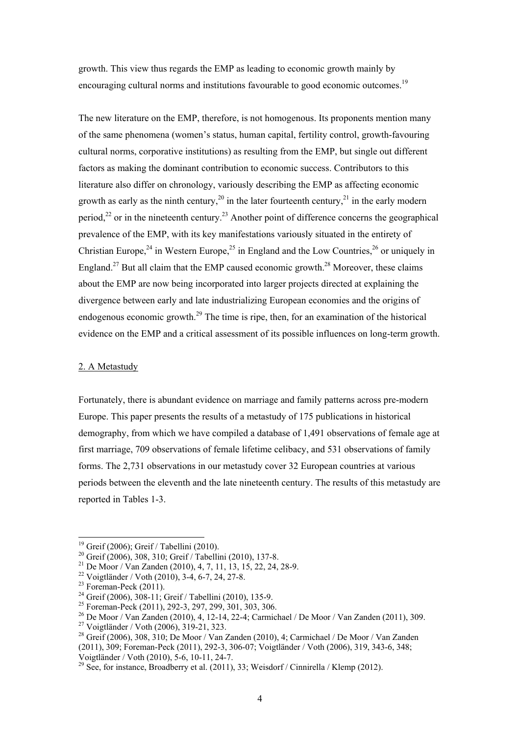growth. This view thus regards the EMP as leading to economic growth mainly by encouraging cultural norms and institutions favourable to good economic outcomes.<sup>19</sup>

The new literature on the EMP, therefore, is not homogenous. Its proponents mention many of the same phenomena (women's status, human capital, fertility control, growth-favouring cultural norms, corporative institutions) as resulting from the EMP, but single out different factors as making the dominant contribution to economic success. Contributors to this literature also differ on chronology, variously describing the EMP as affecting economic growth as early as the ninth century,<sup>20</sup> in the later fourteenth century,<sup>21</sup> in the early modern period.<sup>22</sup> or in the nineteenth century.<sup>23</sup> Another point of difference concerns the geographical prevalence of the EMP, with its key manifestations variously situated in the entirety of Christian Europe,  $24$  in Western Europe,  $25$  in England and the Low Countries,  $26$  or uniquely in England.<sup>27</sup> But all claim that the EMP caused economic growth.<sup>28</sup> Moreover, these claims about the EMP are now being incorporated into larger projects directed at explaining the divergence between early and late industrializing European economies and the origins of endogenous economic growth.<sup>29</sup> The time is ripe, then, for an examination of the historical evidence on the EMP and a critical assessment of its possible influences on long-term growth.

#### 2. A Metastudy

Fortunately, there is abundant evidence on marriage and family patterns across pre-modern Europe. This paper presents the results of a metastudy of 175 publications in historical demography, from which we have compiled a database of 1,491 observations of female age at first marriage, 709 observations of female lifetime celibacy, and 531 observations of family forms. The 2,731 observations in our metastudy cover 32 European countries at various periods between the eleventh and the late nineteenth century. The results of this metastudy are reported in Tables 1-3.

 $\overline{\phantom{a}}$ 

<sup>&</sup>lt;sup>19</sup> Greif (2006); Greif / Tabellini (2010).

<sup>&</sup>lt;sup>20</sup> Greif (2006), 308, 310; Greif / Tabellini (2010), 137-8.

<sup>&</sup>lt;sup>21</sup> De Moor / Van Zanden (2010), 4, 7, 11, 13, 15, 22, 24, 28-9.

 $22 \text{ Vojgtländer}$  / Voth (2010), 3-4, 6-7, 24, 27-8.

 $23$  Foreman-Peck (2011).

<sup>24</sup> Greif (2006), 308-11; Greif / Tabellini (2010), 135-9.

<sup>25</sup> Foreman-Peck (2011), 292-3, 297, 299, 301, 303, 306.

<sup>26</sup> De Moor / Van Zanden (2010), 4, 12-14, 22-4; Carmichael / De Moor / Van Zanden (2011), 309.

<sup>27</sup> Voigtländer / Voth (2006), 319-21, 323.

<sup>&</sup>lt;sup>28</sup> Greif (2006), 308, 310; De Moor / Van Zanden (2010), 4; Carmichael / De Moor / Van Zanden

<sup>(2011), 309;</sup> Foreman-Peck (2011), 292-3, 306-07; Voigtländer / Voth (2006), 319, 343-6, 348; Voigtländer / Voth (2010), 5-6, 10-11, 24-7.

<sup>&</sup>lt;sup>29</sup> See, for instance, Broadberry et al. (2011), 33; Weisdorf / Cinnirella / Klemp (2012).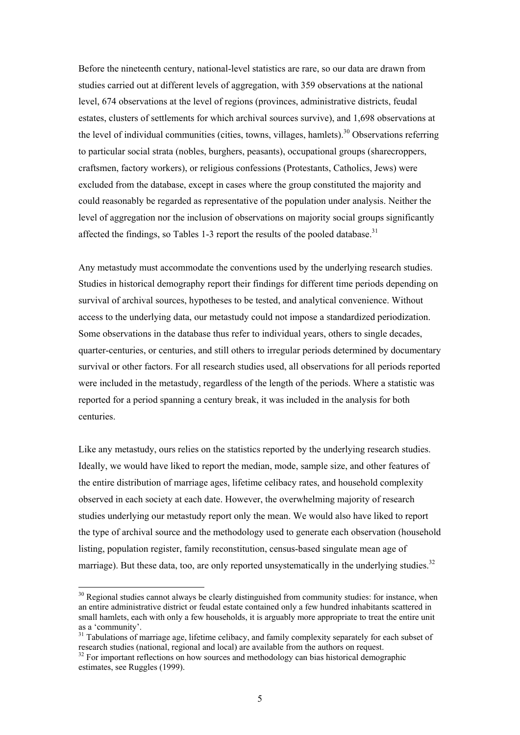Before the nineteenth century, national-level statistics are rare, so our data are drawn from studies carried out at different levels of aggregation, with 359 observations at the national level, 674 observations at the level of regions (provinces, administrative districts, feudal estates, clusters of settlements for which archival sources survive), and 1,698 observations at the level of individual communities (cities, towns, villages, hamlets).<sup>30</sup> Observations referring to particular social strata (nobles, burghers, peasants), occupational groups (sharecroppers, craftsmen, factory workers), or religious confessions (Protestants, Catholics, Jews) were excluded from the database, except in cases where the group constituted the majority and could reasonably be regarded as representative of the population under analysis. Neither the level of aggregation nor the inclusion of observations on majority social groups significantly affected the findings, so Tables 1-3 report the results of the pooled database.<sup>31</sup>

Any metastudy must accommodate the conventions used by the underlying research studies. Studies in historical demography report their findings for different time periods depending on survival of archival sources, hypotheses to be tested, and analytical convenience. Without access to the underlying data, our metastudy could not impose a standardized periodization. Some observations in the database thus refer to individual years, others to single decades, quarter-centuries, or centuries, and still others to irregular periods determined by documentary survival or other factors. For all research studies used, all observations for all periods reported were included in the metastudy, regardless of the length of the periods. Where a statistic was reported for a period spanning a century break, it was included in the analysis for both centuries.

Like any metastudy, ours relies on the statistics reported by the underlying research studies. Ideally, we would have liked to report the median, mode, sample size, and other features of the entire distribution of marriage ages, lifetime celibacy rates, and household complexity observed in each society at each date. However, the overwhelming majority of research studies underlying our metastudy report only the mean. We would also have liked to report the type of archival source and the methodology used to generate each observation (household listing, population register, family reconstitution, census-based singulate mean age of marriage). But these data, too, are only reported unsystematically in the underlying studies.<sup>32</sup>

<sup>&</sup>lt;sup>30</sup> Regional studies cannot always be clearly distinguished from community studies: for instance, when an entire administrative district or feudal estate contained only a few hundred inhabitants scattered in small hamlets, each with only a few households, it is arguably more appropriate to treat the entire unit as a 'community'.

<sup>&</sup>lt;sup>31</sup> Tabulations of marriage age, lifetime celibacy, and family complexity separately for each subset of research studies (national, regional and local) are available from the authors on request.<br><sup>32</sup> For important reflections on how sources and methodology can bias historical demographic

estimates, see Ruggles (1999).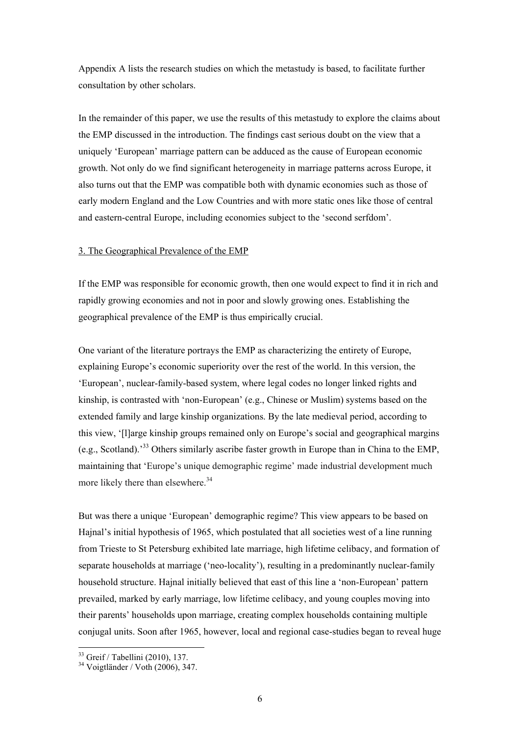Appendix A lists the research studies on which the metastudy is based, to facilitate further consultation by other scholars.

In the remainder of this paper, we use the results of this metastudy to explore the claims about the EMP discussed in the introduction. The findings cast serious doubt on the view that a uniquely 'European' marriage pattern can be adduced as the cause of European economic growth. Not only do we find significant heterogeneity in marriage patterns across Europe, it also turns out that the EMP was compatible both with dynamic economies such as those of early modern England and the Low Countries and with more static ones like those of central and eastern-central Europe, including economies subject to the 'second serfdom'.

#### 3. The Geographical Prevalence of the EMP

If the EMP was responsible for economic growth, then one would expect to find it in rich and rapidly growing economies and not in poor and slowly growing ones. Establishing the geographical prevalence of the EMP is thus empirically crucial.

One variant of the literature portrays the EMP as characterizing the entirety of Europe, explaining Europe's economic superiority over the rest of the world. In this version, the 'European', nuclear-family-based system, where legal codes no longer linked rights and kinship, is contrasted with 'non-European' (e.g., Chinese or Muslim) systems based on the extended family and large kinship organizations. By the late medieval period, according to this view, '[l]arge kinship groups remained only on Europe's social and geographical margins (e.g., Scotland).'33 Others similarly ascribe faster growth in Europe than in China to the EMP, maintaining that 'Europe's unique demographic regime' made industrial development much more likely there than elsewhere.<sup>34</sup>

But was there a unique 'European' demographic regime? This view appears to be based on Hajnal's initial hypothesis of 1965, which postulated that all societies west of a line running from Trieste to St Petersburg exhibited late marriage, high lifetime celibacy, and formation of separate households at marriage ('neo-locality'), resulting in a predominantly nuclear-family household structure. Hajnal initially believed that east of this line a 'non-European' pattern prevailed, marked by early marriage, low lifetime celibacy, and young couples moving into their parents' households upon marriage, creating complex households containing multiple conjugal units. Soon after 1965, however, local and regional case-studies began to reveal huge

<sup>33</sup> Greif / Tabellini (2010), 137.

 $34$  Voigtländer / Voth (2006), 347.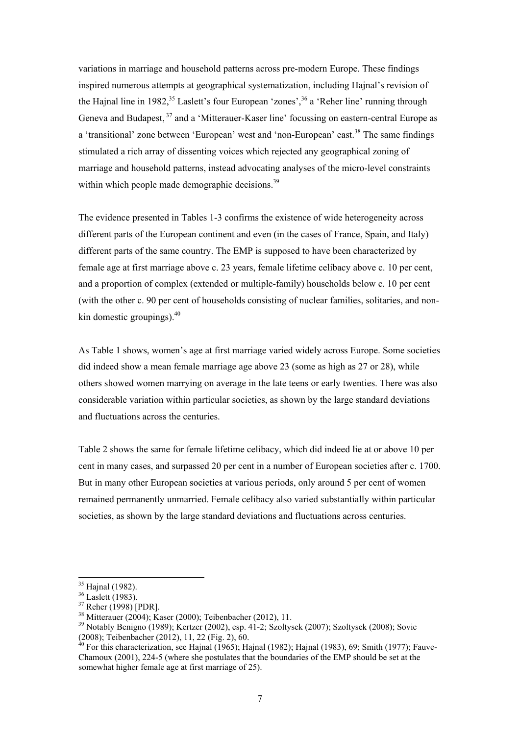variations in marriage and household patterns across pre-modern Europe. These findings inspired numerous attempts at geographical systematization, including Hajnal's revision of the Hajnal line in 1982,  $35$  Laslett's four European 'zones',  $36$  a 'Reher line' running through Geneva and Budapest, <sup>37</sup> and a 'Mitterauer-Kaser line' focussing on eastern-central Europe as a 'transitional' zone between 'European' west and 'non-European' east.<sup>38</sup> The same findings stimulated a rich array of dissenting voices which rejected any geographical zoning of marriage and household patterns, instead advocating analyses of the micro-level constraints within which people made demographic decisions.<sup>39</sup>

The evidence presented in Tables 1-3 confirms the existence of wide heterogeneity across different parts of the European continent and even (in the cases of France, Spain, and Italy) different parts of the same country. The EMP is supposed to have been characterized by female age at first marriage above c. 23 years, female lifetime celibacy above c. 10 per cent, and a proportion of complex (extended or multiple-family) households below c. 10 per cent (with the other c. 90 per cent of households consisting of nuclear families, solitaries, and nonkin domestic groupings). $40$ 

As Table 1 shows, women's age at first marriage varied widely across Europe. Some societies did indeed show a mean female marriage age above 23 (some as high as 27 or 28), while others showed women marrying on average in the late teens or early twenties. There was also considerable variation within particular societies, as shown by the large standard deviations and fluctuations across the centuries.

Table 2 shows the same for female lifetime celibacy, which did indeed lie at or above 10 per cent in many cases, and surpassed 20 per cent in a number of European societies after c. 1700. But in many other European societies at various periods, only around 5 per cent of women remained permanently unmarried. Female celibacy also varied substantially within particular societies, as shown by the large standard deviations and fluctuations across centuries.

<sup>&</sup>lt;sup>35</sup> Hajnal (1982).

<sup>&</sup>lt;sup>36</sup> Laslett (1983).

 $^{37}$  Reher (1998) [PDR].<br><sup>38</sup> Mitterauer (2004); Kaser (2000); Teibenbacher (2012), 11.

<sup>&</sup>lt;sup>39</sup> Notably Benigno (1989); Kertzer (2002), esp. 41-2; Szoltysek (2007); Szoltysek (2008); Sovic (2008); Teibenbacher (2012), 11, 22 (Fig. 2), 60.

 $40$  For this characterization, see Hajnal (1965); Hajnal (1982); Hajnal (1983), 69; Smith (1977); Fauve-Chamoux (2001), 224-5 (where she postulates that the boundaries of the EMP should be set at the somewhat higher female age at first marriage of 25).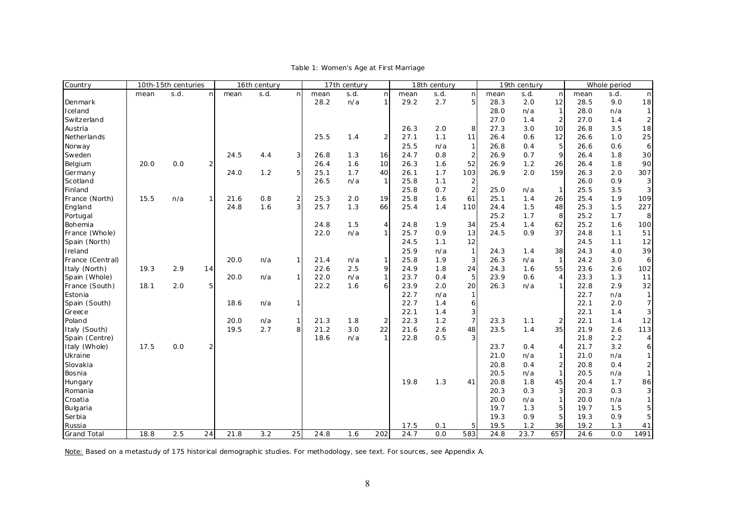| Country            | 10th-15th centuries |      | 16th century   |      |      | 17th century   |      |      | 18th century   |              |            | 19th century   |              |      | Whole period        |              |      |                  |
|--------------------|---------------------|------|----------------|------|------|----------------|------|------|----------------|--------------|------------|----------------|--------------|------|---------------------|--------------|------|------------------|
|                    | mean                | s.d. | n              | mean | s.d. | <sub>n</sub>   | mean | s.d. | nl             | mean         | s.d.       | n              | mean         | s.d. | n                   | mean         | s.d. | n                |
| Denmark            |                     |      |                |      |      |                | 28.2 | n/a  |                | 29.2         | 2.7        | 5              | 28.3         | 2.0  | 12                  | 28.5         | 9.0  | 18               |
| Iceland            |                     |      |                |      |      |                |      |      |                |              |            |                | 28.0         | n/a  | $\mathbf{1}$        | 28.0         | n/a  | $\mathbf{1}$     |
| Switzerland        |                     |      |                |      |      |                |      |      |                |              |            |                | 27.0         | 1.4  | $\overline{2}$      | 27.0         | 1.4  | $\overline{2}$   |
| Austria            |                     |      |                |      |      |                |      |      |                | 26.3         | 2.0        | 8              | 27.3         | 3.0  | 10 <sup>1</sup>     | 26.8         | 3.5  | 18               |
| Netherlands        |                     |      |                |      |      |                | 25.5 | 1.4  | $\overline{2}$ | 27.1         | 1.1        | 11             | 26.4         | 0.6  | 12                  | 26.6         | 1.0  | 25               |
| Norway             |                     |      |                |      |      |                |      |      |                | 25.5         | n/a        | $\mathbf{1}$   | 26.8         | O.4  | 5                   | 26.6         | 0.6  | 6                |
| Sweden             |                     |      |                | 24.5 | 4.4  | $\overline{3}$ | 26.8 | 1.3  | 16             | 24.7         | 0.8        | $\overline{2}$ | 26.9         | 0.7  | 9                   | 26.4         | 1.8  | 30               |
| Belgium            | 20.0                | 0.0  | $\overline{2}$ |      |      |                | 26.4 | 1.6  | 10             | 26.3         | 1.6        | 52             | 26.9         | 1.2  | 26                  | 26.4         | 1.8  | 90               |
| Germany            |                     |      |                | 24.0 | 1.2  | 5 <sub>l</sub> | 25.1 | 1.7  | 40             | 26.1         | 1.7        | 103            | 26.9         | 2.0  | 159                 | 26.3         | 2.0  | 307              |
| Scotland           |                     |      |                |      |      |                | 26.5 | n/a  | $1\vert$       | 25.8         | 1.1        | $\overline{c}$ |              |      |                     | 26.0         | 0.9  | 3 <sup>1</sup>   |
| Finland            |                     |      |                |      |      |                |      |      |                | 25.8         | 0.7        | $\overline{2}$ | 25.0         | n/a  | $\mathbf{1}$        | 25.5         | 3.5  | 3 <sup>l</sup>   |
| France (North)     | 15.5                | n/a  | 1              | 21.6 | 0.8  | $\overline{2}$ | 25.3 | 2.0  | 19             | 25.8         | 1.6        | 61             | 25.1         | 1.4  | 26                  | 25.4         | 1.9  | 109              |
| England            |                     |      |                | 24.8 | 1.6  | 31             | 25.7 | 1.3  | 66             | 25.4         | 1.4        | 110            | 24.4         | 1.5  | 48                  | 25.3         | 1.5  | 227              |
| Portugal           |                     |      |                |      |      |                |      |      |                |              |            |                | 25.2         | 1.7  | 8                   | 25.2         | 1.7  | 8                |
| Bohemia            |                     |      |                |      |      |                | 24.8 | 1.5  | $\overline{4}$ | 24.8         | 1.9        | 34             | 25.4         | 1.4  | 62                  | 25.2         | 1.6  | 100              |
| France (Whole)     |                     |      |                |      |      |                | 22.0 | n/a  |                | 25.7         | 0.9        | 13             | 24.5         | 0.9  | 37                  | 24.8         | 1.1  | 51               |
| Spain (North)      |                     |      |                |      |      |                |      |      |                | 24.5         | 1.1        | 12             |              |      |                     | 24.5         | 1.1  | 12               |
| Ireland            |                     |      |                |      |      |                |      |      |                | 25.9         | n/a        | $\overline{1}$ | 24.3         | 1.4  | 38                  | 24.3         | 4.0  | 39               |
| France (Central)   |                     |      |                | 20.0 | n/a  |                | 21.4 | n/a  | 1              | 25.8         | 1.9        | 3              | 26.3         | n/a  | $\mathbf{1}$        | 24.2         | 3.0  | $6 \mid$         |
| Italy (North)      | 19.3                | 2.9  | 14             |      |      |                | 22.6 | 2.5  | 9              | 24.9         | 1.8        | 24             | 24.3         | 1.6  | 55                  | 23.6         | 2.6  | 102              |
| Spain (Whole)      |                     |      |                | 20.0 | n/a  | 1 <sup>1</sup> | 22.0 | n/a  | 1 <sup>1</sup> | 23.7         | 0.4        | 5              | 23.9         | 0.6  | $\overline{4}$      | 23.3         | 1.3  | 11               |
| France (South)     | 18.1                | 2.0  | 5 <sub>l</sub> |      |      |                | 22.2 | 1.6  | $6 \mid$       | 23.9         | 2.0        | 20             | 26.3         | n/a  | 1                   | 22.8         | 2.9  | 32               |
| Estonia            |                     |      |                |      |      |                |      |      |                | 22.7         | n/a        | $\mathbf{1}$   |              |      |                     | 22.7         | n/a  | $\vert$ 1        |
| Spain (South)      |                     |      |                | 18.6 | n/a  |                |      |      |                | 22.7         | 1.4        | 6              |              |      |                     | 22.1         | 2.0  | 7 <sup>1</sup>   |
| Greece             |                     |      |                |      |      |                |      |      |                | 22.1         | 1.4        | 3              |              |      |                     | 22.1         | 1.4  | 3 <sup>1</sup>   |
| Poland             |                     |      |                | 20.0 | n/a  | 1 I            | 21.3 | 1.8  | $\overline{2}$ | 22.3         | 1.2        | $\overline{7}$ | 23.3         | 1.1  | $\overline{2}$      | 22.1         | 1.4  | 12               |
| Italy (South)      |                     |      |                | 19.5 | 2.7  | 8              | 21.2 | 3.0  | 22             | 21.6         | 2.6        | 48             | 23.5         | 1.4  | 35                  | 21.9         | 2.6  | 113              |
| Spain (Centre)     |                     |      |                |      |      |                | 18.6 | n/a  |                | 22.8         | 0.5        | $\overline{3}$ |              |      |                     | 21.8         | 2.2  | $\overline{4}$   |
| Italy (Whole)      | 17.5                | 0.0  | 2              |      |      |                |      |      |                |              |            |                | 23.7         | 0.4  | 4                   | 21.7         | 3.2  | $6 \overline{6}$ |
| Ukraine            |                     |      |                |      |      |                |      |      |                |              |            |                | 21.0         | n/a  | 1                   | 21.0         | n/a  | 1                |
| Slovakia           |                     |      |                |      |      |                |      |      |                |              |            |                | 20.8         | 0.4  | $\mathbf{2}$        | 20.8         | 0.4  | $2 \mid$         |
| Bosnia             |                     |      |                |      |      |                |      |      |                |              |            |                | 20.5         | n/a  | $\mathbf{1}$        | 20.5         | n/a  | 1                |
|                    |                     |      |                |      |      |                |      |      |                | 19.8         | 1.3        | 41             | 20.8         | 1.8  | 45                  | 20.4         | 1.7  | 86               |
| Hungary<br>Romania |                     |      |                |      |      |                |      |      |                |              |            |                | 20.3         | 0.3  | $\overline{3}$      | 20.3         | 0.3  | 3 <sup>1</sup>   |
| Croatia            |                     |      |                |      |      |                |      |      |                |              |            |                | 20.0         | n/a  | $\mathbf{1}$        | 20.0         | n/a  | 1                |
|                    |                     |      |                |      |      |                |      |      |                |              |            |                | 19.7         | 1.3  |                     | 19.7         | 1.5  |                  |
| Bulgaria<br>Serbia |                     |      |                |      |      |                |      |      |                |              |            |                | 19.3         | 0.9  | 5<br>5 <sup>1</sup> | 19.3         | 0.9  | 5<br>5           |
|                    |                     |      |                |      |      |                |      |      |                |              |            |                |              | 1.2  |                     |              | 1.3  |                  |
| Russia             | 18.8                | 2.5  | 24             | 21.8 | 3.2  | 25             | 24.8 | 1.6  | 202            | 17.5<br>24.7 | 0.1<br>0.0 | 5<br>583       | 19.5<br>24.8 | 23.7 | 36<br>657           | 19.2<br>24.6 | 0.0  | 41<br>1491       |
| <b>Grand Total</b> |                     |      |                |      |      |                |      |      |                |              |            |                |              |      |                     |              |      |                  |

Table 1: Women's Age at First Marriage

Note: Based on a metastudy of 175 historical demographic studies. For methodology, see text. For sources, see Appendix A.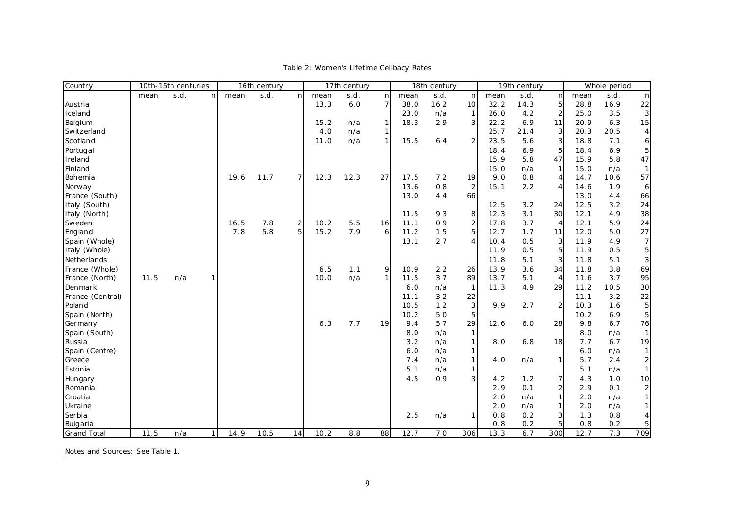| s.d.<br>s.d.<br>s.d.<br>s.d.<br>s.d.<br>mean<br>mean<br>n<br>mean<br>nl<br>mean<br>n<br>mean<br>n.<br>mean<br>n<br>n<br>13.3<br>6.0<br>$\overline{7}$<br>38.0<br>16.2<br>32.2<br>14.3<br>5<br>28.8<br>16.9<br>22<br>10<br>Austria<br>2<br>4.2<br>25.0<br>3.5<br>Iceland<br>23.0<br>n/a<br>$\mathbf{1}$<br>26.0<br>3<br>2.9<br>$\overline{3}$<br>11<br>6.3<br>15<br>Belgium<br>15.2<br>18.3<br>22.2<br>6.9<br>20.9<br>$\mathbf{1}$<br>n/a<br>4.0<br>25.7<br>3<br>20.5<br>Switzerland<br>n/a<br>1<br>21.4<br>20.3<br>4<br>1 <sup>1</sup><br>3<br>Scotland<br>11.0<br>15.5<br>$\overline{2}$<br>23.5<br>5.6<br>n/a<br>6.4<br>18.8<br>7.1<br>6<br>5<br>5<br>Portugal<br>18.4<br>6.9<br>6.9<br>18.4<br>5.8<br>47<br>5.8<br>47<br>Ireland<br>15.9<br>15.9<br>Finland<br>15.0<br>$\mathbf{1}$<br>15.0<br>n/a<br>n/a<br>57<br>Bohemia<br>$\overline{7}$<br>12.3<br>27<br>9.0<br>0.8<br>4<br>14.7<br>10.6<br>19.6<br>11.7<br>12.3<br>17.5<br>7.2<br>19<br>13.6<br>0.8<br>$\overline{2}$<br>15.1<br>1.9<br>2.2<br>4<br>14.6<br>Norway<br>6<br>66<br>66<br>France (South)<br>13.0<br>4.4<br>13.0<br>4.4<br>24<br>Italy (South)<br>12.5<br>3.2<br>12.5<br>3.2<br>24<br>30<br>38<br>Italy (North)<br>11.5<br>9.3<br>12.3<br>3.1<br>12.1<br>4.9<br>8<br>$\overline{a}$<br>5.5<br>0.9<br>3.7<br>5.9<br>24<br>Sweden<br>16.5<br>7.8<br>$\frac{2}{5}$<br>10.2<br>16<br>11.1<br>17.8<br>4<br>12.1<br>$\overline{5}$<br>7.8<br>5.8<br>15.2<br>7.9<br>$6 \mid$<br>27<br>England<br>11.2<br>1.5<br>12.7<br>1.7<br>12.0<br>5.0<br>11<br>$\overline{4}$<br>3<br>7<br>Spain (Whole)<br>2.7<br>0.5<br>4.9<br>13.1<br>10.4<br>11.9<br>5<br>5<br>0.5<br>0.5<br>Italy (Whole)<br>11.9<br>11.9<br>3<br>3<br>Netherlands<br>11.8<br>5.1<br>11.8<br>5.1<br>69<br>France (Whole)<br>6.5<br>1.1<br>9<br>10.9<br>2.2<br>13.9<br>3.6<br>34<br>11.8<br>3.8<br>26<br>1 <sup>1</sup><br>89<br>95<br>France (North)<br>11.5<br>10.0<br>n/a<br>11.5<br>3.7<br>13.7<br>3.7<br>n/a<br>5.1<br>$\overline{4}$<br>11.6<br>29<br>10.5<br>30<br>6.0<br>11.3<br>4.9<br>11.2<br>Denmark<br>n/a<br>$\mathbf{1}$<br>22<br>France (Central)<br>11.1<br>3.2<br>22<br>11.1<br>3.2<br>$\sqrt{3}$<br>5<br>1.2<br>$\mathbf 2$<br>1.6<br>Poland<br>10.5<br>9.9<br>2.7<br>10.3<br>5<br>5.0<br>5<br>10.2<br>10.2<br>6.9<br>Spain (North)<br>5.7<br>29<br>6.7<br>6.3<br>7.7<br>19<br>9.4<br>28<br>9.8<br>76<br>Germany<br>12.6<br>6.0<br>Spain (South)<br>8.0<br>n/a<br>8.0<br>n/a<br>$\mathbf{1}$<br>1<br>19<br>1<br>7.7<br>6.7<br>Russia<br>3.2<br>n/a<br>8.0<br>6.8<br>18<br>6.0<br>$\mathbf{1}$<br>Spain (Centre)<br>n/a<br>6.0<br>n/a<br>$\mathbf{1}$<br>5.7<br>$\overline{\mathbf{c}}$<br>Greece<br>7.4<br>4.0<br>1<br>2.4<br>n/a<br>n/a<br>$\mathbf{1}$<br>Estonia<br>5.1<br>n/a<br>$\mathbf{1}$<br>5.1<br>n/a<br>4.5<br>$\overline{3}$<br>10<br>0.9<br>1.2<br>7<br>4.3<br>1.0<br>Hungary<br>4.2<br>$\overline{\mathbf{c}}$<br>0.1<br>2<br>Romania<br>2.9<br>0.1<br>2.9<br>$\mathbf{1}$<br>1<br>n/a<br>2.0<br>n/a<br>Croatia<br>2.0<br>Ukraine<br>n/a<br>$\mathbf{1}$<br>n/a<br>2.0<br>2.0<br>Serbia<br>3<br>2.5<br>0.8<br>0.2<br>1.3<br>0.8<br>n/a<br>$\mathbf{1}$ | Country  | 10th-15th centuries |      | 16th century |  |  | 17th century |  |  | 18th century |  |  | 19th century |     |   | Whole period |     |  |
|---------------------------------------------------------------------------------------------------------------------------------------------------------------------------------------------------------------------------------------------------------------------------------------------------------------------------------------------------------------------------------------------------------------------------------------------------------------------------------------------------------------------------------------------------------------------------------------------------------------------------------------------------------------------------------------------------------------------------------------------------------------------------------------------------------------------------------------------------------------------------------------------------------------------------------------------------------------------------------------------------------------------------------------------------------------------------------------------------------------------------------------------------------------------------------------------------------------------------------------------------------------------------------------------------------------------------------------------------------------------------------------------------------------------------------------------------------------------------------------------------------------------------------------------------------------------------------------------------------------------------------------------------------------------------------------------------------------------------------------------------------------------------------------------------------------------------------------------------------------------------------------------------------------------------------------------------------------------------------------------------------------------------------------------------------------------------------------------------------------------------------------------------------------------------------------------------------------------------------------------------------------------------------------------------------------------------------------------------------------------------------------------------------------------------------------------------------------------------------------------------------------------------------------------------------------------------------------------------------------------------------------------------------------------------------------------------------------------------------------------------------------------------------------------------------------------------------------------------------------------------------------------------------------------------------------------------------------------------------------------------------------------------------------------------------------------------------------------------------------|----------|---------------------|------|--------------|--|--|--------------|--|--|--------------|--|--|--------------|-----|---|--------------|-----|--|
|                                                                                                                                                                                                                                                                                                                                                                                                                                                                                                                                                                                                                                                                                                                                                                                                                                                                                                                                                                                                                                                                                                                                                                                                                                                                                                                                                                                                                                                                                                                                                                                                                                                                                                                                                                                                                                                                                                                                                                                                                                                                                                                                                                                                                                                                                                                                                                                                                                                                                                                                                                                                                                                                                                                                                                                                                                                                                                                                                                                                                                                                                                               |          |                     | s.d. |              |  |  |              |  |  |              |  |  |              |     |   |              |     |  |
|                                                                                                                                                                                                                                                                                                                                                                                                                                                                                                                                                                                                                                                                                                                                                                                                                                                                                                                                                                                                                                                                                                                                                                                                                                                                                                                                                                                                                                                                                                                                                                                                                                                                                                                                                                                                                                                                                                                                                                                                                                                                                                                                                                                                                                                                                                                                                                                                                                                                                                                                                                                                                                                                                                                                                                                                                                                                                                                                                                                                                                                                                                               |          |                     |      |              |  |  |              |  |  |              |  |  |              |     |   |              |     |  |
|                                                                                                                                                                                                                                                                                                                                                                                                                                                                                                                                                                                                                                                                                                                                                                                                                                                                                                                                                                                                                                                                                                                                                                                                                                                                                                                                                                                                                                                                                                                                                                                                                                                                                                                                                                                                                                                                                                                                                                                                                                                                                                                                                                                                                                                                                                                                                                                                                                                                                                                                                                                                                                                                                                                                                                                                                                                                                                                                                                                                                                                                                                               |          |                     |      |              |  |  |              |  |  |              |  |  |              |     |   |              |     |  |
|                                                                                                                                                                                                                                                                                                                                                                                                                                                                                                                                                                                                                                                                                                                                                                                                                                                                                                                                                                                                                                                                                                                                                                                                                                                                                                                                                                                                                                                                                                                                                                                                                                                                                                                                                                                                                                                                                                                                                                                                                                                                                                                                                                                                                                                                                                                                                                                                                                                                                                                                                                                                                                                                                                                                                                                                                                                                                                                                                                                                                                                                                                               |          |                     |      |              |  |  |              |  |  |              |  |  |              |     |   |              |     |  |
|                                                                                                                                                                                                                                                                                                                                                                                                                                                                                                                                                                                                                                                                                                                                                                                                                                                                                                                                                                                                                                                                                                                                                                                                                                                                                                                                                                                                                                                                                                                                                                                                                                                                                                                                                                                                                                                                                                                                                                                                                                                                                                                                                                                                                                                                                                                                                                                                                                                                                                                                                                                                                                                                                                                                                                                                                                                                                                                                                                                                                                                                                                               |          |                     |      |              |  |  |              |  |  |              |  |  |              |     |   |              |     |  |
|                                                                                                                                                                                                                                                                                                                                                                                                                                                                                                                                                                                                                                                                                                                                                                                                                                                                                                                                                                                                                                                                                                                                                                                                                                                                                                                                                                                                                                                                                                                                                                                                                                                                                                                                                                                                                                                                                                                                                                                                                                                                                                                                                                                                                                                                                                                                                                                                                                                                                                                                                                                                                                                                                                                                                                                                                                                                                                                                                                                                                                                                                                               |          |                     |      |              |  |  |              |  |  |              |  |  |              |     |   |              |     |  |
|                                                                                                                                                                                                                                                                                                                                                                                                                                                                                                                                                                                                                                                                                                                                                                                                                                                                                                                                                                                                                                                                                                                                                                                                                                                                                                                                                                                                                                                                                                                                                                                                                                                                                                                                                                                                                                                                                                                                                                                                                                                                                                                                                                                                                                                                                                                                                                                                                                                                                                                                                                                                                                                                                                                                                                                                                                                                                                                                                                                                                                                                                                               |          |                     |      |              |  |  |              |  |  |              |  |  |              |     |   |              |     |  |
|                                                                                                                                                                                                                                                                                                                                                                                                                                                                                                                                                                                                                                                                                                                                                                                                                                                                                                                                                                                                                                                                                                                                                                                                                                                                                                                                                                                                                                                                                                                                                                                                                                                                                                                                                                                                                                                                                                                                                                                                                                                                                                                                                                                                                                                                                                                                                                                                                                                                                                                                                                                                                                                                                                                                                                                                                                                                                                                                                                                                                                                                                                               |          |                     |      |              |  |  |              |  |  |              |  |  |              |     |   |              |     |  |
|                                                                                                                                                                                                                                                                                                                                                                                                                                                                                                                                                                                                                                                                                                                                                                                                                                                                                                                                                                                                                                                                                                                                                                                                                                                                                                                                                                                                                                                                                                                                                                                                                                                                                                                                                                                                                                                                                                                                                                                                                                                                                                                                                                                                                                                                                                                                                                                                                                                                                                                                                                                                                                                                                                                                                                                                                                                                                                                                                                                                                                                                                                               |          |                     |      |              |  |  |              |  |  |              |  |  |              |     |   |              |     |  |
|                                                                                                                                                                                                                                                                                                                                                                                                                                                                                                                                                                                                                                                                                                                                                                                                                                                                                                                                                                                                                                                                                                                                                                                                                                                                                                                                                                                                                                                                                                                                                                                                                                                                                                                                                                                                                                                                                                                                                                                                                                                                                                                                                                                                                                                                                                                                                                                                                                                                                                                                                                                                                                                                                                                                                                                                                                                                                                                                                                                                                                                                                                               |          |                     |      |              |  |  |              |  |  |              |  |  |              |     |   |              |     |  |
|                                                                                                                                                                                                                                                                                                                                                                                                                                                                                                                                                                                                                                                                                                                                                                                                                                                                                                                                                                                                                                                                                                                                                                                                                                                                                                                                                                                                                                                                                                                                                                                                                                                                                                                                                                                                                                                                                                                                                                                                                                                                                                                                                                                                                                                                                                                                                                                                                                                                                                                                                                                                                                                                                                                                                                                                                                                                                                                                                                                                                                                                                                               |          |                     |      |              |  |  |              |  |  |              |  |  |              |     |   |              |     |  |
|                                                                                                                                                                                                                                                                                                                                                                                                                                                                                                                                                                                                                                                                                                                                                                                                                                                                                                                                                                                                                                                                                                                                                                                                                                                                                                                                                                                                                                                                                                                                                                                                                                                                                                                                                                                                                                                                                                                                                                                                                                                                                                                                                                                                                                                                                                                                                                                                                                                                                                                                                                                                                                                                                                                                                                                                                                                                                                                                                                                                                                                                                                               |          |                     |      |              |  |  |              |  |  |              |  |  |              |     |   |              |     |  |
|                                                                                                                                                                                                                                                                                                                                                                                                                                                                                                                                                                                                                                                                                                                                                                                                                                                                                                                                                                                                                                                                                                                                                                                                                                                                                                                                                                                                                                                                                                                                                                                                                                                                                                                                                                                                                                                                                                                                                                                                                                                                                                                                                                                                                                                                                                                                                                                                                                                                                                                                                                                                                                                                                                                                                                                                                                                                                                                                                                                                                                                                                                               |          |                     |      |              |  |  |              |  |  |              |  |  |              |     |   |              |     |  |
|                                                                                                                                                                                                                                                                                                                                                                                                                                                                                                                                                                                                                                                                                                                                                                                                                                                                                                                                                                                                                                                                                                                                                                                                                                                                                                                                                                                                                                                                                                                                                                                                                                                                                                                                                                                                                                                                                                                                                                                                                                                                                                                                                                                                                                                                                                                                                                                                                                                                                                                                                                                                                                                                                                                                                                                                                                                                                                                                                                                                                                                                                                               |          |                     |      |              |  |  |              |  |  |              |  |  |              |     |   |              |     |  |
|                                                                                                                                                                                                                                                                                                                                                                                                                                                                                                                                                                                                                                                                                                                                                                                                                                                                                                                                                                                                                                                                                                                                                                                                                                                                                                                                                                                                                                                                                                                                                                                                                                                                                                                                                                                                                                                                                                                                                                                                                                                                                                                                                                                                                                                                                                                                                                                                                                                                                                                                                                                                                                                                                                                                                                                                                                                                                                                                                                                                                                                                                                               |          |                     |      |              |  |  |              |  |  |              |  |  |              |     |   |              |     |  |
|                                                                                                                                                                                                                                                                                                                                                                                                                                                                                                                                                                                                                                                                                                                                                                                                                                                                                                                                                                                                                                                                                                                                                                                                                                                                                                                                                                                                                                                                                                                                                                                                                                                                                                                                                                                                                                                                                                                                                                                                                                                                                                                                                                                                                                                                                                                                                                                                                                                                                                                                                                                                                                                                                                                                                                                                                                                                                                                                                                                                                                                                                                               |          |                     |      |              |  |  |              |  |  |              |  |  |              |     |   |              |     |  |
|                                                                                                                                                                                                                                                                                                                                                                                                                                                                                                                                                                                                                                                                                                                                                                                                                                                                                                                                                                                                                                                                                                                                                                                                                                                                                                                                                                                                                                                                                                                                                                                                                                                                                                                                                                                                                                                                                                                                                                                                                                                                                                                                                                                                                                                                                                                                                                                                                                                                                                                                                                                                                                                                                                                                                                                                                                                                                                                                                                                                                                                                                                               |          |                     |      |              |  |  |              |  |  |              |  |  |              |     |   |              |     |  |
|                                                                                                                                                                                                                                                                                                                                                                                                                                                                                                                                                                                                                                                                                                                                                                                                                                                                                                                                                                                                                                                                                                                                                                                                                                                                                                                                                                                                                                                                                                                                                                                                                                                                                                                                                                                                                                                                                                                                                                                                                                                                                                                                                                                                                                                                                                                                                                                                                                                                                                                                                                                                                                                                                                                                                                                                                                                                                                                                                                                                                                                                                                               |          |                     |      |              |  |  |              |  |  |              |  |  |              |     |   |              |     |  |
|                                                                                                                                                                                                                                                                                                                                                                                                                                                                                                                                                                                                                                                                                                                                                                                                                                                                                                                                                                                                                                                                                                                                                                                                                                                                                                                                                                                                                                                                                                                                                                                                                                                                                                                                                                                                                                                                                                                                                                                                                                                                                                                                                                                                                                                                                                                                                                                                                                                                                                                                                                                                                                                                                                                                                                                                                                                                                                                                                                                                                                                                                                               |          |                     |      |              |  |  |              |  |  |              |  |  |              |     |   |              |     |  |
|                                                                                                                                                                                                                                                                                                                                                                                                                                                                                                                                                                                                                                                                                                                                                                                                                                                                                                                                                                                                                                                                                                                                                                                                                                                                                                                                                                                                                                                                                                                                                                                                                                                                                                                                                                                                                                                                                                                                                                                                                                                                                                                                                                                                                                                                                                                                                                                                                                                                                                                                                                                                                                                                                                                                                                                                                                                                                                                                                                                                                                                                                                               |          |                     |      |              |  |  |              |  |  |              |  |  |              |     |   |              |     |  |
|                                                                                                                                                                                                                                                                                                                                                                                                                                                                                                                                                                                                                                                                                                                                                                                                                                                                                                                                                                                                                                                                                                                                                                                                                                                                                                                                                                                                                                                                                                                                                                                                                                                                                                                                                                                                                                                                                                                                                                                                                                                                                                                                                                                                                                                                                                                                                                                                                                                                                                                                                                                                                                                                                                                                                                                                                                                                                                                                                                                                                                                                                                               |          |                     |      |              |  |  |              |  |  |              |  |  |              |     |   |              |     |  |
|                                                                                                                                                                                                                                                                                                                                                                                                                                                                                                                                                                                                                                                                                                                                                                                                                                                                                                                                                                                                                                                                                                                                                                                                                                                                                                                                                                                                                                                                                                                                                                                                                                                                                                                                                                                                                                                                                                                                                                                                                                                                                                                                                                                                                                                                                                                                                                                                                                                                                                                                                                                                                                                                                                                                                                                                                                                                                                                                                                                                                                                                                                               |          |                     |      |              |  |  |              |  |  |              |  |  |              |     |   |              |     |  |
|                                                                                                                                                                                                                                                                                                                                                                                                                                                                                                                                                                                                                                                                                                                                                                                                                                                                                                                                                                                                                                                                                                                                                                                                                                                                                                                                                                                                                                                                                                                                                                                                                                                                                                                                                                                                                                                                                                                                                                                                                                                                                                                                                                                                                                                                                                                                                                                                                                                                                                                                                                                                                                                                                                                                                                                                                                                                                                                                                                                                                                                                                                               |          |                     |      |              |  |  |              |  |  |              |  |  |              |     |   |              |     |  |
|                                                                                                                                                                                                                                                                                                                                                                                                                                                                                                                                                                                                                                                                                                                                                                                                                                                                                                                                                                                                                                                                                                                                                                                                                                                                                                                                                                                                                                                                                                                                                                                                                                                                                                                                                                                                                                                                                                                                                                                                                                                                                                                                                                                                                                                                                                                                                                                                                                                                                                                                                                                                                                                                                                                                                                                                                                                                                                                                                                                                                                                                                                               |          |                     |      |              |  |  |              |  |  |              |  |  |              |     |   |              |     |  |
|                                                                                                                                                                                                                                                                                                                                                                                                                                                                                                                                                                                                                                                                                                                                                                                                                                                                                                                                                                                                                                                                                                                                                                                                                                                                                                                                                                                                                                                                                                                                                                                                                                                                                                                                                                                                                                                                                                                                                                                                                                                                                                                                                                                                                                                                                                                                                                                                                                                                                                                                                                                                                                                                                                                                                                                                                                                                                                                                                                                                                                                                                                               |          |                     |      |              |  |  |              |  |  |              |  |  |              |     |   |              |     |  |
|                                                                                                                                                                                                                                                                                                                                                                                                                                                                                                                                                                                                                                                                                                                                                                                                                                                                                                                                                                                                                                                                                                                                                                                                                                                                                                                                                                                                                                                                                                                                                                                                                                                                                                                                                                                                                                                                                                                                                                                                                                                                                                                                                                                                                                                                                                                                                                                                                                                                                                                                                                                                                                                                                                                                                                                                                                                                                                                                                                                                                                                                                                               |          |                     |      |              |  |  |              |  |  |              |  |  |              |     |   |              |     |  |
|                                                                                                                                                                                                                                                                                                                                                                                                                                                                                                                                                                                                                                                                                                                                                                                                                                                                                                                                                                                                                                                                                                                                                                                                                                                                                                                                                                                                                                                                                                                                                                                                                                                                                                                                                                                                                                                                                                                                                                                                                                                                                                                                                                                                                                                                                                                                                                                                                                                                                                                                                                                                                                                                                                                                                                                                                                                                                                                                                                                                                                                                                                               |          |                     |      |              |  |  |              |  |  |              |  |  |              |     |   |              |     |  |
|                                                                                                                                                                                                                                                                                                                                                                                                                                                                                                                                                                                                                                                                                                                                                                                                                                                                                                                                                                                                                                                                                                                                                                                                                                                                                                                                                                                                                                                                                                                                                                                                                                                                                                                                                                                                                                                                                                                                                                                                                                                                                                                                                                                                                                                                                                                                                                                                                                                                                                                                                                                                                                                                                                                                                                                                                                                                                                                                                                                                                                                                                                               |          |                     |      |              |  |  |              |  |  |              |  |  |              |     |   |              |     |  |
|                                                                                                                                                                                                                                                                                                                                                                                                                                                                                                                                                                                                                                                                                                                                                                                                                                                                                                                                                                                                                                                                                                                                                                                                                                                                                                                                                                                                                                                                                                                                                                                                                                                                                                                                                                                                                                                                                                                                                                                                                                                                                                                                                                                                                                                                                                                                                                                                                                                                                                                                                                                                                                                                                                                                                                                                                                                                                                                                                                                                                                                                                                               |          |                     |      |              |  |  |              |  |  |              |  |  |              |     |   |              |     |  |
|                                                                                                                                                                                                                                                                                                                                                                                                                                                                                                                                                                                                                                                                                                                                                                                                                                                                                                                                                                                                                                                                                                                                                                                                                                                                                                                                                                                                                                                                                                                                                                                                                                                                                                                                                                                                                                                                                                                                                                                                                                                                                                                                                                                                                                                                                                                                                                                                                                                                                                                                                                                                                                                                                                                                                                                                                                                                                                                                                                                                                                                                                                               |          |                     |      |              |  |  |              |  |  |              |  |  |              |     |   |              |     |  |
|                                                                                                                                                                                                                                                                                                                                                                                                                                                                                                                                                                                                                                                                                                                                                                                                                                                                                                                                                                                                                                                                                                                                                                                                                                                                                                                                                                                                                                                                                                                                                                                                                                                                                                                                                                                                                                                                                                                                                                                                                                                                                                                                                                                                                                                                                                                                                                                                                                                                                                                                                                                                                                                                                                                                                                                                                                                                                                                                                                                                                                                                                                               |          |                     |      |              |  |  |              |  |  |              |  |  |              |     |   |              |     |  |
|                                                                                                                                                                                                                                                                                                                                                                                                                                                                                                                                                                                                                                                                                                                                                                                                                                                                                                                                                                                                                                                                                                                                                                                                                                                                                                                                                                                                                                                                                                                                                                                                                                                                                                                                                                                                                                                                                                                                                                                                                                                                                                                                                                                                                                                                                                                                                                                                                                                                                                                                                                                                                                                                                                                                                                                                                                                                                                                                                                                                                                                                                                               |          |                     |      |              |  |  |              |  |  |              |  |  |              |     |   |              |     |  |
|                                                                                                                                                                                                                                                                                                                                                                                                                                                                                                                                                                                                                                                                                                                                                                                                                                                                                                                                                                                                                                                                                                                                                                                                                                                                                                                                                                                                                                                                                                                                                                                                                                                                                                                                                                                                                                                                                                                                                                                                                                                                                                                                                                                                                                                                                                                                                                                                                                                                                                                                                                                                                                                                                                                                                                                                                                                                                                                                                                                                                                                                                                               |          |                     |      |              |  |  |              |  |  |              |  |  |              |     |   |              |     |  |
|                                                                                                                                                                                                                                                                                                                                                                                                                                                                                                                                                                                                                                                                                                                                                                                                                                                                                                                                                                                                                                                                                                                                                                                                                                                                                                                                                                                                                                                                                                                                                                                                                                                                                                                                                                                                                                                                                                                                                                                                                                                                                                                                                                                                                                                                                                                                                                                                                                                                                                                                                                                                                                                                                                                                                                                                                                                                                                                                                                                                                                                                                                               |          |                     |      |              |  |  |              |  |  |              |  |  |              |     |   |              |     |  |
|                                                                                                                                                                                                                                                                                                                                                                                                                                                                                                                                                                                                                                                                                                                                                                                                                                                                                                                                                                                                                                                                                                                                                                                                                                                                                                                                                                                                                                                                                                                                                                                                                                                                                                                                                                                                                                                                                                                                                                                                                                                                                                                                                                                                                                                                                                                                                                                                                                                                                                                                                                                                                                                                                                                                                                                                                                                                                                                                                                                                                                                                                                               |          |                     |      |              |  |  |              |  |  |              |  |  |              |     |   |              |     |  |
|                                                                                                                                                                                                                                                                                                                                                                                                                                                                                                                                                                                                                                                                                                                                                                                                                                                                                                                                                                                                                                                                                                                                                                                                                                                                                                                                                                                                                                                                                                                                                                                                                                                                                                                                                                                                                                                                                                                                                                                                                                                                                                                                                                                                                                                                                                                                                                                                                                                                                                                                                                                                                                                                                                                                                                                                                                                                                                                                                                                                                                                                                                               |          |                     |      |              |  |  |              |  |  |              |  |  |              |     |   |              |     |  |
|                                                                                                                                                                                                                                                                                                                                                                                                                                                                                                                                                                                                                                                                                                                                                                                                                                                                                                                                                                                                                                                                                                                                                                                                                                                                                                                                                                                                                                                                                                                                                                                                                                                                                                                                                                                                                                                                                                                                                                                                                                                                                                                                                                                                                                                                                                                                                                                                                                                                                                                                                                                                                                                                                                                                                                                                                                                                                                                                                                                                                                                                                                               | Bulgaria |                     |      |              |  |  |              |  |  |              |  |  | 0.8          | 0.2 | 5 | 0.8          | 0.2 |  |
| 7.3<br>12.7<br>6.7<br>300<br>709<br>14.9<br>10.5<br>14<br>10.2<br>8.8<br>88<br>7.0<br>12.7<br><b>Grand Total</b><br>11.5<br>n/a<br>1<br>306<br>13.3                                                                                                                                                                                                                                                                                                                                                                                                                                                                                                                                                                                                                                                                                                                                                                                                                                                                                                                                                                                                                                                                                                                                                                                                                                                                                                                                                                                                                                                                                                                                                                                                                                                                                                                                                                                                                                                                                                                                                                                                                                                                                                                                                                                                                                                                                                                                                                                                                                                                                                                                                                                                                                                                                                                                                                                                                                                                                                                                                           |          |                     |      |              |  |  |              |  |  |              |  |  |              |     |   |              |     |  |

Table 2: Women's Lifetime Celibacy Rates

Notes and Sources: See Table 1.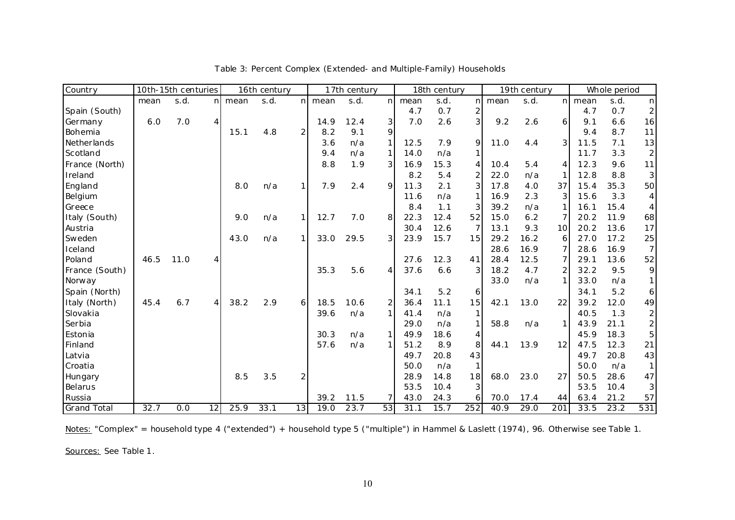| Country            |      | 10th-15th centuries |    |        | 16th century |                |        | 17th century |              |      | 18th century |                |      | 19th century |                 |        | Whole period |                              |
|--------------------|------|---------------------|----|--------|--------------|----------------|--------|--------------|--------------|------|--------------|----------------|------|--------------|-----------------|--------|--------------|------------------------------|
|                    | mean | s.d.                |    | n mean | s.d.         |                | n mean | s.d.         | n            | mean | s.d.         | nI             | mean | s.d.         |                 | n mean | s.d.         | nl                           |
| Spain (South)      |      |                     |    |        |              |                |        |              |              | 4.7  | 0.7          | 2              |      |              |                 | 4.7    | 0.7          | $\mathsf{2}$                 |
| Germany            | 6.0  | 7.0                 | 4  |        |              |                | 14.9   | 12.4         | 3            | 7.0  | 2.6          | $\overline{3}$ | 9.2  | 2.6          | $\overline{6}$  | 9.1    | 6.6          | 16                           |
| Bohemia            |      |                     |    | 15.1   | 4.8          | $\overline{2}$ | 8.2    | 9.1          | 9            |      |              |                |      |              |                 | 9.4    | 8.7          | 11                           |
| Netherlands        |      |                     |    |        |              |                | 3.6    | n/a          |              | 12.5 | 7.9          | 9              | 11.0 | 4.4          | $\overline{3}$  | 11.5   | 7.1          | 13                           |
| Scotland           |      |                     |    |        |              |                | 9.4    | n/a          | $\mathbf{1}$ | 14.0 | n/a          | 1              |      |              |                 | 11.7   | 3.3          | $\overline{\mathbf{c}}$      |
| France (North)     |      |                     |    |        |              |                | 8.8    | 1.9          | 3            | 16.9 | 15.3         | 4              | 10.4 | 5.4          | 4               | 12.3   | 9.6          | 11                           |
| Ireland            |      |                     |    |        |              |                |        |              |              | 8.2  | 5.4          | 2              | 22.0 | n/a          | 1               | 12.8   | 8.8          | $\overline{3}$               |
| England            |      |                     |    | 8.0    | n/a          | 11             | 7.9    | 2.4          | 9            | 11.3 | 2.1          | 3              | 17.8 | 4.0          | 37              | 15.4   | 35.3         | 50                           |
| Belgium            |      |                     |    |        |              |                |        |              |              | 11.6 | n/a          | 1              | 16.9 | 2.3          | 3               | 15.6   | 3.3          | $\vert 4 \vert$              |
| Greece             |      |                     |    |        |              |                |        |              |              | 8.4  | 1.1          | 3              | 39.2 | n/a          |                 | 16.1   | 15.4         | $\vert 4 \vert$              |
| Italy (South)      |      |                     |    | 9.0    | n/a          |                | 12.7   | 7.0          | 8            | 22.3 | 12.4         | 52             | 15.0 | 6.2          |                 | 20.2   | 11.9         | 68                           |
| Austria            |      |                     |    |        |              |                |        |              |              | 30.4 | 12.6         | $\overline{7}$ | 13.1 | 9.3          | 10 <sup>1</sup> | 20.2   | 13.6         | 17                           |
| Sweden             |      |                     |    | 43.0   | n/a          | 1              | 33.0   | 29.5         | 3            | 23.9 | 15.7         | 15             | 29.2 | 16.2         | 6               | 27.0   | 17.2         | 25                           |
| Iceland            |      |                     |    |        |              |                |        |              |              |      |              |                | 28.6 | 16.9         |                 | 28.6   | 16.9         | 7 <sup>1</sup>               |
| Poland             | 46.5 | 11.0                | 4  |        |              |                |        |              |              | 27.6 | 12.3         | 41             | 28.4 | 12.5         |                 | 29.1   | 13.6         | 52                           |
| France (South)     |      |                     |    |        |              |                | 35.3   | 5.6          | 4            | 37.6 | 6.6          | 3              | 18.2 | 4.7          | 2               | 32.2   | 9.5          | $\mathcal{Q}$                |
| Norway             |      |                     |    |        |              |                |        |              |              |      |              |                | 33.0 | n/a          | 1               | 33.0   | n/a          | 1                            |
| Spain (North)      |      |                     |    |        |              |                |        |              |              | 34.1 | 5.2          | 6              |      |              |                 | 34.1   | 5.2          | $\ddot{\mathbf{6}}$          |
| Italy (North)      | 45.4 | 6.7                 | 4  | 38.2   | 2.9          | 6              | 18.5   | 10.6         | 2            | 36.4 | 11.1         | 15             | 42.1 | 13.0         | 22              | 39.2   | 12.0         | 49                           |
| Slovakia           |      |                     |    |        |              |                | 39.6   | n/a          | $\mathbf{1}$ | 41.4 | n/a          | 1              |      |              |                 | 40.5   | 1.3          | $\overline{\mathbf{c}}$      |
| Serbia             |      |                     |    |        |              |                |        |              |              | 29.0 | n/a          | 1              | 58.8 | n/a          |                 | 43.9   | 21.1         | $\left  \frac{2}{2} \right $ |
| Estonia            |      |                     |    |        |              |                | 30.3   | n/a          | 1            | 49.9 | 18.6         | 4              |      |              |                 | 45.9   | 18.3         | $\overline{5}$               |
| Finland            |      |                     |    |        |              |                | 57.6   | n/a          | $\mathbf{1}$ | 51.2 | 8.9          | 8              | 44.1 | 13.9         | 12              | 47.5   | 12.3         | 21                           |
| Latvia             |      |                     |    |        |              |                |        |              |              | 49.7 | 20.8         | 43             |      |              |                 | 49.7   | 20.8         | 43                           |
| Croatia            |      |                     |    |        |              |                |        |              |              | 50.0 | n/a          | $\mathbf{1}$   |      |              |                 | 50.0   | n/a          | $\mathbf{1}$                 |
| Hungary            |      |                     |    | 8.5    | 3.5          | 2              |        |              |              | 28.9 | 14.8         | 18             | 68.0 | 23.0         | 27              | 50.5   | 28.6         | 47                           |
| Belarus            |      |                     |    |        |              |                |        |              |              | 53.5 | 10.4         | 3              |      |              |                 | 53.5   | 10.4         | 3                            |
| Russia             |      |                     |    |        |              |                | 39.2   | 11.5         | 7            | 43.0 | 24.3         | 6              | 70.0 | 17.4         | 44              | 63.4   | 21.2         | 57                           |
| <b>Grand Total</b> | 32.7 | 0.0                 | 12 | 25.9   | 33.1         | 13             | 19.0   | 23.7         | 53           | 31.1 | 15.7         | 252            | 40.9 | 29.0         | 201             | 33.5   | 23.2         | 531                          |

Table 3: Percent Complex (Extended- and Multiple-Family) Households

Notes: "Complex" = household type 4 ("extended") + household type 5 ("multiple") in Hammel & Laslett (1974), 96. Otherwise see Table 1.

Sources: See Table 1.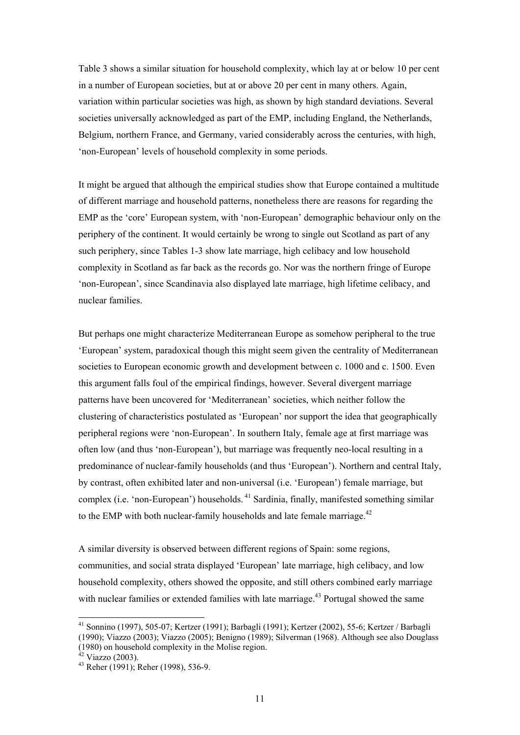Table 3 shows a similar situation for household complexity, which lay at or below 10 per cent in a number of European societies, but at or above 20 per cent in many others. Again, variation within particular societies was high, as shown by high standard deviations. Several societies universally acknowledged as part of the EMP, including England, the Netherlands, Belgium, northern France, and Germany, varied considerably across the centuries, with high, 'non-European' levels of household complexity in some periods.

It might be argued that although the empirical studies show that Europe contained a multitude of different marriage and household patterns, nonetheless there are reasons for regarding the EMP as the 'core' European system, with 'non-European' demographic behaviour only on the periphery of the continent. It would certainly be wrong to single out Scotland as part of any such periphery, since Tables 1-3 show late marriage, high celibacy and low household complexity in Scotland as far back as the records go. Nor was the northern fringe of Europe 'non-European', since Scandinavia also displayed late marriage, high lifetime celibacy, and nuclear families.

But perhaps one might characterize Mediterranean Europe as somehow peripheral to the true 'European' system, paradoxical though this might seem given the centrality of Mediterranean societies to European economic growth and development between c. 1000 and c. 1500. Even this argument falls foul of the empirical findings, however. Several divergent marriage patterns have been uncovered for 'Mediterranean' societies, which neither follow the clustering of characteristics postulated as 'European' nor support the idea that geographically peripheral regions were 'non-European'. In southern Italy, female age at first marriage was often low (and thus 'non-European'), but marriage was frequently neo-local resulting in a predominance of nuclear-family households (and thus 'European'). Northern and central Italy, by contrast, often exhibited later and non-universal (i.e. 'European') female marriage, but complex (i.e. 'non-European') households. 41 Sardinia, finally, manifested something similar to the EMP with both nuclear-family households and late female marriage.<sup>42</sup>

A similar diversity is observed between different regions of Spain: some regions, communities, and social strata displayed 'European' late marriage, high celibacy, and low household complexity, others showed the opposite, and still others combined early marriage with nuclear families or extended families with late marriage.<sup>43</sup> Portugal showed the same

<sup>41</sup> Sonnino (1997), 505-07; Kertzer (1991); Barbagli (1991); Kertzer (2002), 55-6; Kertzer / Barbagli (1990); Viazzo (2003); Viazzo (2005); Benigno (1989); Silverman (1968). Although see also Douglass

<sup>(1980)</sup> on household complexity in the Molise region.  $42$  Viazzo (2003).

<sup>43</sup> Reher (1991); Reher (1998), 536-9.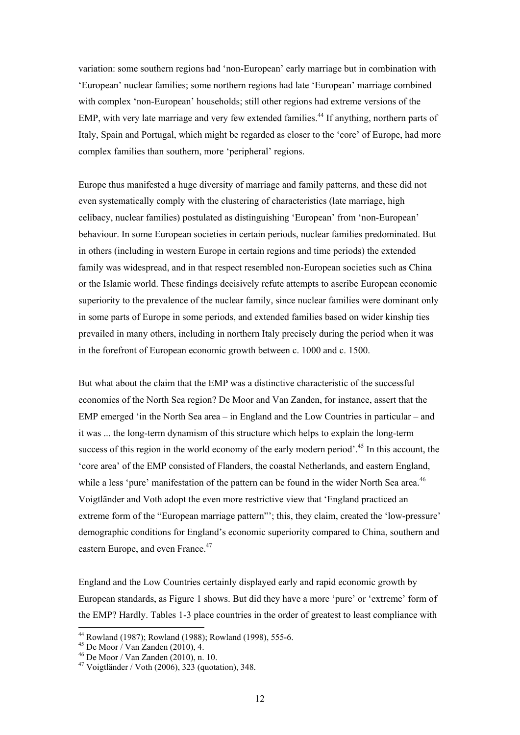variation: some southern regions had 'non-European' early marriage but in combination with 'European' nuclear families; some northern regions had late 'European' marriage combined with complex 'non-European' households; still other regions had extreme versions of the EMP, with very late marriage and very few extended families.<sup>44</sup> If anything, northern parts of Italy, Spain and Portugal, which might be regarded as closer to the 'core' of Europe, had more complex families than southern, more 'peripheral' regions.

Europe thus manifested a huge diversity of marriage and family patterns, and these did not even systematically comply with the clustering of characteristics (late marriage, high celibacy, nuclear families) postulated as distinguishing 'European' from 'non-European' behaviour. In some European societies in certain periods, nuclear families predominated. But in others (including in western Europe in certain regions and time periods) the extended family was widespread, and in that respect resembled non-European societies such as China or the Islamic world. These findings decisively refute attempts to ascribe European economic superiority to the prevalence of the nuclear family, since nuclear families were dominant only in some parts of Europe in some periods, and extended families based on wider kinship ties prevailed in many others, including in northern Italy precisely during the period when it was in the forefront of European economic growth between c. 1000 and c. 1500.

But what about the claim that the EMP was a distinctive characteristic of the successful economies of the North Sea region? De Moor and Van Zanden, for instance, assert that the EMP emerged 'in the North Sea area – in England and the Low Countries in particular – and it was ... the long-term dynamism of this structure which helps to explain the long-term success of this region in the world economy of the early modern period'.<sup>45</sup> In this account, the 'core area' of the EMP consisted of Flanders, the coastal Netherlands, and eastern England, while a less 'pure' manifestation of the pattern can be found in the wider North Sea area.<sup>46</sup> Voigtländer and Voth adopt the even more restrictive view that 'England practiced an extreme form of the "European marriage pattern"'; this, they claim, created the 'low-pressure' demographic conditions for England's economic superiority compared to China, southern and eastern Europe, and even France.<sup>47</sup>

England and the Low Countries certainly displayed early and rapid economic growth by European standards, as Figure 1 shows. But did they have a more 'pure' or 'extreme' form of the EMP? Hardly. Tables 1-3 place countries in the order of greatest to least compliance with

 $\overline{\phantom{a}}$ 

<sup>44</sup> Rowland (1987); Rowland (1988); Rowland (1998), 555-6.

 $45$  De Moor / Van Zanden (2010), 4.

<sup>46</sup> De Moor / Van Zanden (2010), n. 10.

<sup>47</sup> Voigtländer / Voth (2006), 323 (quotation), 348.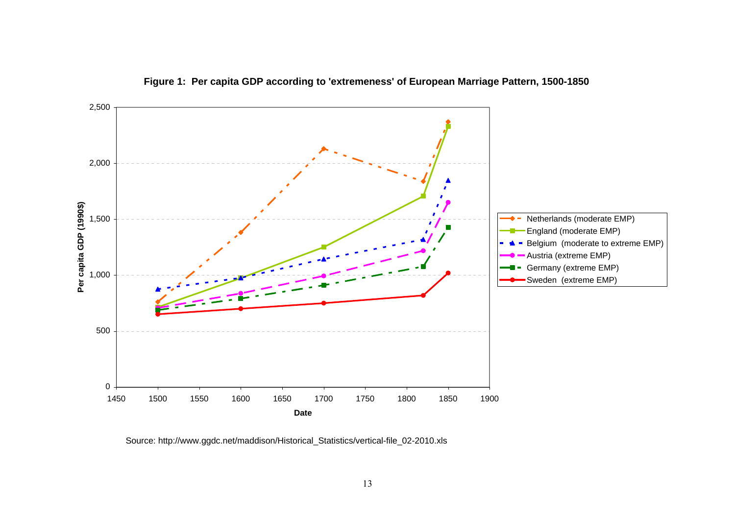

**Figure 1: Per capita GDP according to 'extremeness' of European Marriage Pattern, 1500-1850**

Source: http://www.ggdc.net/maddison/Historical\_Statistics/vertical-file\_02-2010.xls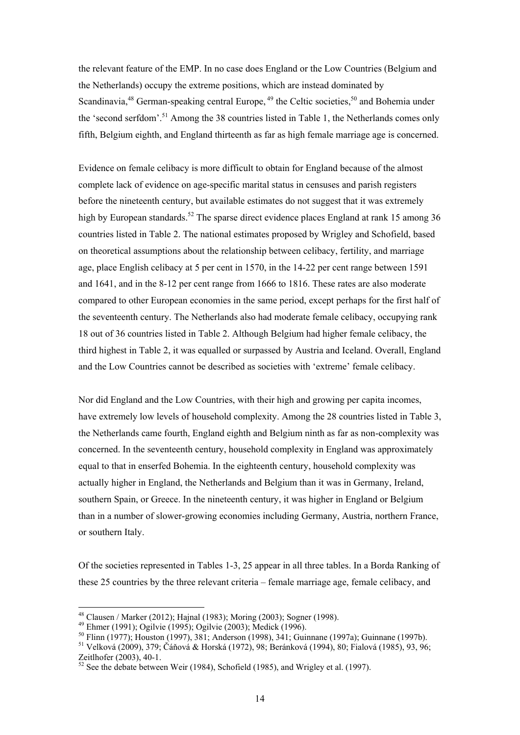the relevant feature of the EMP. In no case does England or the Low Countries (Belgium and the Netherlands) occupy the extreme positions, which are instead dominated by Scandinavia,  $48$  German-speaking central Europe,  $49$  the Celtic societies,  $50$  and Bohemia under the 'second serfdom'.<sup>51</sup> Among the 38 countries listed in Table 1, the Netherlands comes only fifth, Belgium eighth, and England thirteenth as far as high female marriage age is concerned.

Evidence on female celibacy is more difficult to obtain for England because of the almost complete lack of evidence on age-specific marital status in censuses and parish registers before the nineteenth century, but available estimates do not suggest that it was extremely high by European standards.<sup>52</sup> The sparse direct evidence places England at rank 15 among 36 countries listed in Table 2. The national estimates proposed by Wrigley and Schofield, based on theoretical assumptions about the relationship between celibacy, fertility, and marriage age, place English celibacy at 5 per cent in 1570, in the 14-22 per cent range between 1591 and 1641, and in the 8-12 per cent range from 1666 to 1816. These rates are also moderate compared to other European economies in the same period, except perhaps for the first half of the seventeenth century. The Netherlands also had moderate female celibacy, occupying rank 18 out of 36 countries listed in Table 2. Although Belgium had higher female celibacy, the third highest in Table 2, it was equalled or surpassed by Austria and Iceland. Overall, England and the Low Countries cannot be described as societies with 'extreme' female celibacy.

Nor did England and the Low Countries, with their high and growing per capita incomes, have extremely low levels of household complexity. Among the 28 countries listed in Table 3, the Netherlands came fourth, England eighth and Belgium ninth as far as non-complexity was concerned. In the seventeenth century, household complexity in England was approximately equal to that in enserfed Bohemia. In the eighteenth century, household complexity was actually higher in England, the Netherlands and Belgium than it was in Germany, Ireland, southern Spain, or Greece. In the nineteenth century, it was higher in England or Belgium than in a number of slower-growing economies including Germany, Austria, northern France, or southern Italy.

Of the societies represented in Tables 1-3, 25 appear in all three tables. In a Borda Ranking of these 25 countries by the three relevant criteria – female marriage age, female celibacy, and

 $48$  Clausen / Marker (2012); Hajnal (1983); Moring (2003); Sogner (1998).

<sup>49</sup> Ehmer (1991); Ogilvie (1995); Ogilvie (2003); Medick (1996).

<sup>50</sup> Flinn (1977); Houston (1997), 381; Anderson (1998), 341; Guinnane (1997a); Guinnane (1997b).

<sup>51</sup> Velková (2009), 379; Čáňová & Horská (1972), 98; Beránková (1994), 80; Fialová (1985), 93, 96; Zeitlhofer (2003), 40-1.

 $52$  See the debate between Weir (1984), Schofield (1985), and Wrigley et al. (1997).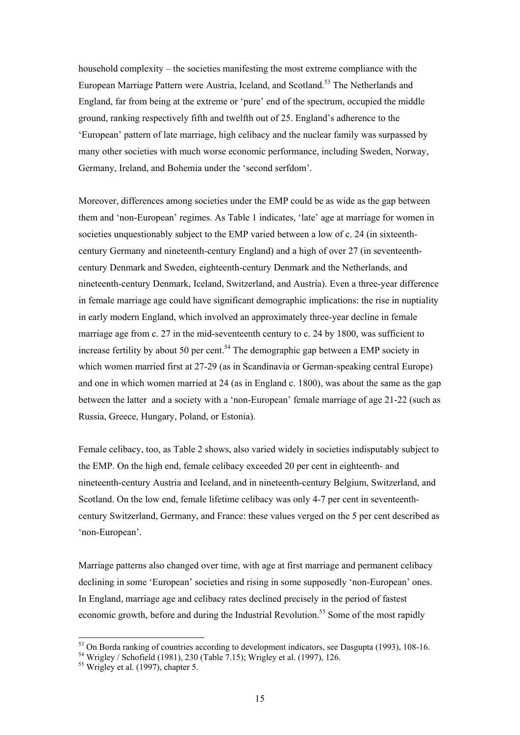household complexity – the societies manifesting the most extreme compliance with the European Marriage Pattern were Austria, Iceland, and Scotland.<sup>53</sup> The Netherlands and England, far from being at the extreme or 'pure' end of the spectrum, occupied the middle ground, ranking respectively fifth and twelfth out of 25. England's adherence to the 'European' pattern of late marriage, high celibacy and the nuclear family was surpassed by many other societies with much worse economic performance, including Sweden, Norway, Germany, Ireland, and Bohemia under the 'second serfdom'.

Moreover, differences among societies under the EMP could be as wide as the gap between them and 'non-European' regimes. As Table 1 indicates, 'late' age at marriage for women in societies unquestionably subject to the EMP varied between a low of c. 24 (in sixteenthcentury Germany and nineteenth-century England) and a high of over 27 (in seventeenthcentury Denmark and Sweden, eighteenth-century Denmark and the Netherlands, and nineteenth-century Denmark, Iceland, Switzerland, and Austria). Even a three-year difference in female marriage age could have significant demographic implications: the rise in nuptiality in early modern England, which involved an approximately three-year decline in female marriage age from c. 27 in the mid-seventeenth century to c. 24 by 1800, was sufficient to increase fertility by about 50 per cent.<sup>54</sup> The demographic gap between a EMP society in which women married first at 27-29 (as in Scandinavia or German-speaking central Europe) and one in which women married at 24 (as in England c. 1800), was about the same as the gap between the latter and a society with a 'non-European' female marriage of age 21-22 (such as Russia, Greece, Hungary, Poland, or Estonia).

Female celibacy, too, as Table 2 shows, also varied widely in societies indisputably subject to the EMP. On the high end, female celibacy exceeded 20 per cent in eighteenth- and nineteenth-century Austria and Iceland, and in nineteenth-century Belgium, Switzerland, and Scotland. On the low end, female lifetime celibacy was only 4-7 per cent in seventeenthcentury Switzerland, Germany, and France: these values verged on the 5 per cent described as 'non-European'.

Marriage patterns also changed over time, with age at first marriage and permanent celibacy declining in some 'European' societies and rising in some supposedly 'non-European' ones. In England, marriage age and celibacy rates declined precisely in the period of fastest economic growth, before and during the Industrial Revolution.<sup>55</sup> Some of the most rapidly

 $\overline{a}$ 

<sup>&</sup>lt;sup>53</sup> On Borda ranking of countries according to development indicators, see Dasgupta (1993), 108-16.<br><sup>54</sup> Wrigley / Schofield (1981), 230 (Table 7.15); Wrigley et al. (1997), 126.

<sup>&</sup>lt;sup>54</sup> Wrigley / Schofield (1981), 230 (Table 7.15); Wrigley et al. (1997), 126.<br><sup>55</sup> Wrigley et al. (1997), chapter 5.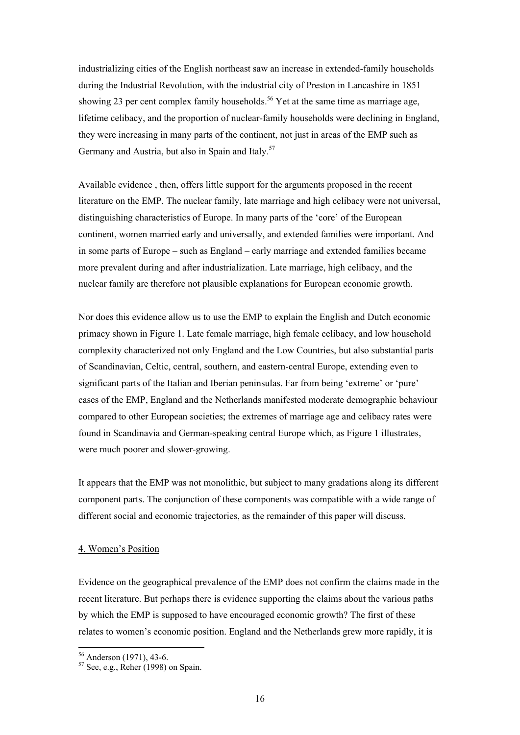industrializing cities of the English northeast saw an increase in extended-family households during the Industrial Revolution, with the industrial city of Preston in Lancashire in 1851 showing 23 per cent complex family households.<sup>56</sup> Yet at the same time as marriage age, lifetime celibacy, and the proportion of nuclear-family households were declining in England, they were increasing in many parts of the continent, not just in areas of the EMP such as Germany and Austria, but also in Spain and Italy.<sup>57</sup>

Available evidence , then, offers little support for the arguments proposed in the recent literature on the EMP. The nuclear family, late marriage and high celibacy were not universal, distinguishing characteristics of Europe. In many parts of the 'core' of the European continent, women married early and universally, and extended families were important. And in some parts of Europe – such as England – early marriage and extended families became more prevalent during and after industrialization. Late marriage, high celibacy, and the nuclear family are therefore not plausible explanations for European economic growth.

Nor does this evidence allow us to use the EMP to explain the English and Dutch economic primacy shown in Figure 1. Late female marriage, high female celibacy, and low household complexity characterized not only England and the Low Countries, but also substantial parts of Scandinavian, Celtic, central, southern, and eastern-central Europe, extending even to significant parts of the Italian and Iberian peninsulas. Far from being 'extreme' or 'pure' cases of the EMP, England and the Netherlands manifested moderate demographic behaviour compared to other European societies; the extremes of marriage age and celibacy rates were found in Scandinavia and German-speaking central Europe which, as Figure 1 illustrates, were much poorer and slower-growing.

It appears that the EMP was not monolithic, but subject to many gradations along its different component parts. The conjunction of these components was compatible with a wide range of different social and economic trajectories, as the remainder of this paper will discuss.

#### 4. Women's Position

Evidence on the geographical prevalence of the EMP does not confirm the claims made in the recent literature. But perhaps there is evidence supporting the claims about the various paths by which the EMP is supposed to have encouraged economic growth? The first of these relates to women's economic position. England and the Netherlands grew more rapidly, it is

<sup>56</sup> Anderson (1971), 43-6.

 $57$  See, e.g., Reher (1998) on Spain.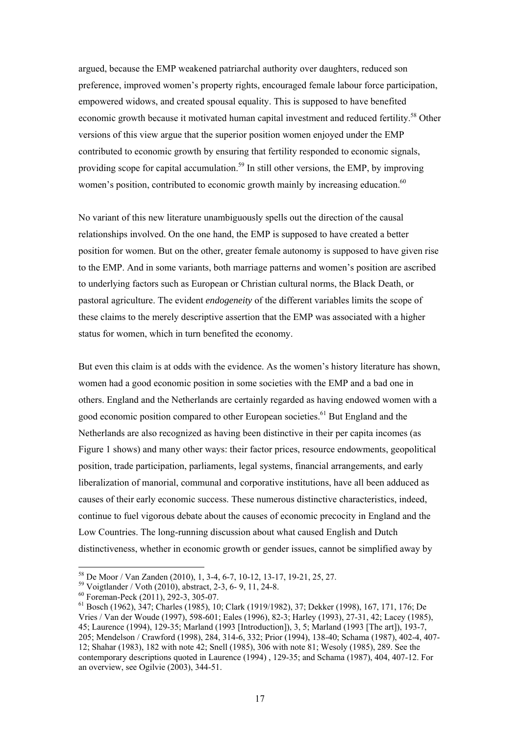argued, because the EMP weakened patriarchal authority over daughters, reduced son preference, improved women's property rights, encouraged female labour force participation, empowered widows, and created spousal equality. This is supposed to have benefited economic growth because it motivated human capital investment and reduced fertility.<sup>58</sup> Other versions of this view argue that the superior position women enjoyed under the EMP contributed to economic growth by ensuring that fertility responded to economic signals, providing scope for capital accumulation.<sup>59</sup> In still other versions, the EMP, by improving women's position, contributed to economic growth mainly by increasing education.<sup>60</sup>

No variant of this new literature unambiguously spells out the direction of the causal relationships involved. On the one hand, the EMP is supposed to have created a better position for women. But on the other, greater female autonomy is supposed to have given rise to the EMP. And in some variants, both marriage patterns and women's position are ascribed to underlying factors such as European or Christian cultural norms, the Black Death, or pastoral agriculture. The evident *endogeneity* of the different variables limits the scope of these claims to the merely descriptive assertion that the EMP was associated with a higher status for women, which in turn benefited the economy.

But even this claim is at odds with the evidence. As the women's history literature has shown, women had a good economic position in some societies with the EMP and a bad one in others. England and the Netherlands are certainly regarded as having endowed women with a good economic position compared to other European societies.<sup>61</sup> But England and the Netherlands are also recognized as having been distinctive in their per capita incomes (as Figure 1 shows) and many other ways: their factor prices, resource endowments, geopolitical position, trade participation, parliaments, legal systems, financial arrangements, and early liberalization of manorial, communal and corporative institutions, have all been adduced as causes of their early economic success. These numerous distinctive characteristics, indeed, continue to fuel vigorous debate about the causes of economic precocity in England and the Low Countries. The long-running discussion about what caused English and Dutch distinctiveness, whether in economic growth or gender issues, cannot be simplified away by

 $\overline{a}$ 

<sup>58</sup> De Moor / Van Zanden (2010), 1, 3-4, 6-7, 10-12, 13-17, 19-21, 25, 27.

<sup>59</sup> Voigtlander / Voth (2010), abstract, 2-3, 6- 9, 11, 24-8.

<sup>60</sup> Foreman-Peck (2011), 292-3, 305-07.

<sup>61</sup> Bosch (1962), 347; Charles (1985), 10; Clark (1919/1982), 37; Dekker (1998), 167, 171, 176; De Vries / Van der Woude (1997), 598-601; Eales (1996), 82-3; Harley (1993), 27-31, 42; Lacey (1985), 45; Laurence (1994), 129-35; Marland (1993 [Introduction]), 3, 5; Marland (1993 [The art]), 193-7, 205; Mendelson / Crawford (1998), 284, 314-6, 332; Prior (1994), 138-40; Schama (1987), 402-4, 407- 12; Shahar (1983), 182 with note 42; Snell (1985), 306 with note 81; Wesoly (1985), 289. See the contemporary descriptions quoted in Laurence (1994) , 129-35; and Schama (1987), 404, 407-12. For an overview, see Ogilvie (2003), 344-51.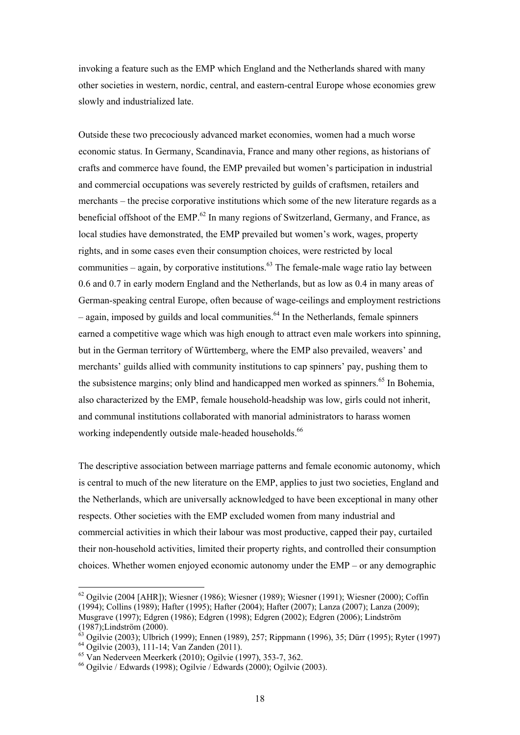invoking a feature such as the EMP which England and the Netherlands shared with many other societies in western, nordic, central, and eastern-central Europe whose economies grew slowly and industrialized late.

Outside these two precociously advanced market economies, women had a much worse economic status. In Germany, Scandinavia, France and many other regions, as historians of crafts and commerce have found, the EMP prevailed but women's participation in industrial and commercial occupations was severely restricted by guilds of craftsmen, retailers and merchants – the precise corporative institutions which some of the new literature regards as a beneficial offshoot of the  $EMP<sub>0</sub><sup>62</sup>$  In many regions of Switzerland, Germany, and France, as local studies have demonstrated, the EMP prevailed but women's work, wages, property rights, and in some cases even their consumption choices, were restricted by local communities – again, by corporative institutions.<sup> $63$ </sup> The female-male wage ratio lay between 0.6 and 0.7 in early modern England and the Netherlands, but as low as 0.4 in many areas of German-speaking central Europe, often because of wage-ceilings and employment restrictions  $-$  again, imposed by guilds and local communities.<sup>64</sup> In the Netherlands, female spinners earned a competitive wage which was high enough to attract even male workers into spinning, but in the German territory of Württemberg, where the EMP also prevailed, weavers' and merchants' guilds allied with community institutions to cap spinners' pay, pushing them to the subsistence margins; only blind and handicapped men worked as spinners.<sup>65</sup> In Bohemia, also characterized by the EMP, female household-headship was low, girls could not inherit, and communal institutions collaborated with manorial administrators to harass women working independently outside male-headed households.<sup>66</sup>

The descriptive association between marriage patterns and female economic autonomy, which is central to much of the new literature on the EMP, applies to just two societies, England and the Netherlands, which are universally acknowledged to have been exceptional in many other respects. Other societies with the EMP excluded women from many industrial and commercial activities in which their labour was most productive, capped their pay, curtailed their non-household activities, limited their property rights, and controlled their consumption choices. Whether women enjoyed economic autonomy under the EMP – or any demographic

 $62$  Ogilvie (2004 [AHR]); Wiesner (1986); Wiesner (1989); Wiesner (1991); Wiesner (2000); Coffin (1994); Collins (1989); Hafter (1995); Hafter (2004); Hafter (2007); Lanza (2007); Lanza (2009); Musgrave (1997); Edgren (1986); Edgren (1998); Edgren (2002); Edgren (2006); Lindström  $(1987)$ ;Lindström (2000).

 $\frac{3}{3}$  Ogilvie (2003); Ulbrich (1999); Ennen (1989), 257; Rippmann (1996), 35; Dürr (1995); Ryter (1997) 64 Ogilvie (2003), 111-14; Van Zanden (2011).

<sup>65</sup> Van Nederveen Meerkerk (2010); Ogilvie (1997), 353-7, 362.

 $^{66}$  Ogilvie / Edwards (1998); Ogilvie / Edwards (2000); Ogilvie (2003).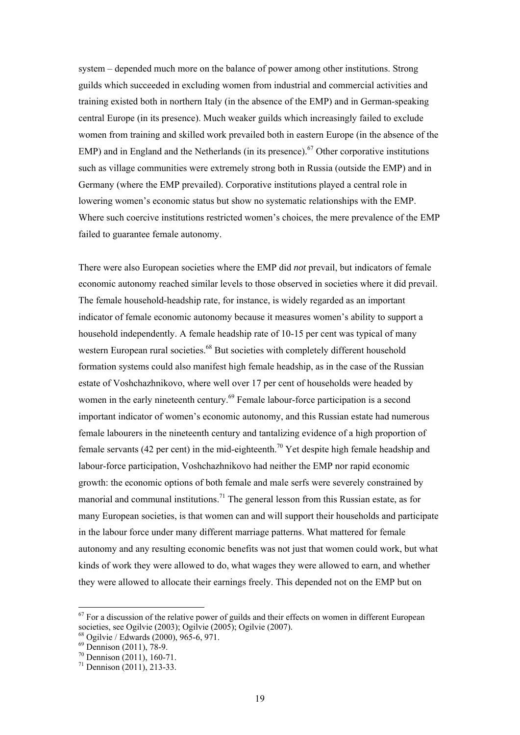system – depended much more on the balance of power among other institutions. Strong guilds which succeeded in excluding women from industrial and commercial activities and training existed both in northern Italy (in the absence of the EMP) and in German-speaking central Europe (in its presence). Much weaker guilds which increasingly failed to exclude women from training and skilled work prevailed both in eastern Europe (in the absence of the EMP) and in England and the Netherlands (in its presence).<sup>67</sup> Other corporative institutions such as village communities were extremely strong both in Russia (outside the EMP) and in Germany (where the EMP prevailed). Corporative institutions played a central role in lowering women's economic status but show no systematic relationships with the EMP. Where such coercive institutions restricted women's choices, the mere prevalence of the EMP failed to guarantee female autonomy.

There were also European societies where the EMP did *not* prevail, but indicators of female economic autonomy reached similar levels to those observed in societies where it did prevail. The female household-headship rate, for instance, is widely regarded as an important indicator of female economic autonomy because it measures women's ability to support a household independently. A female headship rate of 10-15 per cent was typical of many western European rural societies.<sup>68</sup> But societies with completely different household formation systems could also manifest high female headship, as in the case of the Russian estate of Voshchazhnikovo, where well over 17 per cent of households were headed by women in the early nineteenth century.<sup>69</sup> Female labour-force participation is a second important indicator of women's economic autonomy, and this Russian estate had numerous female labourers in the nineteenth century and tantalizing evidence of a high proportion of female servants (42 per cent) in the mid-eighteenth.<sup>70</sup> Yet despite high female headship and labour-force participation, Voshchazhnikovo had neither the EMP nor rapid economic growth: the economic options of both female and male serfs were severely constrained by manorial and communal institutions.<sup>71</sup> The general lesson from this Russian estate, as for many European societies, is that women can and will support their households and participate in the labour force under many different marriage patterns. What mattered for female autonomy and any resulting economic benefits was not just that women could work, but what kinds of work they were allowed to do, what wages they were allowed to earn, and whether they were allowed to allocate their earnings freely. This depended not on the EMP but on

 $67$  For a discussion of the relative power of guilds and their effects on women in different European societies, see Ogilvie (2003); Ogilvie (2005); Ogilvie (2007).

 $68$  Ogilvie / Edwards (2000), 965-6, 971.

 $69$  Dennison (2011), 78-9.

 $70$  Dennison (2011), 160-71.

 $71$  Dennison (2011), 213-33.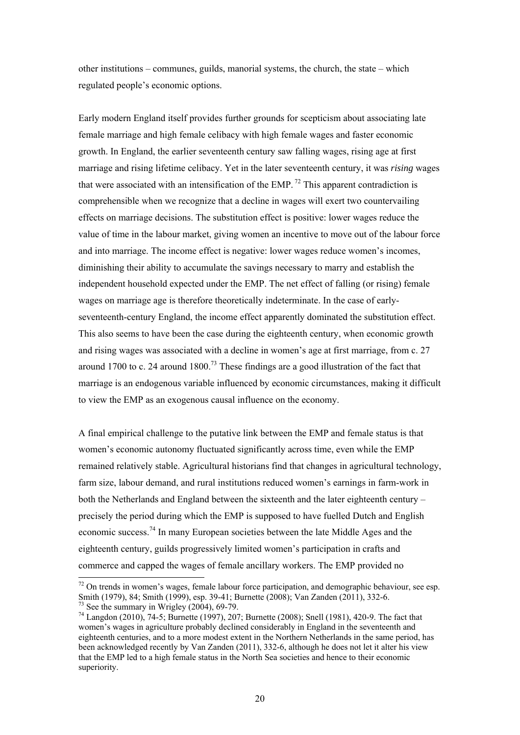other institutions – communes, guilds, manorial systems, the church, the state – which regulated people's economic options.

Early modern England itself provides further grounds for scepticism about associating late female marriage and high female celibacy with high female wages and faster economic growth. In England, the earlier seventeenth century saw falling wages, rising age at first marriage and rising lifetime celibacy. Yet in the later seventeenth century, it was *rising* wages that were associated with an intensification of the EMP.<sup>72</sup> This apparent contradiction is comprehensible when we recognize that a decline in wages will exert two countervailing effects on marriage decisions. The substitution effect is positive: lower wages reduce the value of time in the labour market, giving women an incentive to move out of the labour force and into marriage. The income effect is negative: lower wages reduce women's incomes, diminishing their ability to accumulate the savings necessary to marry and establish the independent household expected under the EMP. The net effect of falling (or rising) female wages on marriage age is therefore theoretically indeterminate. In the case of earlyseventeenth-century England, the income effect apparently dominated the substitution effect. This also seems to have been the case during the eighteenth century, when economic growth and rising wages was associated with a decline in women's age at first marriage, from c. 27 around 1700 to c. 24 around 1800.<sup>73</sup> These findings are a good illustration of the fact that marriage is an endogenous variable influenced by economic circumstances, making it difficult to view the EMP as an exogenous causal influence on the economy.

A final empirical challenge to the putative link between the EMP and female status is that women's economic autonomy fluctuated significantly across time, even while the EMP remained relatively stable. Agricultural historians find that changes in agricultural technology, farm size, labour demand, and rural institutions reduced women's earnings in farm-work in both the Netherlands and England between the sixteenth and the later eighteenth century – precisely the period during which the EMP is supposed to have fuelled Dutch and English economic success.74 In many European societies between the late Middle Ages and the eighteenth century, guilds progressively limited women's participation in crafts and commerce and capped the wages of female ancillary workers. The EMP provided no

 $72$  On trends in women's wages, female labour force participation, and demographic behaviour, see esp. Smith (1979), 84; Smith (1999), esp. 39-41; Burnette (2008); Van Zanden (2011), 332-6.  $73$  See the summary in Wrigley (2004), 69-79.

 $74$  Langdon (2010), 74-5; Burnette (1997), 207; Burnette (2008); Snell (1981), 420-9. The fact that women's wages in agriculture probably declined considerably in England in the seventeenth and eighteenth centuries, and to a more modest extent in the Northern Netherlands in the same period, has been acknowledged recently by Van Zanden (2011), 332-6, although he does not let it alter his view that the EMP led to a high female status in the North Sea societies and hence to their economic superiority.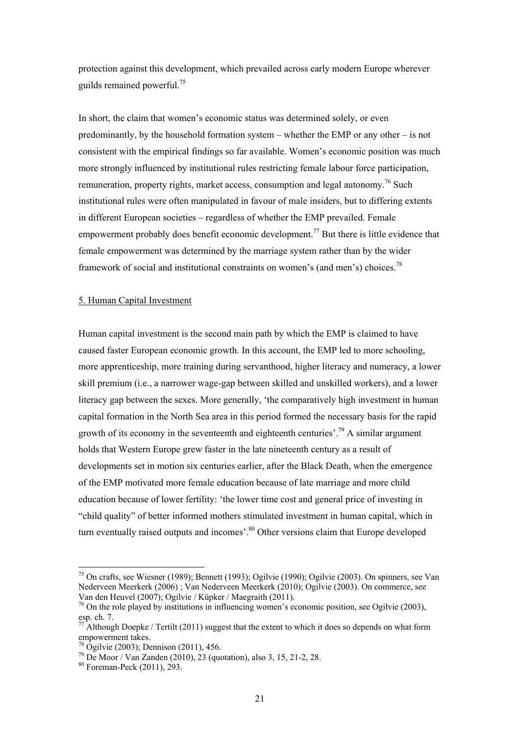protection against this development, which prevailed across early modern Europe wherever guilds remained powerful.75

In short, the claim that women's economic status was determined solely, or even predominantly, by the household formation system – whether the EMP or any other – is not consistent with the empirical findings so far available. Women's economic position was much more strongly influenced by institutional rules restricting female labour force participation, remuneration, property rights, market access, consumption and legal autonomy.<sup>76</sup> Such institutional rules were often manipulated in favour of male insiders, but to differing extents in different European societies – regardless of whether the EMP prevailed. Female empowerment probably does benefit economic development.<sup>77</sup> But there is little evidence that female empowerment was determined by the marriage system rather than by the wider framework of social and institutional constraints on women's (and men's) choices.<sup>78</sup>

#### 5. Human Capital Investment

Human capital investment is the second main path by which the EMP is claimed to have caused faster European economic growth. In this account, the EMP led to more schooling, more apprenticeship, more training during servanthood, higher literacy and numeracy, a lower skill premium (i.e., a narrower wage-gap between skilled and unskilled workers), and a lower literacy gap between the sexes. More generally, 'the comparatively high investment in human capital formation in the North Sea area in this period formed the necessary basis for the rapid growth of its economy in the seventeenth and eighteenth centuries'.<sup>79</sup> A similar argument holds that Western Europe grew faster in the late nineteenth century as a result of developments set in motion six centuries earlier, after the Black Death, when the emergence of the EMP motivated more female education because of late marriage and more child education because of lower fertility: 'the lower time cost and general price of investing in "child quality" of better informed mothers stimulated investment in human capital, which in turn eventually raised outputs and incomes'.<sup>80</sup> Other versions claim that Europe developed

 $\overline{a}$ 

<sup>75</sup> On crafts, see Wiesner (1989); Bennett (1993); Ogilvie (1990); Ogilvie (2003). On spinners, see Van Nederveen Meerkerk (2006) ; Van Nederveen Meerkerk (2010); Ogilvie (2003). On commerce, see Van den Heuvel (2007); Ogilvie / Küpker / Maegraith (2011).

 $76$  On the role played by institutions in influencing women's economic position, see Ogilvie (2003), esp. ch. 7.

 $77$  Although Doepke / Tertilt (2011) suggest that the extent to which it does so depends on what form empowerment takes.

 $^{78}$  Ogilvie (2003); Dennison (2011), 456.

<sup>79</sup> De Moor / Van Zanden (2010), 23 (quotation), also 3, 15, 21-2, 28.

<sup>80</sup> Foreman-Peck (2011), 293.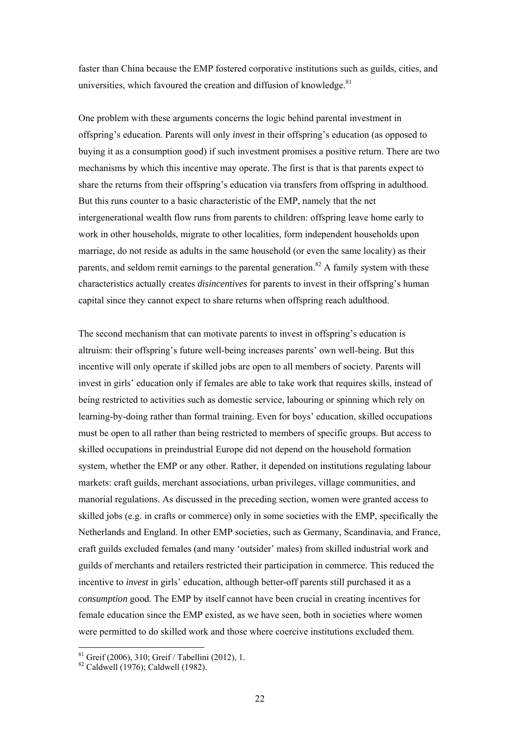faster than China because the EMP fostered corporative institutions such as guilds, cities, and universities, which favoured the creation and diffusion of knowledge. $81$ 

One problem with these arguments concerns the logic behind parental investment in offspring's education. Parents will only *invest* in their offspring's education (as opposed to buying it as a consumption good) if such investment promises a positive return. There are two mechanisms by which this incentive may operate. The first is that is that parents expect to share the returns from their offspring's education via transfers from offspring in adulthood. But this runs counter to a basic characteristic of the EMP, namely that the net intergenerational wealth flow runs from parents to children: offspring leave home early to work in other households, migrate to other localities, form independent households upon marriage, do not reside as adults in the same household (or even the same locality) as their parents, and seldom remit earnings to the parental generation.<sup>82</sup> A family system with these characteristics actually creates *disincentives* for parents to invest in their offspring's human capital since they cannot expect to share returns when offspring reach adulthood.

The second mechanism that can motivate parents to invest in offspring's education is altruism: their offspring's future well-being increases parents' own well-being. But this incentive will only operate if skilled jobs are open to all members of society. Parents will invest in girls' education only if females are able to take work that requires skills, instead of being restricted to activities such as domestic service, labouring or spinning which rely on learning-by-doing rather than formal training. Even for boys' education, skilled occupations must be open to all rather than being restricted to members of specific groups. But access to skilled occupations in preindustrial Europe did not depend on the household formation system, whether the EMP or any other. Rather, it depended on institutions regulating labour markets: craft guilds, merchant associations, urban privileges, village communities, and manorial regulations. As discussed in the preceding section, women were granted access to skilled jobs (e.g. in crafts or commerce) only in some societies with the EMP, specifically the Netherlands and England. In other EMP societies, such as Germany, Scandinavia, and France, craft guilds excluded females (and many 'outsider' males) from skilled industrial work and guilds of merchants and retailers restricted their participation in commerce. This reduced the incentive to *invest* in girls' education, although better-off parents still purchased it as a *consumption* good. The EMP by itself cannot have been crucial in creating incentives for female education since the EMP existed, as we have seen, both in societies where women were permitted to do skilled work and those where coercive institutions excluded them.

 $81$  Greif (2006), 310; Greif / Tabellini (2012), 1.

 $82$  Caldwell (1976); Caldwell (1982).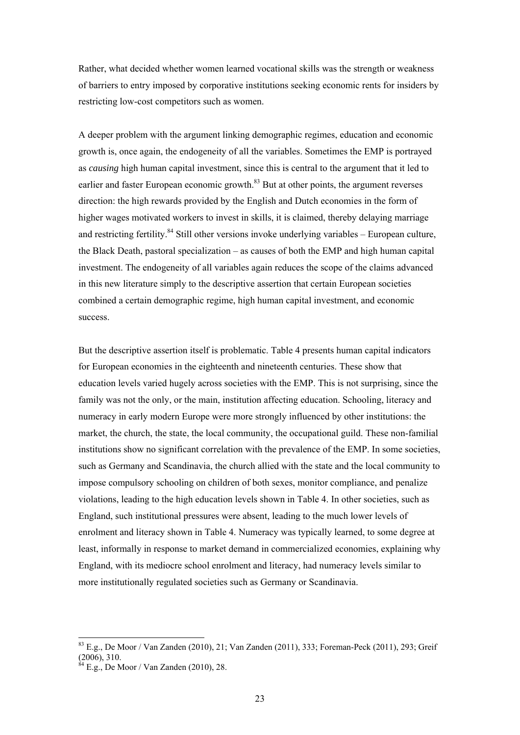Rather, what decided whether women learned vocational skills was the strength or weakness of barriers to entry imposed by corporative institutions seeking economic rents for insiders by restricting low-cost competitors such as women.

A deeper problem with the argument linking demographic regimes, education and economic growth is, once again, the endogeneity of all the variables. Sometimes the EMP is portrayed as *causing* high human capital investment, since this is central to the argument that it led to earlier and faster European economic growth.<sup>83</sup> But at other points, the argument reverses direction: the high rewards provided by the English and Dutch economies in the form of higher wages motivated workers to invest in skills, it is claimed, thereby delaying marriage and restricting fertility. $84$  Still other versions invoke underlying variables – European culture, the Black Death, pastoral specialization – as causes of both the EMP and high human capital investment. The endogeneity of all variables again reduces the scope of the claims advanced in this new literature simply to the descriptive assertion that certain European societies combined a certain demographic regime, high human capital investment, and economic success.

But the descriptive assertion itself is problematic. Table 4 presents human capital indicators for European economies in the eighteenth and nineteenth centuries. These show that education levels varied hugely across societies with the EMP. This is not surprising, since the family was not the only, or the main, institution affecting education. Schooling, literacy and numeracy in early modern Europe were more strongly influenced by other institutions: the market, the church, the state, the local community, the occupational guild. These non-familial institutions show no significant correlation with the prevalence of the EMP. In some societies, such as Germany and Scandinavia, the church allied with the state and the local community to impose compulsory schooling on children of both sexes, monitor compliance, and penalize violations, leading to the high education levels shown in Table 4. In other societies, such as England, such institutional pressures were absent, leading to the much lower levels of enrolment and literacy shown in Table 4. Numeracy was typically learned, to some degree at least, informally in response to market demand in commercialized economies, explaining why England, with its mediocre school enrolment and literacy, had numeracy levels similar to more institutionally regulated societies such as Germany or Scandinavia.

 $\overline{a}$ 

<sup>83</sup> E.g., De Moor / Van Zanden (2010), 21; Van Zanden (2011), 333; Foreman-Peck (2011), 293; Greif (2006), 310.

 $^{4}$  E.g., De Moor / Van Zanden (2010), 28.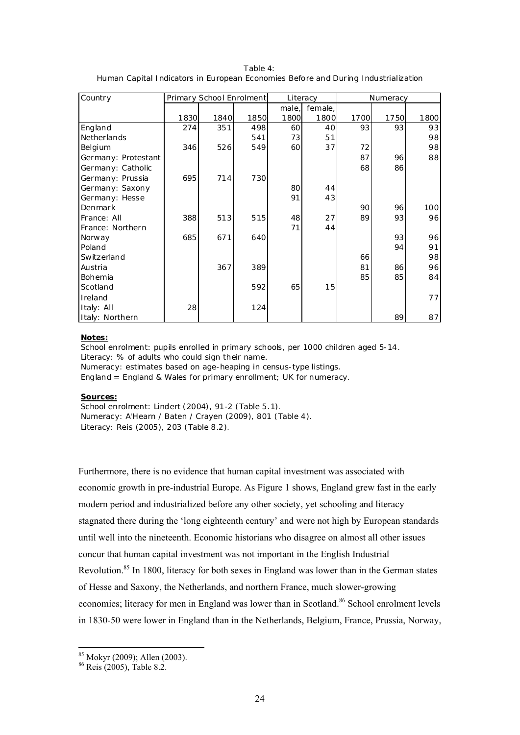| Table 4:                                                                           |  |
|------------------------------------------------------------------------------------|--|
| Human Capital Indicators in European Economies Before and During Industrialization |  |

| Country             |      | Primary School Enrolment |      |       | Literacy | Numeracy |      |      |
|---------------------|------|--------------------------|------|-------|----------|----------|------|------|
|                     |      |                          |      | male, | female,  |          |      |      |
|                     | 1830 | 1840                     | 1850 | 1800  | 1800     | 1700     | 1750 | 1800 |
| England             | 274  | 351                      | 498  | 60    | 40       | 93       | 93   | 93   |
| Netherlands         |      |                          | 541  | 73    | 51       |          |      | 98   |
| Belgium             | 346  | 526                      | 549  | 60    | 37       | 72       |      | 98   |
| Germany: Protestant |      |                          |      |       |          | 87       | 96   | 88   |
| Germany: Catholic   |      |                          |      |       |          | 68       | 86   |      |
| Germany: Prussia    | 695  | 714                      | 730  |       |          |          |      |      |
| Germany: Saxony     |      |                          |      | 80    | 44       |          |      |      |
| Germany: Hesse      |      |                          |      | 91    | 43       |          |      |      |
| Denmark             |      |                          |      |       |          | 90       | 96   | 100  |
| France: All         | 388  | 513                      | 515  | 48    | 27       | 89       | 93   | 96   |
| France: Northern    |      |                          |      | 71    | 44       |          |      |      |
| Norway              | 685  | 671                      | 640  |       |          |          | 93   | 96   |
| Poland              |      |                          |      |       |          |          | 94   | 91   |
| Switzerland         |      |                          |      |       |          | 66       |      | 98   |
| Austria             |      | 367                      | 389  |       |          | 81       | 86   | 96   |
| Bohemia             |      |                          |      |       |          | 85       | 85   | 84   |
| Scotland            |      |                          | 592  | 65    | 15       |          |      |      |
| Ireland             |      |                          |      |       |          |          |      | 77   |
| Italy: All          | 28   |                          | 124  |       |          |          |      |      |
| Italy: Northern     |      |                          |      |       |          |          | 89   | 87   |

#### **Notes:**

School enrolment: pupils enrolled in primary schools, per 1000 children aged 5-14. Literacy: % of adults who could sign their name. Numeracy: estimates based on age-heaping in census-type listings. England = England & Wales for primary enrollment; UK for numeracy.

#### **Sources:**

School enrolment: Lindert (2004), 91-2 (Table 5.1). Numeracy: A'Hearn / Baten / Crayen (2009), 801 (Table 4). Literacy: Reis (2005), 203 (Table 8.2).

Furthermore, there is no evidence that human capital investment was associated with economic growth in pre-industrial Europe. As Figure 1 shows, England grew fast in the early modern period and industrialized before any other society, yet schooling and literacy stagnated there during the 'long eighteenth century' and were not high by European standards until well into the nineteenth. Economic historians who disagree on almost all other issues concur that human capital investment was not important in the English Industrial Revolution.<sup>85</sup> In 1800, literacy for both sexes in England was lower than in the German states of Hesse and Saxony, the Netherlands, and northern France, much slower-growing economies; literacy for men in England was lower than in Scotland.<sup>86</sup> School enrolment levels in 1830-50 were lower in England than in the Netherlands, Belgium, France, Prussia, Norway,

<sup>85</sup> Mokyr (2009); Allen (2003).

<sup>86</sup> Reis (2005), Table 8.2.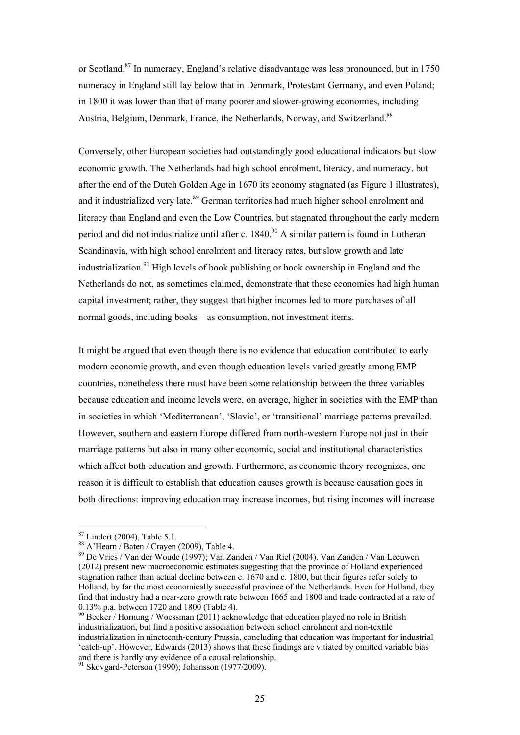or Scotland.<sup>87</sup> In numeracy, England's relative disadvantage was less pronounced, but in 1750 numeracy in England still lay below that in Denmark, Protestant Germany, and even Poland; in 1800 it was lower than that of many poorer and slower-growing economies, including Austria, Belgium, Denmark, France, the Netherlands, Norway, and Switzerland.<sup>88</sup>

Conversely, other European societies had outstandingly good educational indicators but slow economic growth. The Netherlands had high school enrolment, literacy, and numeracy, but after the end of the Dutch Golden Age in 1670 its economy stagnated (as Figure 1 illustrates), and it industrialized very late.<sup>89</sup> German territories had much higher school enrolment and literacy than England and even the Low Countries, but stagnated throughout the early modern period and did not industrialize until after c.  $1840<sup>90</sup>$  A similar pattern is found in Lutheran Scandinavia, with high school enrolment and literacy rates, but slow growth and late industrialization.<sup>91</sup> High levels of book publishing or book ownership in England and the Netherlands do not, as sometimes claimed, demonstrate that these economies had high human capital investment; rather, they suggest that higher incomes led to more purchases of all normal goods, including books – as consumption, not investment items.

It might be argued that even though there is no evidence that education contributed to early modern economic growth, and even though education levels varied greatly among EMP countries, nonetheless there must have been some relationship between the three variables because education and income levels were, on average, higher in societies with the EMP than in societies in which 'Mediterranean', 'Slavic', or 'transitional' marriage patterns prevailed. However, southern and eastern Europe differed from north-western Europe not just in their marriage patterns but also in many other economic, social and institutional characteristics which affect both education and growth. Furthermore, as economic theory recognizes, one reason it is difficult to establish that education causes growth is because causation goes in both directions: improving education may increase incomes, but rising incomes will increase

 $87$  Lindert (2004), Table 5.1.

<sup>88</sup> A'Hearn / Baten / Crayen (2009), Table 4.

<sup>89</sup> De Vries / Van der Woude (1997); Van Zanden / Van Riel (2004). Van Zanden / Van Leeuwen (2012) present new macroeconomic estimates suggesting that the province of Holland experienced stagnation rather than actual decline between c. 1670 and c. 1800, but their figures refer solely to Holland, by far the most economically successful province of the Netherlands. Even for Holland, they find that industry had a near-zero growth rate between 1665 and 1800 and trade contracted at a rate of 0.13% p.a. between 1720 and 1800 (Table 4).

 $90$  Becker / Hornung / Woessman (2011) acknowledge that education played no role in British industrialization, but find a positive association between school enrolment and non-textile industrialization in nineteenth-century Prussia, concluding that education was important for industrial 'catch-up'. However, Edwards (2013) shows that these findings are vitiated by omitted variable bias and there is hardly any evidence of a causal relationship.<br><sup>91</sup> Skovgard-Peterson (1990); Johansson (1977/2009).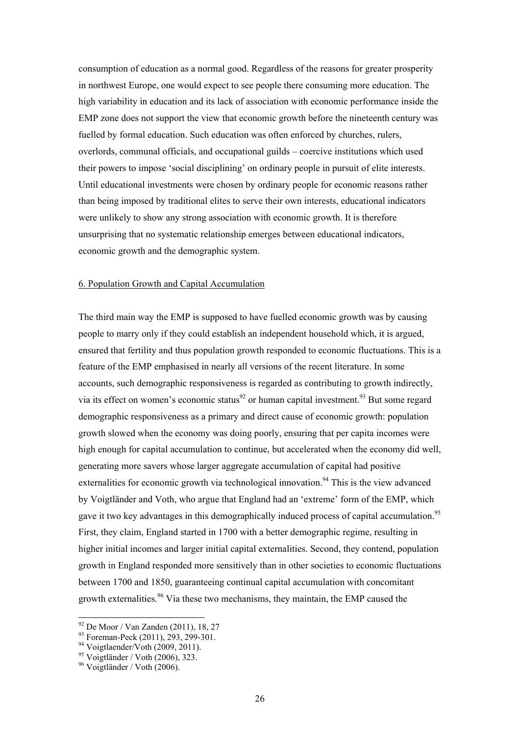consumption of education as a normal good. Regardless of the reasons for greater prosperity in northwest Europe, one would expect to see people there consuming more education. The high variability in education and its lack of association with economic performance inside the EMP zone does not support the view that economic growth before the nineteenth century was fuelled by formal education. Such education was often enforced by churches, rulers, overlords, communal officials, and occupational guilds – coercive institutions which used their powers to impose 'social disciplining' on ordinary people in pursuit of elite interests. Until educational investments were chosen by ordinary people for economic reasons rather than being imposed by traditional elites to serve their own interests, educational indicators were unlikely to show any strong association with economic growth. It is therefore unsurprising that no systematic relationship emerges between educational indicators, economic growth and the demographic system.

#### 6. Population Growth and Capital Accumulation

The third main way the EMP is supposed to have fuelled economic growth was by causing people to marry only if they could establish an independent household which, it is argued, ensured that fertility and thus population growth responded to economic fluctuations. This is a feature of the EMP emphasised in nearly all versions of the recent literature. In some accounts, such demographic responsiveness is regarded as contributing to growth indirectly, via its effect on women's economic status<sup>92</sup> or human capital investment.<sup>93</sup> But some regard demographic responsiveness as a primary and direct cause of economic growth: population growth slowed when the economy was doing poorly, ensuring that per capita incomes were high enough for capital accumulation to continue, but accelerated when the economy did well, generating more savers whose larger aggregate accumulation of capital had positive externalities for economic growth via technological innovation.<sup>94</sup> This is the view advanced by Voigtländer and Voth, who argue that England had an 'extreme' form of the EMP, which gave it two key advantages in this demographically induced process of capital accumulation.<sup>95</sup> First, they claim, England started in 1700 with a better demographic regime, resulting in higher initial incomes and larger initial capital externalities. Second, they contend, population growth in England responded more sensitively than in other societies to economic fluctuations between 1700 and 1850, guaranteeing continual capital accumulation with concomitant growth externalities.<sup>96</sup> Via these two mechanisms, they maintain, the EMP caused the

 $92$  De Moor / Van Zanden (2011), 18, 27

<sup>93</sup> Foreman-Peck (2011), 293, 299-301.

 $94$  Voigtlaender/Voth (2009, 2011).

<sup>95</sup> Voigtländer / Voth (2006), 323.

<sup>96</sup> Voigtländer / Voth (2006).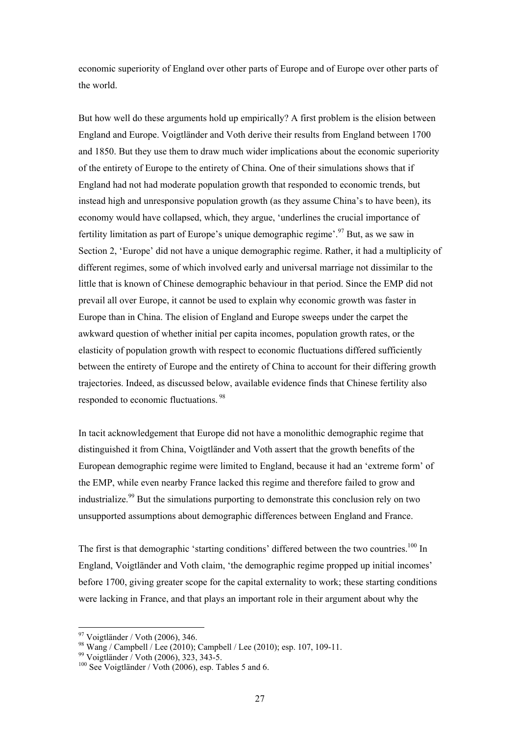economic superiority of England over other parts of Europe and of Europe over other parts of the world.

But how well do these arguments hold up empirically? A first problem is the elision between England and Europe. Voigtländer and Voth derive their results from England between 1700 and 1850. But they use them to draw much wider implications about the economic superiority of the entirety of Europe to the entirety of China. One of their simulations shows that if England had not had moderate population growth that responded to economic trends, but instead high and unresponsive population growth (as they assume China's to have been), its economy would have collapsed, which, they argue, 'underlines the crucial importance of fertility limitation as part of Europe's unique demographic regime'.97 But, as we saw in Section 2, 'Europe' did not have a unique demographic regime. Rather, it had a multiplicity of different regimes, some of which involved early and universal marriage not dissimilar to the little that is known of Chinese demographic behaviour in that period. Since the EMP did not prevail all over Europe, it cannot be used to explain why economic growth was faster in Europe than in China. The elision of England and Europe sweeps under the carpet the awkward question of whether initial per capita incomes, population growth rates, or the elasticity of population growth with respect to economic fluctuations differed sufficiently between the entirety of Europe and the entirety of China to account for their differing growth trajectories. Indeed, as discussed below, available evidence finds that Chinese fertility also responded to economic fluctuations. 98

In tacit acknowledgement that Europe did not have a monolithic demographic regime that distinguished it from China, Voigtländer and Voth assert that the growth benefits of the European demographic regime were limited to England, because it had an 'extreme form' of the EMP, while even nearby France lacked this regime and therefore failed to grow and industrialize.<sup>99</sup> But the simulations purporting to demonstrate this conclusion rely on two unsupported assumptions about demographic differences between England and France.

The first is that demographic 'starting conditions' differed between the two countries.<sup>100</sup> In England, Voigtländer and Voth claim, 'the demographic regime propped up initial incomes' before 1700, giving greater scope for the capital externality to work; these starting conditions were lacking in France, and that plays an important role in their argument about why the

 $\overline{a}$ 

 $97$  Voigtländer / Voth (2006), 346.

 $^{98}$  Wang / Campbell / Lee (2010); Campbell / Lee (2010); esp. 107, 109-11.

<sup>99</sup> Voigtländer / Voth (2006), 323, 343-5.

<sup>&</sup>lt;sup>100</sup> See Voigtländer / Voth (2006), esp. Tables 5 and 6.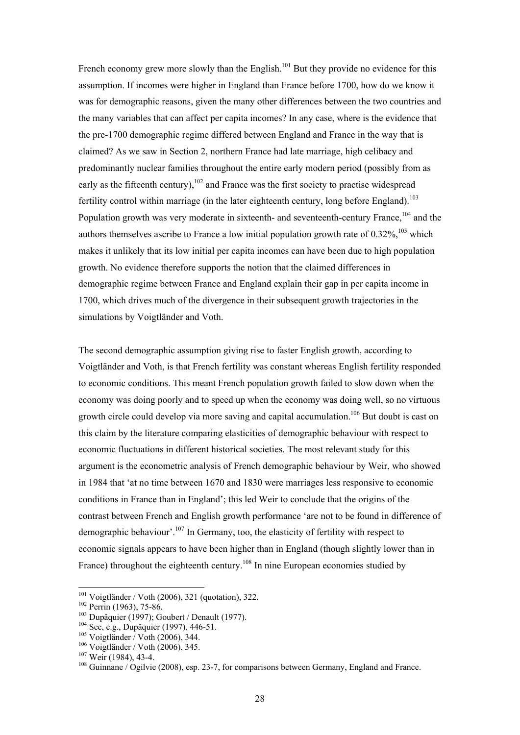French economy grew more slowly than the English.<sup>101</sup> But they provide no evidence for this assumption. If incomes were higher in England than France before 1700, how do we know it was for demographic reasons, given the many other differences between the two countries and the many variables that can affect per capita incomes? In any case, where is the evidence that the pre-1700 demographic regime differed between England and France in the way that is claimed? As we saw in Section 2, northern France had late marriage, high celibacy and predominantly nuclear families throughout the entire early modern period (possibly from as early as the fifteenth century),  $102$  and France was the first society to practise widespread fertility control within marriage (in the later eighteenth century, long before England).<sup>103</sup> Population growth was very moderate in sixteenth- and seventeenth-century France, <sup>104</sup> and the authors themselves ascribe to France a low initial population growth rate of  $0.32\%$ ,  $^{105}$  which makes it unlikely that its low initial per capita incomes can have been due to high population growth. No evidence therefore supports the notion that the claimed differences in demographic regime between France and England explain their gap in per capita income in 1700, which drives much of the divergence in their subsequent growth trajectories in the simulations by Voigtländer and Voth.

The second demographic assumption giving rise to faster English growth, according to Voigtländer and Voth, is that French fertility was constant whereas English fertility responded to economic conditions. This meant French population growth failed to slow down when the economy was doing poorly and to speed up when the economy was doing well, so no virtuous growth circle could develop via more saving and capital accumulation.<sup>106</sup> But doubt is cast on this claim by the literature comparing elasticities of demographic behaviour with respect to economic fluctuations in different historical societies. The most relevant study for this argument is the econometric analysis of French demographic behaviour by Weir, who showed in 1984 that 'at no time between 1670 and 1830 were marriages less responsive to economic conditions in France than in England'; this led Weir to conclude that the origins of the contrast between French and English growth performance 'are not to be found in difference of demographic behaviour'.107 In Germany, too, the elasticity of fertility with respect to economic signals appears to have been higher than in England (though slightly lower than in France) throughout the eighteenth century.<sup>108</sup> In nine European economies studied by

 $101$  Voigtländer / Voth (2006), 321 (quotation), 322.

<sup>&</sup>lt;sup>102</sup> Perrin (1963), 75-86.<br>
<sup>103</sup> Dupâquier (1997); Goubert / Denault (1977).<br>
<sup>104</sup> See, e.g., Dupâquier (1997), 446-51.<br>
<sup>105</sup> Voigtländer / Voth (2006), 344.<br>
<sup>106</sup> Voigtländer / Voth (2006), 345.<br>
<sup>107</sup> Weir (1984),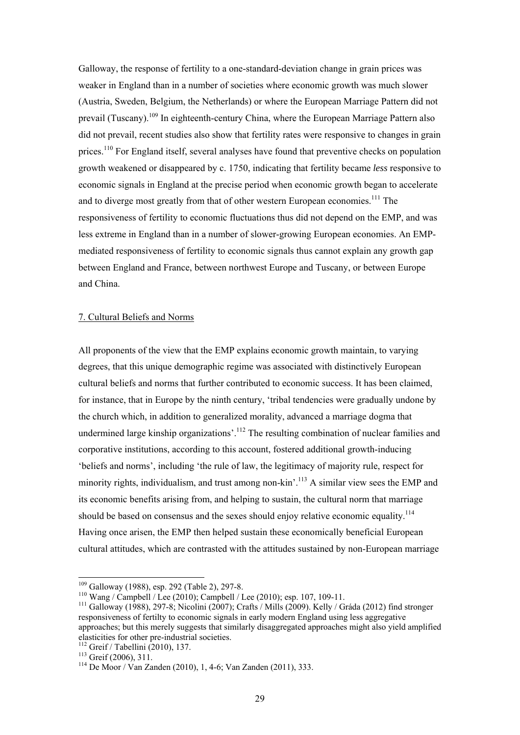Galloway, the response of fertility to a one-standard-deviation change in grain prices was weaker in England than in a number of societies where economic growth was much slower (Austria, Sweden, Belgium, the Netherlands) or where the European Marriage Pattern did not prevail (Tuscany).109 In eighteenth-century China, where the European Marriage Pattern also did not prevail, recent studies also show that fertility rates were responsive to changes in grain prices.<sup>110</sup> For England itself, several analyses have found that preventive checks on population growth weakened or disappeared by c. 1750, indicating that fertility became *less* responsive to economic signals in England at the precise period when economic growth began to accelerate and to diverge most greatly from that of other western European economies.<sup>111</sup> The responsiveness of fertility to economic fluctuations thus did not depend on the EMP, and was less extreme in England than in a number of slower-growing European economies. An EMPmediated responsiveness of fertility to economic signals thus cannot explain any growth gap between England and France, between northwest Europe and Tuscany, or between Europe and China.

#### 7. Cultural Beliefs and Norms

All proponents of the view that the EMP explains economic growth maintain, to varying degrees, that this unique demographic regime was associated with distinctively European cultural beliefs and norms that further contributed to economic success. It has been claimed, for instance, that in Europe by the ninth century, 'tribal tendencies were gradually undone by the church which, in addition to generalized morality, advanced a marriage dogma that undermined large kinship organizations'.<sup>112</sup> The resulting combination of nuclear families and corporative institutions, according to this account, fostered additional growth-inducing 'beliefs and norms', including 'the rule of law, the legitimacy of majority rule, respect for minority rights, individualism, and trust among non-kin'.<sup>113</sup> A similar view sees the EMP and its economic benefits arising from, and helping to sustain, the cultural norm that marriage should be based on consensus and the sexes should enjoy relative economic equality.<sup>114</sup> Having once arisen, the EMP then helped sustain these economically beneficial European cultural attitudes, which are contrasted with the attitudes sustained by non-European marriage

 $109$  Galloway (1988), esp. 292 (Table 2), 297-8.

<sup>&</sup>lt;sup>110</sup> Wang / Campbell / Lee (2010); Campbell / Lee (2010); esp. 107, 109-11.<br><sup>111</sup> Galloway (1988), 297-8; Nicolini (2007); Crafts / Mills (2009). Kelly / Gráda (2012) find stronger responsiveness of fertilty to economic signals in early modern England using less aggregative approaches; but this merely suggests that similarly disaggregated approaches might also yield amplified elasticities for other pre-industrial societies.<br> $\frac{112}{2}$  Greif / Tabellini (2010), 137.

<sup>&</sup>lt;sup>113</sup> Greif (2006), 311. <sup>114</sup> De Moor / Van Zanden (2010), 1, 4-6; Van Zanden (2011), 333.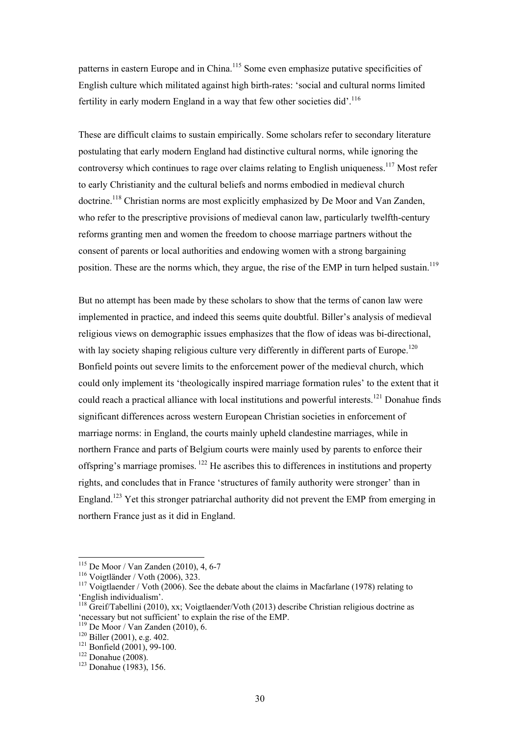patterns in eastern Europe and in China.<sup>115</sup> Some even emphasize putative specificities of English culture which militated against high birth-rates: 'social and cultural norms limited fertility in early modern England in a way that few other societies did'.<sup>116</sup>

These are difficult claims to sustain empirically. Some scholars refer to secondary literature postulating that early modern England had distinctive cultural norms, while ignoring the controversy which continues to rage over claims relating to English uniqueness.<sup>117</sup> Most refer to early Christianity and the cultural beliefs and norms embodied in medieval church doctrine.<sup>118</sup> Christian norms are most explicitly emphasized by De Moor and Van Zanden, who refer to the prescriptive provisions of medieval canon law, particularly twelfth-century reforms granting men and women the freedom to choose marriage partners without the consent of parents or local authorities and endowing women with a strong bargaining position. These are the norms which, they argue, the rise of the EMP in turn helped sustain.<sup>119</sup>

But no attempt has been made by these scholars to show that the terms of canon law were implemented in practice, and indeed this seems quite doubtful. Biller's analysis of medieval religious views on demographic issues emphasizes that the flow of ideas was bi-directional, with lay society shaping religious culture very differently in different parts of Europe.<sup>120</sup> Bonfield points out severe limits to the enforcement power of the medieval church, which could only implement its 'theologically inspired marriage formation rules' to the extent that it could reach a practical alliance with local institutions and powerful interests.<sup>121</sup> Donahue finds significant differences across western European Christian societies in enforcement of marriage norms: in England, the courts mainly upheld clandestine marriages, while in northern France and parts of Belgium courts were mainly used by parents to enforce their offspring's marriage promises. 122 He ascribes this to differences in institutions and property rights, and concludes that in France 'structures of family authority were stronger' than in England.<sup>123</sup> Yet this stronger patriarchal authority did not prevent the EMP from emerging in northern France just as it did in England.

 $115$  De Moor / Van Zanden (2010), 4, 6-7

<sup>&</sup>lt;sup>116</sup> Voigtländer / Voth (2006), 323.<br><sup>117</sup> Voigtlaender / Voth (2006). See the debate about the claims in Macfarlane (1978) relating to 'English individualism'.

<sup>&</sup>lt;sup>118</sup> Greif/Tabellini (2010), xx; Voigtlaender/Voth (2013) describe Christian religious doctrine as 'necessary but not sufficient' to explain the rise of the EMP.<br>
<sup>119</sup> De Moor / Van Zanden (2010), 6.<br>
<sup>120</sup> Biller (2001), e.g. 402.<br>
<sup>121</sup> Bonfield (2001), 99-100.<br>
<sup>122</sup> Donahue (2008).<br>
<sup>123</sup> Donahue (1983), 156.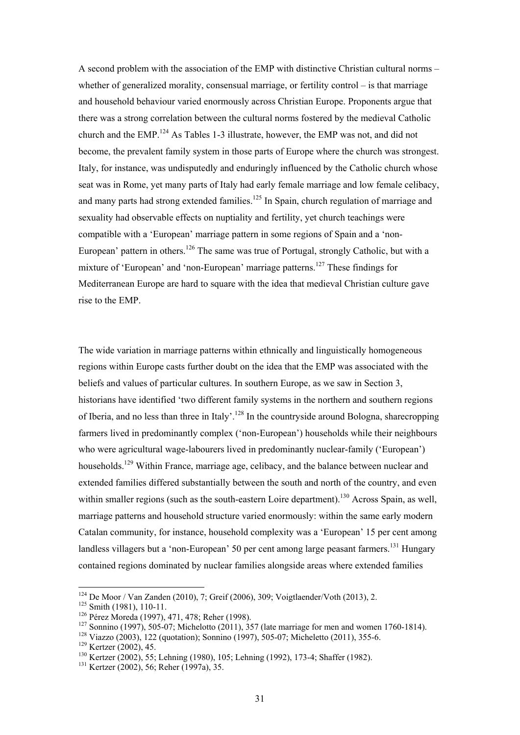A second problem with the association of the EMP with distinctive Christian cultural norms – whether of generalized morality, consensual marriage, or fertility control – is that marriage and household behaviour varied enormously across Christian Europe. Proponents argue that there was a strong correlation between the cultural norms fostered by the medieval Catholic church and the EMP.124 As Tables 1-3 illustrate, however, the EMP was not, and did not become, the prevalent family system in those parts of Europe where the church was strongest. Italy, for instance, was undisputedly and enduringly influenced by the Catholic church whose seat was in Rome, yet many parts of Italy had early female marriage and low female celibacy, and many parts had strong extended families.<sup>125</sup> In Spain, church regulation of marriage and sexuality had observable effects on nuptiality and fertility, yet church teachings were compatible with a 'European' marriage pattern in some regions of Spain and a 'non-European' pattern in others.<sup>126</sup> The same was true of Portugal, strongly Catholic, but with a mixture of 'European' and 'non-European' marriage patterns.<sup>127</sup> These findings for Mediterranean Europe are hard to square with the idea that medieval Christian culture gave rise to the EMP.

The wide variation in marriage patterns within ethnically and linguistically homogeneous regions within Europe casts further doubt on the idea that the EMP was associated with the beliefs and values of particular cultures. In southern Europe, as we saw in Section 3, historians have identified 'two different family systems in the northern and southern regions of Iberia, and no less than three in Italy'.128 In the countryside around Bologna, sharecropping farmers lived in predominantly complex ('non-European') households while their neighbours who were agricultural wage-labourers lived in predominantly nuclear-family ('European') households.<sup>129</sup> Within France, marriage age, celibacy, and the balance between nuclear and extended families differed substantially between the south and north of the country, and even within smaller regions (such as the south-eastern Loire department).<sup>130</sup> Across Spain, as well, marriage patterns and household structure varied enormously: within the same early modern Catalan community, for instance, household complexity was a 'European' 15 per cent among landless villagers but a 'non-European' 50 per cent among large peasant farmers.<sup>131</sup> Hungary contained regions dominated by nuclear families alongside areas where extended families

 $124$  De Moor / Van Zanden (2010), 7; Greif (2006), 309; Voigtlaender/Voth (2013), 2.

<sup>&</sup>lt;sup>125</sup> Smith (1981), 110-11.<br>
<sup>126</sup> Pérez Moreda (1997), 471, 478; Reher (1998).<br>
<sup>127</sup> Sonnino (1997), 505-07; Michelotto (2011), 357 (late marriage for men and women 1760-1814).<br>
<sup>128</sup> Viazzo (2003), 122 (quotation); Son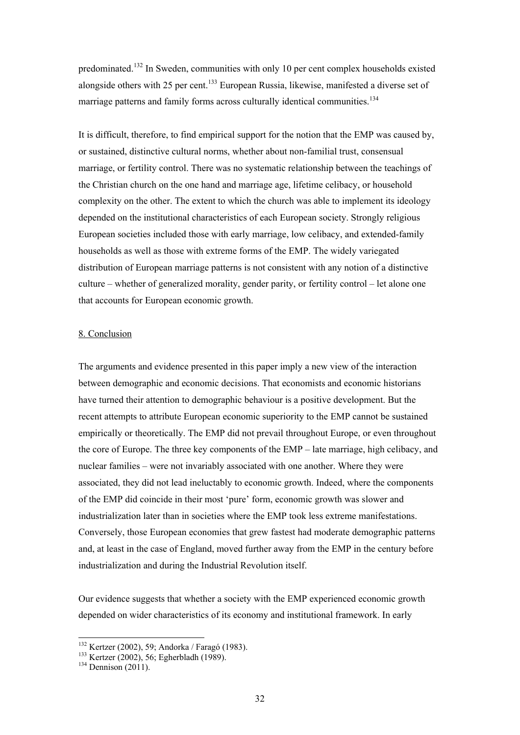predominated.132 In Sweden, communities with only 10 per cent complex households existed alongside others with 25 per cent.<sup>133</sup> European Russia, likewise, manifested a diverse set of marriage patterns and family forms across culturally identical communities.<sup>134</sup>

It is difficult, therefore, to find empirical support for the notion that the EMP was caused by, or sustained, distinctive cultural norms, whether about non-familial trust, consensual marriage, or fertility control. There was no systematic relationship between the teachings of the Christian church on the one hand and marriage age, lifetime celibacy, or household complexity on the other. The extent to which the church was able to implement its ideology depended on the institutional characteristics of each European society. Strongly religious European societies included those with early marriage, low celibacy, and extended-family households as well as those with extreme forms of the EMP. The widely variegated distribution of European marriage patterns is not consistent with any notion of a distinctive culture – whether of generalized morality, gender parity, or fertility control – let alone one that accounts for European economic growth.

#### 8. Conclusion

The arguments and evidence presented in this paper imply a new view of the interaction between demographic and economic decisions. That economists and economic historians have turned their attention to demographic behaviour is a positive development. But the recent attempts to attribute European economic superiority to the EMP cannot be sustained empirically or theoretically. The EMP did not prevail throughout Europe, or even throughout the core of Europe. The three key components of the EMP – late marriage, high celibacy, and nuclear families – were not invariably associated with one another. Where they were associated, they did not lead ineluctably to economic growth. Indeed, where the components of the EMP did coincide in their most 'pure' form, economic growth was slower and industrialization later than in societies where the EMP took less extreme manifestations. Conversely, those European economies that grew fastest had moderate demographic patterns and, at least in the case of England, moved further away from the EMP in the century before industrialization and during the Industrial Revolution itself.

Our evidence suggests that whether a society with the EMP experienced economic growth depended on wider characteristics of its economy and institutional framework. In early

 $132$  Kertzer (2002), 59; Andorka / Faragó (1983).

<sup>133</sup> Kertzer (2002), 56; Andrews (1989).<br>
<sup>134</sup> Dennison (2011).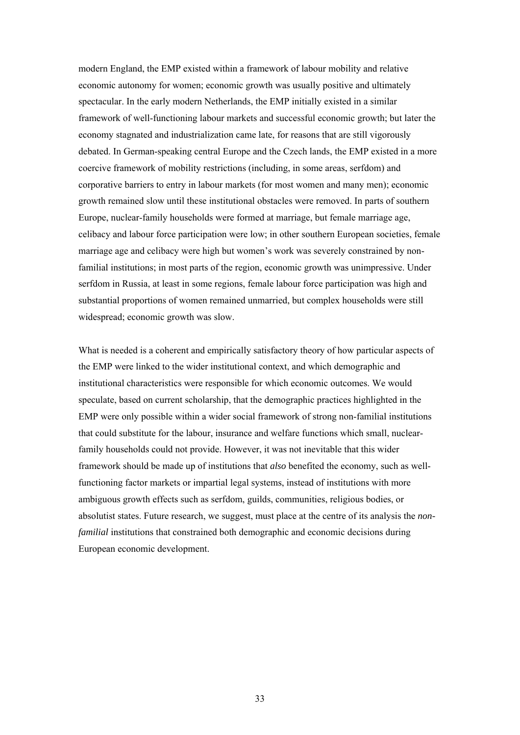modern England, the EMP existed within a framework of labour mobility and relative economic autonomy for women; economic growth was usually positive and ultimately spectacular. In the early modern Netherlands, the EMP initially existed in a similar framework of well-functioning labour markets and successful economic growth; but later the economy stagnated and industrialization came late, for reasons that are still vigorously debated. In German-speaking central Europe and the Czech lands, the EMP existed in a more coercive framework of mobility restrictions (including, in some areas, serfdom) and corporative barriers to entry in labour markets (for most women and many men); economic growth remained slow until these institutional obstacles were removed. In parts of southern Europe, nuclear-family households were formed at marriage, but female marriage age, celibacy and labour force participation were low; in other southern European societies, female marriage age and celibacy were high but women's work was severely constrained by nonfamilial institutions; in most parts of the region, economic growth was unimpressive. Under serfdom in Russia, at least in some regions, female labour force participation was high and substantial proportions of women remained unmarried, but complex households were still widespread; economic growth was slow.

What is needed is a coherent and empirically satisfactory theory of how particular aspects of the EMP were linked to the wider institutional context, and which demographic and institutional characteristics were responsible for which economic outcomes. We would speculate, based on current scholarship, that the demographic practices highlighted in the EMP were only possible within a wider social framework of strong non-familial institutions that could substitute for the labour, insurance and welfare functions which small, nuclearfamily households could not provide. However, it was not inevitable that this wider framework should be made up of institutions that *also* benefited the economy, such as wellfunctioning factor markets or impartial legal systems, instead of institutions with more ambiguous growth effects such as serfdom, guilds, communities, religious bodies, or absolutist states. Future research, we suggest, must place at the centre of its analysis the *nonfamilial* institutions that constrained both demographic and economic decisions during European economic development.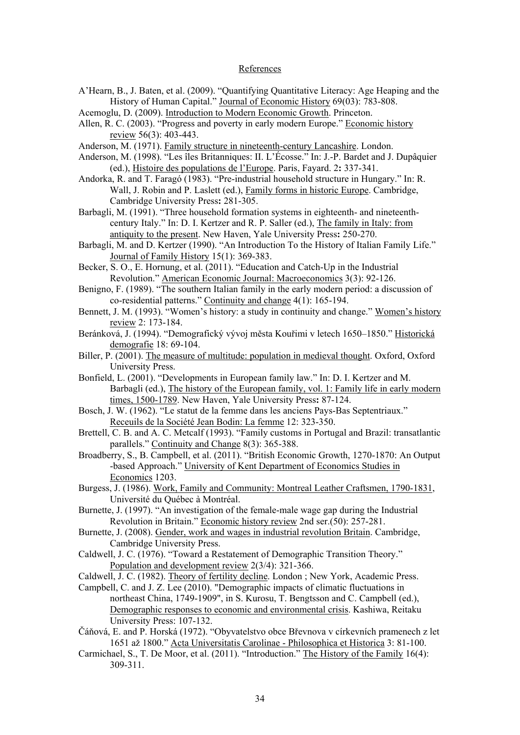#### References

A'Hearn, B., J. Baten, et al. (2009). "Quantifying Quantitative Literacy: Age Heaping and the History of Human Capital." Journal of Economic History 69(03): 783-808.

Acemoglu, D. (2009). Introduction to Modern Economic Growth. Princeton.

- Allen, R. C. (2003). "Progress and poverty in early modern Europe." Economic history review 56(3): 403-443.
- Anderson, M. (1971). Family structure in nineteenth-century Lancashire. London.
- Anderson, M. (1998). "Les îles Britanniques: II. L'Écosse." In: J.-P. Bardet and J. Dupâquier (ed.), Histoire des populations de l'Europe. Paris, Fayard. 2**:** 337-341.
- Andorka, R. and T. Faragó (1983). "Pre-industrial household structure in Hungary." In: R. Wall, J. Robin and P. Laslett (ed.), Family forms in historic Europe. Cambridge, Cambridge University Press**:** 281-305.
- Barbagli, M. (1991). "Three household formation systems in eighteenth- and nineteenthcentury Italy." In: D. I. Kertzer and R. P. Saller (ed.), The family in Italy: from antiquity to the present. New Haven, Yale University Press**:** 250-270.
- Barbagli, M. and D. Kertzer (1990). "An Introduction To the History of Italian Family Life." Journal of Family History 15(1): 369-383.
- Becker, S. O., E. Hornung, et al. (2011). "Education and Catch-Up in the Industrial Revolution." American Economic Journal: Macroeconomics 3(3): 92-126.
- Benigno, F. (1989). "The southern Italian family in the early modern period: a discussion of co-residential patterns." Continuity and change 4(1): 165-194.
- Bennett, J. M. (1993). "Women's history: a study in continuity and change." Women's history review 2: 173-184.
- Beránková, J. (1994). "Demografický vývoj města Kouřimi v letech 1650–1850." Historická demografie 18: 69-104.
- Biller, P. (2001). The measure of multitude: population in medieval thought. Oxford, Oxford University Press.
- Bonfield, L. (2001). "Developments in European family law." In: D. I. Kertzer and M. Barbagli (ed.), The history of the European family, vol. 1: Family life in early modern times, 1500-1789. New Haven, Yale University Press**:** 87-124.
- Bosch, J. W. (1962). "Le statut de la femme dans les anciens Pays-Bas Septentriaux." Receuils de la Société Jean Bodin: La femme 12: 323-350.
- Brettell, C. B. and A. C. Metcalf (1993). "Family customs in Portugal and Brazil: transatlantic parallels." Continuity and Change 8(3): 365-388.
- Broadberry, S., B. Campbell, et al. (2011). "British Economic Growth, 1270-1870: An Output -based Approach." University of Kent Department of Economics Studies in Economics 1203.
- Burgess, J. (1986). Work, Family and Community: Montreal Leather Craftsmen, 1790-1831, Université du Québec à Montréal.
- Burnette, J. (1997). "An investigation of the female-male wage gap during the Industrial Revolution in Britain." Economic history review 2nd ser.(50): 257-281.
- Burnette, J. (2008). Gender, work and wages in industrial revolution Britain. Cambridge, Cambridge University Press.
- Caldwell, J. C. (1976). "Toward a Restatement of Demographic Transition Theory." Population and development review 2(3/4): 321-366.
- Caldwell, J. C. (1982). Theory of fertility decline. London ; New York, Academic Press.
- Campbell, C. and J. Z. Lee (2010). "Demographic impacts of climatic fluctuations in northeast China, 1749-1909", in S. Kurosu, T. Bengtsson and C. Campbell (ed.), Demographic responses to economic and environmental crisis. Kashiwa, Reitaku University Press: 107-132.
- Čáňová, E. and P. Horská (1972). "Obyvatelstvo obce Břevnova v církevních pramenech z let 1651 až 1800." Acta Universitatis Carolinae - Philosophica et Historica 3: 81-100.
- Carmichael, S., T. De Moor, et al. (2011). "Introduction." The History of the Family 16(4): 309-311.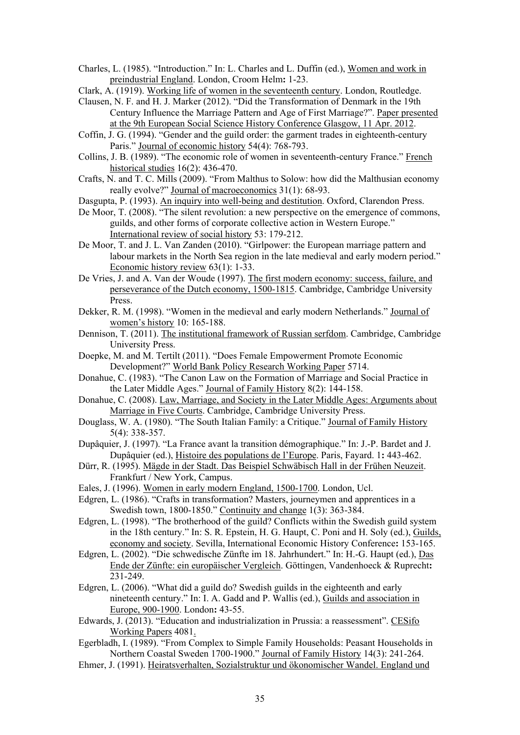Charles, L. (1985). "Introduction." In: L. Charles and L. Duffin (ed.), Women and work in preindustrial England. London, Croom Helm**:** 1-23.

Clark, A. (1919). Working life of women in the seventeenth century. London, Routledge.

- Clausen, N. F. and H. J. Marker (2012). "Did the Transformation of Denmark in the 19th Century Influence the Marriage Pattern and Age of First Marriage?". Paper presented at the 9th European Social Science History Conference Glasgow, 11 Apr. 2012.
- Coffin, J. G. (1994). "Gender and the guild order: the garment trades in eighteenth-century Paris." Journal of economic history 54(4): 768-793.
- Collins, J. B. (1989). "The economic role of women in seventeenth-century France." French historical studies 16(2): 436-470.
- Crafts, N. and T. C. Mills (2009). "From Malthus to Solow: how did the Malthusian economy really evolve?" Journal of macroeconomics 31(1): 68-93.
- Dasgupta, P. (1993). An inquiry into well-being and destitution. Oxford, Clarendon Press.
- De Moor, T. (2008). "The silent revolution: a new perspective on the emergence of commons, guilds, and other forms of corporate collective action in Western Europe." International review of social history 53: 179-212.
- De Moor, T. and J. L. Van Zanden (2010). "Girlpower: the European marriage pattern and labour markets in the North Sea region in the late medieval and early modern period." Economic history review 63(1): 1-33.

De Vries, J. and A. Van der Woude (1997). The first modern economy: success, failure, and perseverance of the Dutch economy, 1500-1815. Cambridge, Cambridge University Press.

- Dekker, R. M. (1998). "Women in the medieval and early modern Netherlands." Journal of women's history 10: 165-188.
- Dennison, T. (2011). The institutional framework of Russian serfdom. Cambridge, Cambridge University Press.
- Doepke, M. and M. Tertilt (2011). "Does Female Empowerment Promote Economic Development?" World Bank Policy Research Working Paper 5714.
- Donahue, C. (1983). "The Canon Law on the Formation of Marriage and Social Practice in the Later Middle Ages." Journal of Family History 8(2): 144-158.
- Donahue, C. (2008). Law, Marriage, and Society in the Later Middle Ages: Arguments about Marriage in Five Courts. Cambridge, Cambridge University Press.
- Douglass, W. A. (1980). "The South Italian Family: a Critique." Journal of Family History 5(4): 338-357.
- Dupâquier, J. (1997). "La France avant la transition démographique." In: J.-P. Bardet and J. Dupâquier (ed.), Histoire des populations de l'Europe. Paris, Fayard. 1**:** 443-462.
- Dürr, R. (1995). Mägde in der Stadt. Das Beispiel Schwäbisch Hall in der Frühen Neuzeit. Frankfurt / New York, Campus.
- Eales, J. (1996). Women in early modern England, 1500-1700. London, Ucl.
- Edgren, L. (1986). "Crafts in transformation? Masters, journeymen and apprentices in a Swedish town, 1800-1850." Continuity and change 1(3): 363-384.
- Edgren, L. (1998). "The brotherhood of the guild? Conflicts within the Swedish guild system in the 18th century." In: S. R. Epstein, H. G. Haupt, C. Poni and H. Soly (ed.), Guilds, economy and society. Sevilla, International Economic History Conference**:** 153-165.
- Edgren, L. (2002). "Die schwedische Zünfte im 18. Jahrhundert." In: H.-G. Haupt (ed.), Das Ende der Zünfte: ein europäischer Vergleich. Göttingen, Vandenhoeck & Ruprecht**:**  231-249.
- Edgren, L. (2006). "What did a guild do? Swedish guilds in the eighteenth and early nineteenth century." In: I. A. Gadd and P. Wallis (ed.), Guilds and association in Europe, 900-1900. London**:** 43-55.
- Edwards, J. (2013). "Education and industrialization in Prussia: a reassessment". CESifo Working Papers 4081.
- Egerbladh, I. (1989). "From Complex to Simple Family Households: Peasant Households in Northern Coastal Sweden 1700-1900." Journal of Family History 14(3): 241-264.
- Ehmer, J. (1991). Heiratsverhalten, Sozialstruktur und ökonomischer Wandel. England und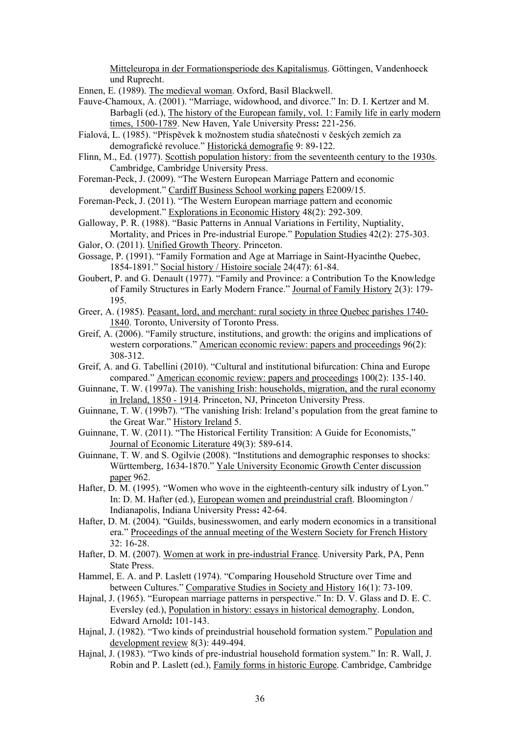Mitteleuropa in der Formationsperiode des Kapitalismus. Göttingen, Vandenhoeck und Ruprecht.

- Ennen, E. (1989). The medieval woman. Oxford, Basil Blackwell.
- Fauve-Chamoux, A. (2001). "Marriage, widowhood, and divorce." In: D. I. Kertzer and M. Barbagli (ed.), The history of the European family, vol. 1: Family life in early modern times, 1500-1789. New Haven, Yale University Press**:** 221-256.
- Fialová, L. (1985). "Příspěvek k možnostem studia sňatečnosti v českých zemích za demografické revoluce." Historická demografie 9: 89-122.
- Flinn, M., Ed. (1977). Scottish population history: from the seventeenth century to the 1930s. Cambridge, Cambridge University Press.
- Foreman-Peck, J. (2009). "The Western European Marriage Pattern and economic development." Cardiff Business School working papers E2009/15.
- Foreman-Peck, J. (2011). "The Western European marriage pattern and economic development." Explorations in Economic History 48(2): 292-309.
- Galloway, P. R. (1988). "Basic Patterns in Annual Variations in Fertility, Nuptiality, Mortality, and Prices in Pre-industrial Europe." Population Studies 42(2): 275-303.
- Galor, O. (2011). Unified Growth Theory. Princeton.
- Gossage, P. (1991). "Family Formation and Age at Marriage in Saint-Hyacinthe Quebec, 1854-1891." Social history / Histoire sociale 24(47): 61-84.
- Goubert, P. and G. Denault (1977). "Family and Province: a Contribution To the Knowledge of Family Structures in Early Modern France." Journal of Family History 2(3): 179- 195.
- Greer, A. (1985). Peasant, lord, and merchant: rural society in three Quebec parishes 1740- 1840. Toronto, University of Toronto Press.
- Greif, A. (2006). "Family structure, institutions, and growth: the origins and implications of western corporations." American economic review: papers and proceedings 96(2): 308-312.
- Greif, A. and G. Tabellini (2010). "Cultural and institutional bifurcation: China and Europe compared." American economic review: papers and proceedings 100(2): 135-140.
- Guinnane, T. W. (1997a). The vanishing Irish: households, migration, and the rural economy in Ireland, 1850 - 1914. Princeton, NJ, Princeton University Press.
- Guinnane, T. W. (199b7). "The vanishing Irish: Ireland's population from the great famine to the Great War." History Ireland 5.
- Guinnane, T. W. (2011). "The Historical Fertility Transition: A Guide for Economists," Journal of Economic Literature 49(3): 589-614.
- Guinnane, T. W. and S. Ogilvie (2008). "Institutions and demographic responses to shocks: Württemberg, 1634-1870." Yale University Economic Growth Center discussion paper 962.
- Hafter, D. M. (1995). "Women who wove in the eighteenth-century silk industry of Lyon." In: D. M. Hafter (ed.), European women and preindustrial craft. Bloomington / Indianapolis, Indiana University Press**:** 42-64.
- Hafter, D. M. (2004). "Guilds, businesswomen, and early modern economics in a transitional era." Proceedings of the annual meeting of the Western Society for French History 32: 16-28.
- Hafter, D. M. (2007). Women at work in pre-industrial France. University Park, PA, Penn State Press.
- Hammel, E. A. and P. Laslett (1974). "Comparing Household Structure over Time and between Cultures." Comparative Studies in Society and History 16(1): 73-109.
- Hajnal, J. (1965). "European marriage patterns in perspective." In: D. V. Glass and D. E. C. Eversley (ed.), Population in history: essays in historical demography. London, Edward Arnold**:** 101-143.
- Hajnal, J. (1982). "Two kinds of preindustrial household formation system." Population and development review 8(3): 449-494.
- Hajnal, J. (1983). "Two kinds of pre-industrial household formation system." In: R. Wall, J. Robin and P. Laslett (ed.), Family forms in historic Europe. Cambridge, Cambridge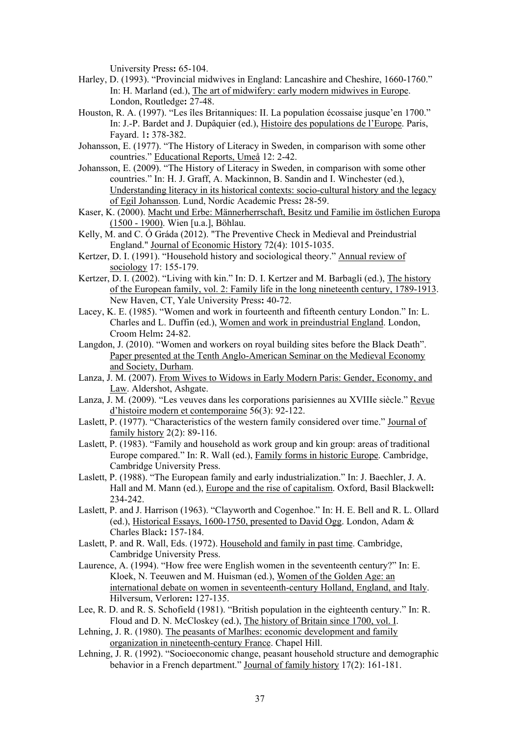University Press**:** 65-104.

- Harley, D. (1993). "Provincial midwives in England: Lancashire and Cheshire, 1660-1760." In: H. Marland (ed.), The art of midwifery: early modern midwives in Europe. London, Routledge**:** 27-48.
- Houston, R. A. (1997). "Les îles Britanniques: II. La population écossaise jusque'en 1700." In: J.-P. Bardet and J. Dupâquier (ed.), Histoire des populations de l'Europe. Paris, Fayard. 1**:** 378-382.
- Johansson, E. (1977). "The History of Literacy in Sweden, in comparison with some other countries." Educational Reports, Umeå 12: 2-42.
- Johansson, E. (2009). "The History of Literacy in Sweden, in comparison with some other countries." In: H. J. Graff, A. Mackinnon, B. Sandin and I. Winchester (ed.), Understanding literacy in its historical contexts: socio-cultural history and the legacy of Egil Johansson. Lund, Nordic Academic Press**:** 28-59.
- Kaser, K. (2000). Macht und Erbe: Männerherrschaft, Besitz und Familie im östlichen Europa (1500 - 1900). Wien [u.a.], Böhlau.
- Kelly, M. and C. Ó Gráda (2012). "The Preventive Check in Medieval and Preindustrial England." Journal of Economic History 72(4): 1015-1035.
- Kertzer, D. I. (1991). "Household history and sociological theory." Annual review of sociology 17: 155-179.
- Kertzer, D. I. (2002). "Living with kin." In: D. I. Kertzer and M. Barbagli (ed.), The history of the European family, vol. 2: Family life in the long nineteenth century, 1789-1913. New Haven, CT, Yale University Press**:** 40-72.
- Lacey, K. E. (1985). "Women and work in fourteenth and fifteenth century London." In: L. Charles and L. Duffin (ed.), Women and work in preindustrial England. London, Croom Helm**:** 24-82.
- Langdon, J. (2010). "Women and workers on royal building sites before the Black Death". Paper presented at the Tenth Anglo-American Seminar on the Medieval Economy and Society, Durham.
- Lanza, J. M. (2007). From Wives to Widows in Early Modern Paris: Gender, Economy, and Law. Aldershot, Ashgate.
- Lanza, J. M. (2009). "Les veuves dans les corporations parisiennes au XVIIIe siècle." Revue d'histoire modern et contemporaine 56(3): 92-122.
- Laslett, P. (1977). "Characteristics of the western family considered over time." Journal of family history 2(2): 89-116.
- Laslett, P. (1983). "Family and household as work group and kin group: areas of traditional Europe compared." In: R. Wall (ed.), Family forms in historic Europe. Cambridge, Cambridge University Press.
- Laslett, P. (1988). "The European family and early industrialization." In: J. Baechler, J. A. Hall and M. Mann (ed.), Europe and the rise of capitalism. Oxford, Basil Blackwell**:**  234-242.
- Laslett, P. and J. Harrison (1963). "Clayworth and Cogenhoe." In: H. E. Bell and R. L. Ollard (ed.), Historical Essays, 1600-1750, presented to David Ogg. London, Adam & Charles Black**:** 157-184.
- Laslett, P. and R. Wall, Eds. (1972). Household and family in past time. Cambridge, Cambridge University Press.
- Laurence, A. (1994). "How free were English women in the seventeenth century?" In: E. Kloek, N. Teeuwen and M. Huisman (ed.), Women of the Golden Age: an international debate on women in seventeenth-century Holland, England, and Italy. Hilversum, Verloren**:** 127-135.
- Lee, R. D. and R. S. Schofield (1981). "British population in the eighteenth century." In: R. Floud and D. N. McCloskey (ed.), The history of Britain since 1700, vol. I.
- Lehning, J. R. (1980). The peasants of Marlhes: economic development and family organization in nineteenth-century France. Chapel Hill.
- Lehning, J. R. (1992). "Socioeconomic change, peasant household structure and demographic behavior in a French department." Journal of family history 17(2): 161-181.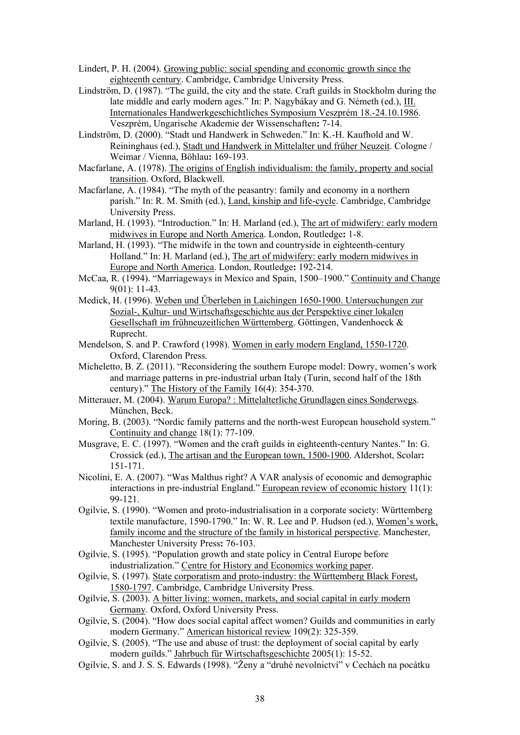- Lindert, P. H. (2004). Growing public: social spending and economic growth since the eighteenth century. Cambridge, Cambridge University Press.
- Lindström, D. (1987). "The guild, the city and the state. Craft guilds in Stockholm during the late middle and early modern ages." In: P. Nagybákay and G. Németh (ed.), III. Internationales Handwerkgeschichtliches Symposium Veszprém 18.-24.10.1986. Veszprém, Ungarische Akademie der Wissenschaften**:** 7-14.
- Lindström, D. (2000). "Stadt und Handwerk in Schweden." In: K.-H. Kaufhold and W. Reininghaus (ed.), Stadt und Handwerk in Mittelalter und früher Neuzeit. Cologne / Weimar / Vienna, Böhlau**:** 169-193.
- Macfarlane, A. (1978). The origins of English individualism: the family, property and social transition. Oxford, Blackwell.
- Macfarlane, A. (1984). "The myth of the peasantry: family and economy in a northern parish." In: R. M. Smith (ed.), Land, kinship and life-cycle. Cambridge, Cambridge University Press.
- Marland, H. (1993). "Introduction." In: H. Marland (ed.), The art of midwifery: early modern midwives in Europe and North America. London, Routledge**:** 1-8.
- Marland, H. (1993). "The midwife in the town and countryside in eighteenth-century Holland." In: H. Marland (ed.), The art of midwifery: early modern midwives in Europe and North America. London, Routledge**:** 192-214.
- McCaa, R. (1994). "Marriageways in Mexico and Spain, 1500–1900." Continuity and Change 9(01): 11-43.
- Medick, H. (1996). Weben und Überleben in Laichingen 1650-1900. Untersuchungen zur Sozial-, Kultur- und Wirtschaftsgeschichte aus der Perspektive einer lokalen Gesellschaft im frühneuzeitlichen Württemberg. Göttingen, Vandenhoeck & Ruprecht.
- Mendelson, S. and P. Crawford (1998). Women in early modern England, 1550-1720. Oxford, Clarendon Press.
- Micheletto, B. Z. (2011). "Reconsidering the southern Europe model: Dowry, women's work and marriage patterns in pre-industrial urban Italy (Turin, second half of the 18th century)." The History of the Family 16(4): 354-370.
- Mitterauer, M. (2004). Warum Europa? : Mittelalterliche Grundlagen eines Sonderwegs. München, Beck.
- Moring, B. (2003). "Nordic family patterns and the north-west European household system." Continuity and change 18(1): 77-109.
- Musgrave, E. C. (1997). "Women and the craft guilds in eighteenth-century Nantes." In: G. Crossick (ed.), The artisan and the European town, 1500-1900. Aldershot, Scolar**:**  151-171.
- Nicolini, E. A. (2007). "Was Malthus right? A VAR analysis of economic and demographic interactions in pre-industrial England." European review of economic history 11(1): 99-121.
- Ogilvie, S. (1990). "Women and proto-industrialisation in a corporate society: Württemberg textile manufacture, 1590-1790." In: W. R. Lee and P. Hudson (ed.), Women's work, family income and the structure of the family in historical perspective. Manchester, Manchester University Press**:** 76-103.
- Ogilvie, S. (1995). "Population growth and state policy in Central Europe before industrialization." Centre for History and Economics working paper.
- Ogilvie, S. (1997). State corporatism and proto-industry: the Württemberg Black Forest, 1580-1797. Cambridge, Cambridge University Press.
- Ogilvie, S. (2003). A bitter living: women, markets, and social capital in early modern Germany. Oxford, Oxford University Press.
- Ogilvie, S. (2004). "How does social capital affect women? Guilds and communities in early modern Germany." American historical review 109(2): 325-359.
- Ogilvie, S. (2005). "The use and abuse of trust: the deployment of social capital by early modern guilds." Jahrbuch für Wirtschaftsgeschichte 2005(1): 15-52.
- Ogilvie, S. and J. S. S. Edwards (1998). "Ženy a "druhé nevolnictví" v Cechách na pocátku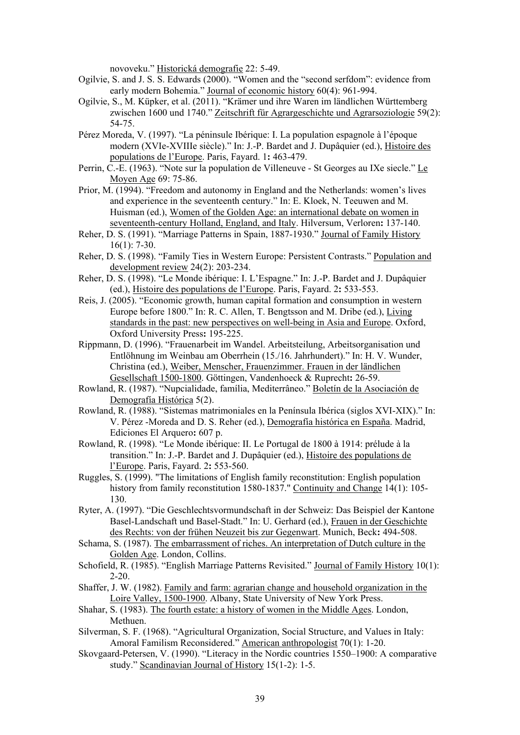novoveku." Historická demografie 22: 5-49.

- Ogilvie, S. and J. S. S. Edwards (2000). "Women and the "second serfdom": evidence from early modern Bohemia." Journal of economic history 60(4): 961-994.
- Ogilvie, S., M. Küpker, et al. (2011). "Krämer und ihre Waren im ländlichen Württemberg zwischen 1600 und 1740." Zeitschrift für Agrargeschichte und Agrarsoziologie 59(2): 54-75.
- Pérez Moreda, V. (1997). "La péninsule Ibérique: I. La population espagnole à l'époque modern (XVIe-XVIIIe siècle)." In: J.-P. Bardet and J. Dupâquier (ed.), Histoire des populations de l'Europe. Paris, Fayard. 1**:** 463-479.
- Perrin, C.-E. (1963). "Note sur la population de Villeneuve St Georges au IXe siecle." Le Moyen Age 69: 75-86.
- Prior, M. (1994). "Freedom and autonomy in England and the Netherlands: women's lives and experience in the seventeenth century." In: E. Kloek, N. Teeuwen and M. Huisman (ed.), Women of the Golden Age: an international debate on women in seventeenth-century Holland, England, and Italy. Hilversum, Verloren**:** 137-140.
- Reher, D. S. (1991). "Marriage Patterns in Spain, 1887-1930." Journal of Family History 16(1): 7-30.
- Reher, D. S. (1998). "Family Ties in Western Europe: Persistent Contrasts." Population and development review 24(2): 203-234.
- Reher, D. S. (1998). "Le Monde ibérique: I. L'Espagne." In: J.-P. Bardet and J. Dupâquier (ed.), Histoire des populations de l'Europe. Paris, Fayard. 2**:** 533-553.
- Reis, J. (2005). "Economic growth, human capital formation and consumption in western Europe before 1800." In: R. C. Allen, T. Bengtsson and M. Dribe (ed.), Living standards in the past: new perspectives on well-being in Asia and Europe. Oxford, Oxford University Press**:** 195-225.
- Rippmann, D. (1996). "Frauenarbeit im Wandel. Arbeitsteilung, Arbeitsorganisation und Entlöhnung im Weinbau am Oberrhein (15./16. Jahrhundert)." In: H. V. Wunder, Christina (ed.), Weiber, Menscher, Frauenzimmer. Frauen in der ländlichen Gesellschaft 1500-1800. Göttingen, Vandenhoeck & Ruprecht**:** 26-59.
- Rowland, R. (1987). "Nupcialidade, família, Mediterrâneo." Boletín de la Asociación de Demografía Histórica 5(2).
- Rowland, R. (1988). "Sistemas matrimoniales en la Península Ibérica (siglos XVI-XIX)." In: V. Pérez -Moreda and D. S. Reher (ed.), Demografía histórica en España. Madrid, Ediciones El Arquero**:** 607 p.
- Rowland, R. (1998). "Le Monde ibérique: II. Le Portugal de 1800 à 1914: prélude à la transition." In: J.-P. Bardet and J. Dupâquier (ed.), Histoire des populations de l'Europe. Paris, Fayard. 2**:** 553-560.
- Ruggles, S. (1999). "The limitations of English family reconstitution: English population history from family reconstitution 1580-1837." Continuity and Change 14(1): 105-130.
- Ryter, A. (1997). "Die Geschlechtsvormundschaft in der Schweiz: Das Beispiel der Kantone Basel-Landschaft und Basel-Stadt." In: U. Gerhard (ed.), Frauen in der Geschichte des Rechts: von der frühen Neuzeit bis zur Gegenwart. Munich, Beck**:** 494-508.
- Schama, S. (1987). The embarrassment of riches. An interpretation of Dutch culture in the Golden Age. London, Collins.
- Schofield, R. (1985). "English Marriage Patterns Revisited." Journal of Family History 10(1): 2-20.
- Shaffer, J. W. (1982). Family and farm: agrarian change and household organization in the Loire Valley, 1500-1900. Albany, State University of New York Press.
- Shahar, S. (1983). The fourth estate: a history of women in the Middle Ages. London, Methuen.
- Silverman, S. F. (1968). "Agricultural Organization, Social Structure, and Values in Italy: Amoral Familism Reconsidered." American anthropologist 70(1): 1-20.
- Skovgaard-Petersen, V. (1990). "Literacy in the Nordic countries 1550–1900: A comparative study." Scandinavian Journal of History 15(1-2): 1-5.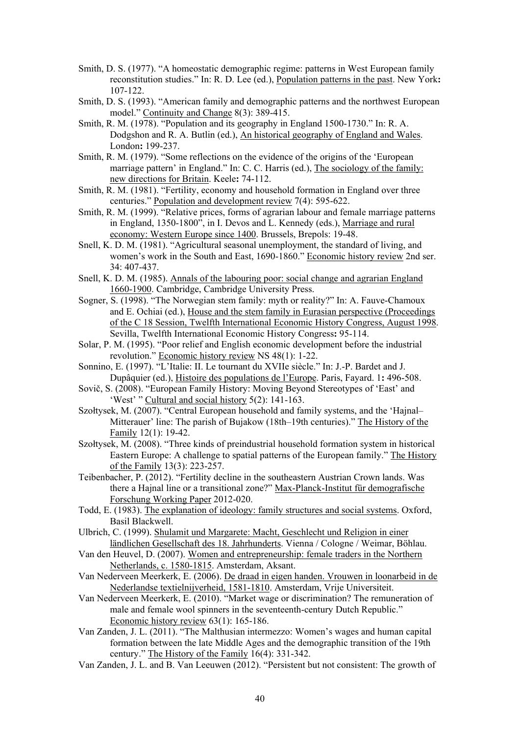- Smith, D. S. (1977). "A homeostatic demographic regime: patterns in West European family reconstitution studies." In: R. D. Lee (ed.), Population patterns in the past. New York**:**  107-122.
- Smith, D. S. (1993). "American family and demographic patterns and the northwest European model." Continuity and Change 8(3): 389-415.
- Smith, R. M. (1978). "Population and its geography in England 1500-1730." In: R. A. Dodgshon and R. A. Butlin (ed.), An historical geography of England and Wales. London**:** 199-237.
- Smith, R. M. (1979). "Some reflections on the evidence of the origins of the 'European marriage pattern' in England." In: C. C. Harris (ed.), The sociology of the family: new directions for Britain. Keele**:** 74-112.
- Smith, R. M. (1981). "Fertility, economy and household formation in England over three centuries." Population and development review 7(4): 595-622.
- Smith, R. M. (1999). "Relative prices, forms of agrarian labour and female marriage patterns in England, 1350-1800", in I. Devos and L. Kennedy (eds.), Marriage and rural economy: Western Europe since 1400. Brussels, Brepols: 19-48.
- Snell, K. D. M. (1981). "Agricultural seasonal unemployment, the standard of living, and women's work in the South and East, 1690-1860." Economic history review 2nd ser. 34: 407-437.
- Snell, K. D. M. (1985). Annals of the labouring poor: social change and agrarian England 1660-1900. Cambridge, Cambridge University Press.
- Sogner, S. (1998). "The Norwegian stem family: myth or reality?" In: A. Fauve-Chamoux and E. Ochiai (ed.), House and the stem family in Eurasian perspective (Proceedings of the C 18 Session, Twelfth International Economic History Congress, August 1998. Sevilla, Twelfth International Economic History Congress**:** 95-114.
- Solar, P. M. (1995). "Poor relief and English economic development before the industrial revolution." Economic history review NS 48(1): 1-22.
- Sonnino, E. (1997). "L'Italie: II. Le tournant du XVIIe siècle." In: J.-P. Bardet and J. Dupâquier (ed.), Histoire des populations de l'Europe. Paris, Fayard. 1**:** 496-508.
- Sovič, S. (2008). "European Family History: Moving Beyond Stereotypes of 'East' and 'West' " Cultural and social history 5(2): 141-163.
- Szołtysek, M. (2007). "Central European household and family systems, and the 'Hajnal– Mitterauer' line: The parish of Bujakow (18th–19th centuries)." The History of the Family 12(1): 19-42.
- Szołtysek, M. (2008). "Three kinds of preindustrial household formation system in historical Eastern Europe: A challenge to spatial patterns of the European family." The History of the Family 13(3): 223-257.
- Teibenbacher, P. (2012). "Fertility decline in the southeastern Austrian Crown lands. Was there a Hajnal line or a transitional zone?" Max-Planck-Institut für demografische Forschung Working Paper 2012-020.
- Todd, E. (1983). The explanation of ideology: family structures and social systems. Oxford, Basil Blackwell.
- Ulbrich, C. (1999). Shulamit und Margarete: Macht, Geschlecht und Religion in einer ländlichen Gesellschaft des 18. Jahrhunderts. Vienna / Cologne / Weimar, Böhlau.
- Van den Heuvel, D. (2007). Women and entrepreneurship: female traders in the Northern Netherlands, c. 1580-1815. Amsterdam, Aksant.
- Van Nederveen Meerkerk, E. (2006). De draad in eigen handen. Vrouwen in loonarbeid in de Nederlandse textielnijverheid, 1581-1810. Amsterdam, Vrije Universiteit.
- Van Nederveen Meerkerk, E. (2010). "Market wage or discrimination? The remuneration of male and female wool spinners in the seventeenth-century Dutch Republic." Economic history review 63(1): 165-186.
- Van Zanden, J. L. (2011). "The Malthusian intermezzo: Women's wages and human capital formation between the late Middle Ages and the demographic transition of the 19th century." The History of the Family 16(4): 331-342.
- Van Zanden, J. L. and B. Van Leeuwen (2012). "Persistent but not consistent: The growth of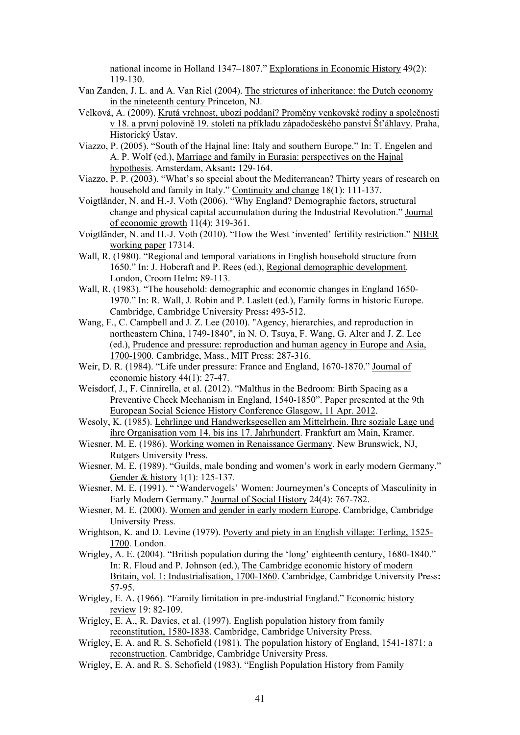national income in Holland 1347–1807." Explorations in Economic History 49(2): 119-130.

- Van Zanden, J. L. and A. Van Riel (2004). The strictures of inheritance: the Dutch economy in the nineteenth century Princeton, NJ.
- Velková, A. (2009). Krutá vrchnost, ubozí poddaní? Proměny venkovské rodiny a společnosti v 18. a první polovině 19. století na příkladu západočeského panství Št'áhlavy. Praha, Historický Ústav.
- Viazzo, P. (2005). "South of the Hajnal line: Italy and southern Europe." In: T. Engelen and A. P. Wolf (ed.), Marriage and family in Eurasia: perspectives on the Hajnal hypothesis. Amsterdam, Aksant**:** 129-164.
- Viazzo, P. P. (2003). "What's so special about the Mediterranean? Thirty years of research on household and family in Italy." Continuity and change 18(1): 111-137.
- Voigtländer, N. and H.-J. Voth (2006). "Why England? Demographic factors, structural change and physical capital accumulation during the Industrial Revolution." Journal of economic growth 11(4): 319-361.
- Voigtländer, N. and H.-J. Voth (2010). "How the West 'invented' fertility restriction." NBER working paper 17314.
- Wall, R. (1980). "Regional and temporal variations in English household structure from 1650." In: J. Hobcraft and P. Rees (ed.), Regional demographic development. London, Croom Helm**:** 89-113.
- Wall, R. (1983). "The household: demographic and economic changes in England 1650- 1970." In: R. Wall, J. Robin and P. Laslett (ed.), Family forms in historic Europe. Cambridge, Cambridge University Press**:** 493-512.
- Wang, F., C. Campbell and J. Z. Lee (2010). "Agency, hierarchies, and reproduction in northeastern China, 1749-1840", in N. O. Tsuya, F. Wang, G. Alter and J. Z. Lee (ed.), Prudence and pressure: reproduction and human agency in Europe and Asia, 1700-1900. Cambridge, Mass., MIT Press: 287-316.
- Weir, D. R. (1984). "Life under pressure: France and England, 1670-1870." Journal of economic history 44(1): 27-47.
- Weisdorf, J., F. Cinnirella, et al. (2012). "Malthus in the Bedroom: Birth Spacing as a Preventive Check Mechanism in England, 1540-1850". Paper presented at the 9th European Social Science History Conference Glasgow, 11 Apr. 2012.
- Wesoly, K. (1985). Lehrlinge und Handwerksgesellen am Mittelrhein. Ihre soziale Lage und ihre Organisation vom 14. bis ins 17. Jahrhundert. Frankfurt am Main, Kramer.
- Wiesner, M. E. (1986). Working women in Renaissance Germany. New Brunswick, NJ, Rutgers University Press.
- Wiesner, M. E. (1989). "Guilds, male bonding and women's work in early modern Germany." Gender & history 1(1): 125-137.
- Wiesner, M. E. (1991). " 'Wandervogels' Women: Journeymen's Concepts of Masculinity in Early Modern Germany." Journal of Social History 24(4): 767-782.
- Wiesner, M. E. (2000). Women and gender in early modern Europe. Cambridge, Cambridge University Press.
- Wrightson, K. and D. Levine (1979). Poverty and piety in an English village: Terling, 1525- 1700. London.
- Wrigley, A. E. (2004). "British population during the 'long' eighteenth century, 1680-1840." In: R. Floud and P. Johnson (ed.), The Cambridge economic history of modern Britain, vol. 1: Industrialisation, 1700-1860. Cambridge, Cambridge University Press**:**  57-95.
- Wrigley, E. A. (1966). "Family limitation in pre-industrial England." Economic history review 19: 82-109.
- Wrigley, E. A., R. Davies, et al. (1997). English population history from family reconstitution, 1580-1838. Cambridge, Cambridge University Press.
- Wrigley, E. A. and R. S. Schofield (1981). The population history of England, 1541-1871: a reconstruction. Cambridge, Cambridge University Press.
- Wrigley, E. A. and R. S. Schofield (1983). "English Population History from Family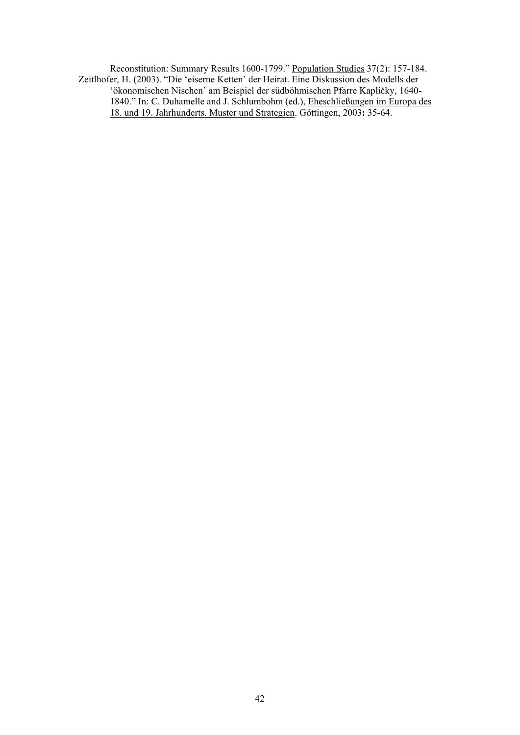Reconstitution: Summary Results 1600-1799." Population Studies 37(2): 157-184. Zeitlhofer, H. (2003). "Die 'eiserne Ketten' der Heirat. Eine Diskussion des Modells der 'ökonomischen Nischen' am Beispiel der südböhmischen Pfarre Kapličky, 1640- 1840." In: C. Duhamelle and J. Schlumbohm (ed.), Eheschließungen im Europa des 18. und 19. Jahrhunderts. Muster und Strategien. Göttingen, 2003**:** 35-64.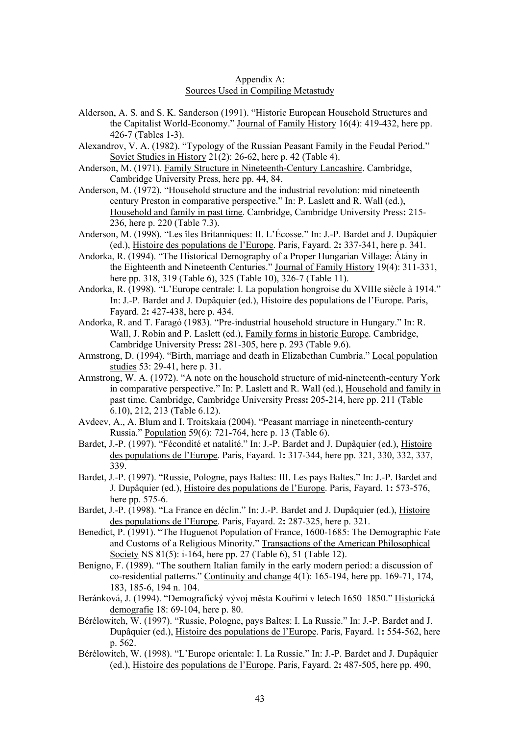#### Appendix A: Sources Used in Compiling Metastudy

- Alderson, A. S. and S. K. Sanderson (1991). "Historic European Household Structures and the Capitalist World-Economy." Journal of Family History 16(4): 419-432, here pp. 426-7 (Tables 1-3).
- Alexandrov, V. A. (1982). "Typology of the Russian Peasant Family in the Feudal Period." Soviet Studies in History 21(2): 26-62, here p. 42 (Table 4).
- Anderson, M. (1971). Family Structure in Nineteenth-Century Lancashire. Cambridge, Cambridge University Press, here pp. 44, 84.
- Anderson, M. (1972). "Household structure and the industrial revolution: mid nineteenth century Preston in comparative perspective." In: P. Laslett and R. Wall (ed.), Household and family in past time. Cambridge, Cambridge University Press**:** 215- 236, here p. 220 (Table 7.3).
- Anderson, M. (1998). "Les îles Britanniques: II. L'Écosse." In: J.-P. Bardet and J. Dupâquier (ed.), Histoire des populations de l'Europe. Paris, Fayard. 2**:** 337-341, here p. 341.
- Andorka, R. (1994). "The Historical Demography of a Proper Hungarian Village: Átány in the Eighteenth and Nineteenth Centuries." Journal of Family History 19(4): 311-331, here pp. 318, 319 (Table 6), 325 (Table 10), 326-7 (Table 11).
- Andorka, R. (1998). "L'Europe centrale: I. La population hongroise du XVIIIe siècle à 1914." In: J.-P. Bardet and J. Dupâquier (ed.), Histoire des populations de l'Europe. Paris, Fayard. 2**:** 427-438, here p. 434.
- Andorka, R. and T. Faragó (1983). "Pre-industrial household structure in Hungary." In: R. Wall, J. Robin and P. Laslett (ed.), Family forms in historic Europe. Cambridge, Cambridge University Press**:** 281-305, here p. 293 (Table 9.6).
- Armstrong, D. (1994). "Birth, marriage and death in Elizabethan Cumbria." Local population studies 53: 29-41, here p. 31.
- Armstrong, W. A. (1972). "A note on the household structure of mid-nineteenth-century York in comparative perspective." In: P. Laslett and R. Wall (ed.), Household and family in past time. Cambridge, Cambridge University Press**:** 205-214, here pp. 211 (Table 6.10), 212, 213 (Table 6.12).
- Avdeev, A., A. Blum and I. Troitskaia (2004). "Peasant marriage in nineteenth-century Russia." Population 59(6): 721-764, here p. 13 (Table 6).
- Bardet, J.-P. (1997). "Fécondité et natalité." In: J.-P. Bardet and J. Dupâquier (ed.), Histoire des populations de l'Europe. Paris, Fayard. 1**:** 317-344, here pp. 321, 330, 332, 337, 339.
- Bardet, J.-P. (1997). "Russie, Pologne, pays Baltes: III. Les pays Baltes." In: J.-P. Bardet and J. Dupâquier (ed.), Histoire des populations de l'Europe. Paris, Fayard. 1**:** 573-576, here pp. 575-6.
- Bardet, J.-P. (1998). "La France en déclin." In: J.-P. Bardet and J. Dupâquier (ed.), Histoire des populations de l'Europe. Paris, Fayard. 2**:** 287-325, here p. 321.
- Benedict, P. (1991). "The Huguenot Population of France, 1600-1685: The Demographic Fate and Customs of a Religious Minority." Transactions of the American Philosophical Society NS 81(5): i-164, here pp. 27 (Table 6), 51 (Table 12).
- Benigno, F. (1989). "The southern Italian family in the early modern period: a discussion of co-residential patterns." Continuity and change 4(1): 165-194, here pp. 169-71, 174, 183, 185-6, 194 n. 104.
- Beránková, J. (1994). "Demografický vývoj města Kouřimi v letech 1650–1850." Historická demografie 18: 69-104, here p. 80.
- Bérélowitch, W. (1997). "Russie, Pologne, pays Baltes: I. La Russie." In: J.-P. Bardet and J. Dupâquier (ed.), Histoire des populations de l'Europe. Paris, Fayard. 1**:** 554-562, here p. 562.
- Bérélowitch, W. (1998). "L'Europe orientale: I. La Russie." In: J.-P. Bardet and J. Dupâquier (ed.), Histoire des populations de l'Europe. Paris, Fayard. 2**:** 487-505, here pp. 490,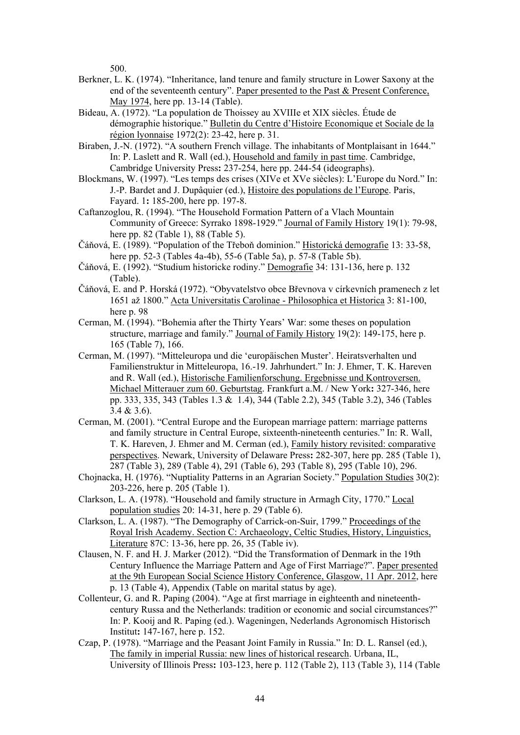500.

- Berkner, L. K. (1974). "Inheritance, land tenure and family structure in Lower Saxony at the end of the seventeenth century". Paper presented to the Past & Present Conference, May 1974, here pp. 13-14 (Table).
- Bideau, A. (1972). "La population de Thoissey au XVIIIe et XIX siècles. Étude de démographie historique." Bulletin du Centre d'Histoire Economique et Sociale de la région lyonnaise 1972(2): 23-42, here p. 31.
- Biraben, J.-N. (1972). "A southern French village. The inhabitants of Montplaisant in 1644." In: P. Laslett and R. Wall (ed.), Household and family in past time. Cambridge, Cambridge University Press**:** 237-254, here pp. 244-54 (ideographs).
- Blockmans, W. (1997). "Les temps des crises (XIVe et XVe siècles): L'Europe du Nord." In: J.-P. Bardet and J. Dupâquier (ed.), Histoire des populations de l'Europe. Paris, Fayard. 1**:** 185-200, here pp. 197-8.
- Caftanzoglou, R. (1994). "The Household Formation Pattern of a Vlach Mountain Community of Greece: Syrrako 1898-1929." Journal of Family History 19(1): 79-98, here pp. 82 (Table 1), 88 (Table 5).
- Čáňová, E. (1989). "Population of the Třeboň dominion." Historická demografie 13: 33-58, here pp. 52-3 (Tables 4a-4b), 55-6 (Table 5a), p. 57-8 (Table 5b).
- Čáňová, E. (1992). "Studium historicke rodiny." Demografie 34: 131-136, here p. 132 (Table).
- Čáňová, E. and P. Horská (1972). "Obyvatelstvo obce Břevnova v církevních pramenech z let 1651 až 1800." Acta Universitatis Carolinae - Philosophica et Historica 3: 81-100, here p. 98
- Cerman, M. (1994). "Bohemia after the Thirty Years' War: some theses on population structure, marriage and family." Journal of Family History 19(2): 149-175, here p. 165 (Table 7), 166.
- Cerman, M. (1997). "Mitteleuropa und die 'europäischen Muster'. Heiratsverhalten und Familienstruktur in Mitteleuropa, 16.-19. Jahrhundert." In: J. Ehmer, T. K. Hareven and R. Wall (ed.), Historische Familienforschung. Ergebnisse und Kontroversen. Michael Mitterauer zum 60. Geburtstag. Frankfurt a.M. / New York**:** 327-346, here pp. 333, 335, 343 (Tables 1.3 & 1.4), 344 (Table 2.2), 345 (Table 3.2), 346 (Tables 3.4 & 3.6).
- Cerman, M. (2001). "Central Europe and the European marriage pattern: marriage patterns and family structure in Central Europe, sixteenth-nineteenth centuries." In: R. Wall, T. K. Hareven, J. Ehmer and M. Cerman (ed.), Family history revisited: comparative perspectives. Newark, University of Delaware Press**:** 282-307, here pp. 285 (Table 1), 287 (Table 3), 289 (Table 4), 291 (Table 6), 293 (Table 8), 295 (Table 10), 296.
- Chojnacka, H. (1976). "Nuptiality Patterns in an Agrarian Society." Population Studies 30(2): 203-226, here p. 205 (Table 1).
- Clarkson, L. A. (1978). "Household and family structure in Armagh City, 1770." Local population studies 20: 14-31, here p. 29 (Table 6).
- Clarkson, L. A. (1987). "The Demography of Carrick-on-Suir, 1799." Proceedings of the Royal Irish Academy. Section C: Archaeology, Celtic Studies, History, Linguistics, Literature 87C: 13-36, here pp. 26, 35 (Table iv).
- Clausen, N. F. and H. J. Marker (2012). "Did the Transformation of Denmark in the 19th Century Influence the Marriage Pattern and Age of First Marriage?". Paper presented at the 9th European Social Science History Conference, Glasgow, 11 Apr. 2012, here p. 13 (Table 4), Appendix (Table on marital status by age).
- Collenteur, G. and R. Paping (2004). "Age at first marriage in eighteenth and nineteenthcentury Russa and the Netherlands: tradition or economic and social circumstances?" In: P. Kooij and R. Paping (ed.). Wageningen, Nederlands Agronomisch Historisch Institut**:** 147-167, here p. 152.
- Czap, P. (1978). "Marriage and the Peasant Joint Family in Russia." In: D. L. Ransel (ed.), The family in imperial Russia: new lines of historical research. Urbana, IL, University of Illinois Press**:** 103-123, here p. 112 (Table 2), 113 (Table 3), 114 (Table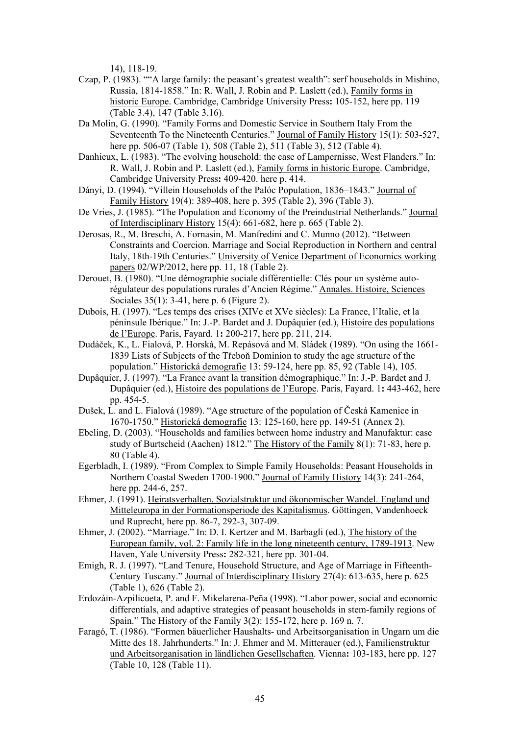14), 118-19.

- Czap, P. (1983). ""A large family: the peasant's greatest wealth": serf households in Mishino, Russia, 1814-1858." In: R. Wall, J. Robin and P. Laslett (ed.), Family forms in historic Europe. Cambridge, Cambridge University Press**:** 105-152, here pp. 119 (Table 3.4), 147 (Table 3.16).
- Da Molin, G. (1990). "Family Forms and Domestic Service in Southern Italy From the Seventeenth To the Nineteenth Centuries." Journal of Family History 15(1): 503-527, here pp. 506-07 (Table 1), 508 (Table 2), 511 (Table 3), 512 (Table 4).
- Danhieux, L. (1983). "The evolving household: the case of Lampernisse, West Flanders." In: R. Wall, J. Robin and P. Laslett (ed.), Family forms in historic Europe. Cambridge, Cambridge University Press**:** 409-420. here p. 414.
- Dányi, D. (1994). "Villein Households of the Palóc Population, 1836–1843." Journal of Family History 19(4): 389-408, here p. 395 (Table 2), 396 (Table 3).
- De Vries, J. (1985). "The Population and Economy of the Preindustrial Netherlands." Journal of Interdisciplinary History 15(4): 661-682, here p. 665 (Table 2).
- Derosas, R., M. Breschi, A. Fornasin, M. Manfredini and C. Munno (2012). "Between Constraints and Coercion. Marriage and Social Reproduction in Northern and central Italy, 18th-19th Centuries." University of Venice Department of Economics working papers 02/WP/2012, here pp. 11, 18 (Table 2).
- Derouet, B. (1980). "Une démographie sociale différentielle: Clés pour un système autorégulateur des populations rurales d'Ancien Régime." Annales. Histoire, Sciences Sociales 35(1): 3-41, here p. 6 (Figure 2).
- Dubois, H. (1997). "Les temps des crises (XIVe et XVe siècles): La France, l'Italie, et la péninsule Ibérique." In: J.-P. Bardet and J. Dupâquier (ed.), Histoire des populations de l'Europe. Paris, Fayard. 1**:** 200-217, here pp. 211, 214.
- Dudáček, K., L. Fialová, P. Horská, M. Repásová and M. Sládek (1989). "On using the 1661- 1839 Lists of Subjects of the Třeboň Dominion to study the age structure of the population." Historická demografie 13: 59-124, here pp. 85, 92 (Table 14), 105.
- Dupâquier, J. (1997). "La France avant la transition démographique." In: J.-P. Bardet and J. Dupâquier (ed.), Histoire des populations de l'Europe. Paris, Fayard. 1**:** 443-462, here pp. 454-5.
- Dušek, L. and L. Fialová (1989). "Age structure of the population of Česká Kamenice in 1670-1750." Historická demografie 13: 125-160, here pp. 149-51 (Annex 2).
- Ebeling, D. (2003). "Households and families between home industry and Manufaktur: case study of Burtscheid (Aachen) 1812." The History of the Family 8(1): 71-83, here p. 80 (Table 4).
- Egerbladh, I. (1989). "From Complex to Simple Family Households: Peasant Households in Northern Coastal Sweden 1700-1900." Journal of Family History 14(3): 241-264, here pp. 244-6, 257.
- Ehmer, J. (1991). Heiratsverhalten, Sozialstruktur und ökonomischer Wandel. England und Mitteleuropa in der Formationsperiode des Kapitalismus. Göttingen, Vandenhoeck und Ruprecht, here pp. 86-7, 292-3, 307-09.
- Ehmer, J. (2002). "Marriage." In: D. I. Kertzer and M. Barbagli (ed.), The history of the European family, vol. 2: Family life in the long nineteenth century, 1789-1913. New Haven, Yale University Press**:** 282-321, here pp. 301-04.
- Emigh, R. J. (1997). "Land Tenure, Household Structure, and Age of Marriage in Fifteenth-Century Tuscany." Journal of Interdisciplinary History 27(4): 613-635, here p. 625 (Table 1), 626 (Table 2).
- Erdozáin-Azpilicueta, P. and F. Mikelarena-Peña (1998). "Labor power, social and economic differentials, and adaptive strategies of peasant households in stem-family regions of Spain." The History of the Family 3(2): 155-172, here p. 169 n. 7.
- Faragó, T. (1986). "Formen bäuerlicher Haushalts- und Arbeitsorganisation in Ungarn um die Mitte des 18. Jahrhunderts." In: J. Ehmer and M. Mitterauer (ed.), Familienstruktur und Arbeitsorganisation in ländlichen Gesellschaften. Vienna**:** 103-183, here pp. 127 (Table 10, 128 (Table 11).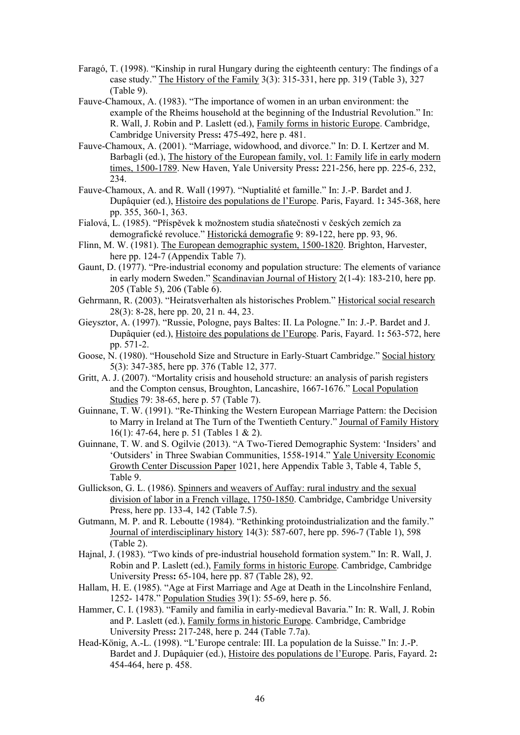- Faragó, T. (1998). "Kinship in rural Hungary during the eighteenth century: The findings of a case study." The History of the Family 3(3): 315-331, here pp. 319 (Table 3), 327 (Table 9).
- Fauve-Chamoux, A. (1983). "The importance of women in an urban environment: the example of the Rheims household at the beginning of the Industrial Revolution." In: R. Wall, J. Robin and P. Laslett (ed.), Family forms in historic Europe. Cambridge, Cambridge University Press**:** 475-492, here p. 481.
- Fauve-Chamoux, A. (2001). "Marriage, widowhood, and divorce." In: D. I. Kertzer and M. Barbagli (ed.), The history of the European family, vol. 1: Family life in early modern times, 1500-1789. New Haven, Yale University Press**:** 221-256, here pp. 225-6, 232, 234.
- Fauve-Chamoux, A. and R. Wall (1997). "Nuptialité et famille." In: J.-P. Bardet and J. Dupâquier (ed.), Histoire des populations de l'Europe. Paris, Fayard. 1**:** 345-368, here pp. 355, 360-1, 363.
- Fialová, L. (1985). "Příspěvek k možnostem studia sňatečnosti v českých zemích za demografické revoluce." Historická demografie 9: 89-122, here pp. 93, 96.
- Flinn, M. W. (1981). The European demographic system, 1500-1820. Brighton, Harvester, here pp. 124-7 (Appendix Table 7).
- Gaunt, D. (1977). "Pre-industrial economy and population structure: The elements of variance in early modern Sweden." Scandinavian Journal of History 2(1-4): 183-210, here pp. 205 (Table 5), 206 (Table 6).
- Gehrmann, R. (2003). "Heiratsverhalten als historisches Problem." Historical social research 28(3): 8-28, here pp. 20, 21 n. 44, 23.
- Gieysztor, A. (1997). "Russie, Pologne, pays Baltes: II. La Pologne." In: J.-P. Bardet and J. Dupâquier (ed.), Histoire des populations de l'Europe. Paris, Fayard. 1**:** 563-572, here pp. 571-2.
- Goose, N. (1980). "Household Size and Structure in Early-Stuart Cambridge." Social history 5(3): 347-385, here pp. 376 (Table 12, 377.
- Gritt, A. J. (2007). "Mortality crisis and household structure: an analysis of parish registers and the Compton census, Broughton, Lancashire, 1667-1676." Local Population Studies 79: 38-65, here p. 57 (Table 7).
- Guinnane, T. W. (1991). "Re-Thinking the Western European Marriage Pattern: the Decision to Marry in Ireland at The Turn of the Twentieth Century." Journal of Family History 16(1): 47-64, here p. 51 (Tables 1 & 2).
- Guinnane, T. W. and S. Ogilvie (2013). "A Two-Tiered Demographic System: 'Insiders' and 'Outsiders' in Three Swabian Communities, 1558-1914." Yale University Economic Growth Center Discussion Paper 1021, here Appendix Table 3, Table 4, Table 5, Table 9.
- Gullickson, G. L. (1986). Spinners and weavers of Auffay: rural industry and the sexual division of labor in a French village, 1750-1850. Cambridge, Cambridge University Press, here pp. 133-4, 142 (Table 7.5).
- Gutmann, M. P. and R. Leboutte (1984). "Rethinking protoindustrialization and the family." Journal of interdisciplinary history 14(3): 587-607, here pp. 596-7 (Table 1), 598 (Table 2).
- Hajnal, J. (1983). "Two kinds of pre-industrial household formation system." In: R. Wall, J. Robin and P. Laslett (ed.), Family forms in historic Europe. Cambridge, Cambridge University Press**:** 65-104, here pp. 87 (Table 28), 92.
- Hallam, H. E. (1985). "Age at First Marriage and Age at Death in the Lincolnshire Fenland, 1252- 1478." Population Studies 39(1): 55-69, here p. 56.
- Hammer, C. I. (1983). "Family and familia in early-medieval Bavaria." In: R. Wall, J. Robin and P. Laslett (ed.), Family forms in historic Europe. Cambridge, Cambridge University Press**:** 217-248, here p. 244 (Table 7.7a).
- Head-König, A.-L. (1998). "L'Europe centrale: III. La population de la Suisse." In: J.-P. Bardet and J. Dupâquier (ed.), Histoire des populations de l'Europe. Paris, Fayard. 2**:**  454-464, here p. 458.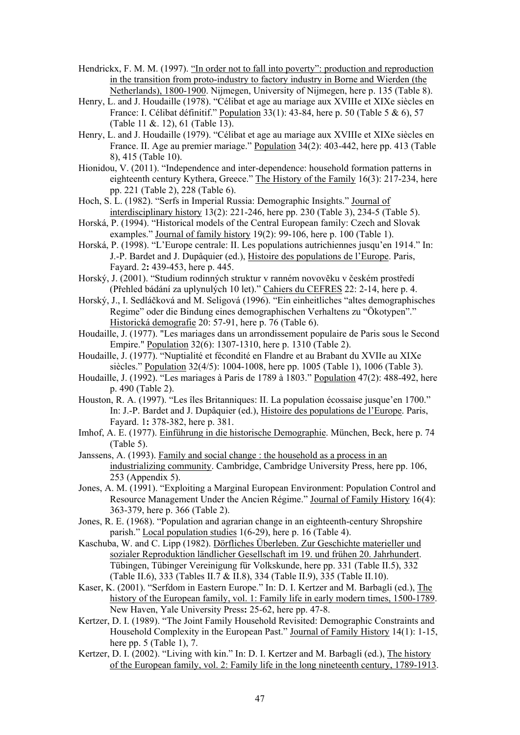- Hendrickx, F. M. M. (1997). "In order not to fall into poverty": production and reproduction in the transition from proto-industry to factory industry in Borne and Wierden (the Netherlands), 1800-1900. Nijmegen, University of Nijmegen, here p. 135 (Table 8).
- Henry, L. and J. Houdaille (1978). "Célibat et age au mariage aux XVIIIe et XIXe siècles en France: I. Célibat définitif." Population 33(1): 43-84, here p. 50 (Table 5 & 6), 57 (Table 11 &. 12), 61 (Table 13).
- Henry, L. and J. Houdaille (1979). "Célibat et age au mariage aux XVIIIe et XIXe siècles en France. II. Age au premier mariage." Population 34(2): 403-442, here pp. 413 (Table 8), 415 (Table 10).
- Hionidou, V. (2011). "Independence and inter-dependence: household formation patterns in eighteenth century Kythera, Greece." The History of the Family 16(3): 217-234, here pp. 221 (Table 2), 228 (Table 6).
- Hoch, S. L. (1982). "Serfs in Imperial Russia: Demographic Insights." Journal of interdisciplinary history 13(2): 221-246, here pp. 230 (Table 3), 234-5 (Table 5).
- Horská, P. (1994). "Historical models of the Central European family: Czech and Slovak examples." Journal of family history 19(2): 99-106, here p. 100 (Table 1).
- Horská, P. (1998). "L'Europe centrale: II. Les populations autrichiennes jusqu'en 1914." In: J.-P. Bardet and J. Dupâquier (ed.), Histoire des populations de l'Europe. Paris, Fayard. 2**:** 439-453, here p. 445.
- Horský, J. (2001). "Studium rodinných struktur v ranném novověku v českém prostředí (Přehled bádání za uplynulých 10 let)." Cahiers du CEFRES 22: 2-14, here p. 4.
- Horský, J., I. Sedláčková and M. Seligová (1996). "Ein einheitliches "altes demographisches Regime" oder die Bindung eines demographischen Verhaltens zu "Ökotypen"." Historická demografie 20: 57-91, here p. 76 (Table 6).
- Houdaille, J. (1977). "Les mariages dans un arrondissement populaire de Paris sous le Second Empire." Population 32(6): 1307-1310, here p. 1310 (Table 2).
- Houdaille, J. (1977). "Nuptialité et fécondité en Flandre et au Brabant du XVIIe au XIXe siècles." Population 32(4/5): 1004-1008, here pp. 1005 (Table 1), 1006 (Table 3).
- Houdaille, J. (1992). "Les mariages à Paris de 1789 à 1803." Population 47(2): 488-492, here p. 490 (Table 2).
- Houston, R. A. (1997). "Les îles Britanniques: II. La population écossaise jusque'en 1700." In: J.-P. Bardet and J. Dupâquier (ed.), Histoire des populations de l'Europe. Paris, Fayard. 1**:** 378-382, here p. 381.
- Imhof, A. E. (1977). Einführung in die historische Demographie. München, Beck, here p. 74 (Table 5).
- Janssens, A. (1993). Family and social change : the household as a process in an industrializing community. Cambridge, Cambridge University Press, here pp. 106, 253 (Appendix 5).
- Jones, A. M. (1991). "Exploiting a Marginal European Environment: Population Control and Resource Management Under the Ancien Régime." Journal of Family History 16(4): 363-379, here p. 366 (Table 2).
- Jones, R. E. (1968). "Population and agrarian change in an eighteenth-century Shropshire parish." Local population studies 1(6-29), here p. 16 (Table 4).
- Kaschuba, W. and C. Lipp (1982). Dörfliches Überleben. Zur Geschichte materieller und sozialer Reproduktion ländlicher Gesellschaft im 19. und frühen 20. Jahrhundert. Tübingen, Tübinger Vereinigung für Volkskunde, here pp. 331 (Table II.5), 332 (Table II.6), 333 (Tables II.7 & II.8), 334 (Table II.9), 335 (Table II.10).
- Kaser, K. (2001). "Serfdom in Eastern Europe." In: D. I. Kertzer and M. Barbagli (ed.), The history of the European family, vol. 1: Family life in early modern times, 1500-1789. New Haven, Yale University Press**:** 25-62, here pp. 47-8.
- Kertzer, D. I. (1989). "The Joint Family Household Revisited: Demographic Constraints and Household Complexity in the European Past." Journal of Family History 14(1): 1-15, here pp. 5 (Table 1), 7.
- Kertzer, D. I. (2002). "Living with kin." In: D. I. Kertzer and M. Barbagli (ed.), The history of the European family, vol. 2: Family life in the long nineteenth century, 1789-1913.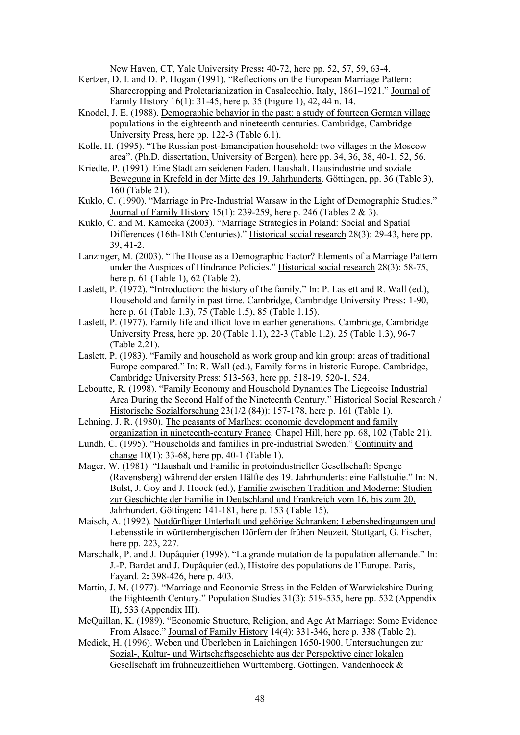New Haven, CT, Yale University Press**:** 40-72, here pp. 52, 57, 59, 63-4.

- Kertzer, D. I. and D. P. Hogan (1991). "Reflections on the European Marriage Pattern: Sharecropping and Proletarianization in Casalecchio, Italy, 1861–1921." Journal of Family History 16(1): 31-45, here p. 35 (Figure 1), 42, 44 n. 14.
- Knodel, J. E. (1988). Demographic behavior in the past: a study of fourteen German village populations in the eighteenth and nineteenth centuries. Cambridge, Cambridge University Press, here pp. 122-3 (Table 6.1).
- Kolle, H. (1995). "The Russian post-Emancipation household: two villages in the Moscow area". (Ph.D. dissertation, University of Bergen), here pp. 34, 36, 38, 40-1, 52, 56.
- Kriedte, P. (1991). Eine Stadt am seidenen Faden. Haushalt, Hausindustrie und soziale Bewegung in Krefeld in der Mitte des 19. Jahrhunderts. Göttingen, pp. 36 (Table 3), 160 (Table 21).
- Kuklo, C. (1990). "Marriage in Pre-Industrial Warsaw in the Light of Demographic Studies." Journal of Family History 15(1): 239-259, here p. 246 (Tables 2 & 3).
- Kuklo, C. and M. Kamecka (2003). "Marriage Strategies in Poland: Social and Spatial Differences (16th-18th Centuries)." Historical social research 28(3): 29-43, here pp. 39, 41-2.
- Lanzinger, M. (2003). "The House as a Demographic Factor? Elements of a Marriage Pattern under the Auspices of Hindrance Policies." Historical social research 28(3): 58-75, here p. 61 (Table 1), 62 (Table 2).
- Laslett, P. (1972). "Introduction: the history of the family." In: P. Laslett and R. Wall (ed.), Household and family in past time. Cambridge, Cambridge University Press**:** 1-90, here p. 61 (Table 1.3), 75 (Table 1.5), 85 (Table 1.15).
- Laslett, P. (1977). Family life and illicit love in earlier generations. Cambridge, Cambridge University Press, here pp. 20 (Table 1.1), 22-3 (Table 1.2), 25 (Table 1.3), 96-7 (Table 2.21).
- Laslett, P. (1983). "Family and household as work group and kin group: areas of traditional Europe compared." In: R. Wall (ed.), Family forms in historic Europe. Cambridge, Cambridge University Press: 513-563, here pp. 518-19, 520-1, 524.
- Leboutte, R. (1998). "Family Economy and Household Dynamics The Liegeoise Industrial Area During the Second Half of the Nineteenth Century." Historical Social Research / Historische Sozialforschung 23(1/2 (84)): 157-178, here p. 161 (Table 1).
- Lehning, J. R. (1980). The peasants of Marlhes: economic development and family organization in nineteenth-century France. Chapel Hill, here pp. 68, 102 (Table 21).
- Lundh, C. (1995). "Households and families in pre-industrial Sweden." Continuity and change 10(1): 33-68, here pp. 40-1 (Table 1).
- Mager, W. (1981). "Haushalt und Familie in protoindustrieller Gesellschaft: Spenge (Ravensberg) während der ersten Hälfte des 19. Jahrhunderts: eine Fallstudie." In: N. Bulst, J. Goy and J. Hoock (ed.), Familie zwischen Tradition und Moderne: Studien zur Geschichte der Familie in Deutschland und Frankreich vom 16. bis zum 20. Jahrhundert. Göttingen**:** 141-181, here p. 153 (Table 15).
- Maisch, A. (1992). Notdürftiger Unterhalt und gehörige Schranken: Lebensbedingungen und Lebensstile in württembergischen Dörfern der frühen Neuzeit. Stuttgart, G. Fischer, here pp. 223, 227.
- Marschalk, P. and J. Dupâquier (1998). "La grande mutation de la population allemande." In: J.-P. Bardet and J. Dupâquier (ed.), Histoire des populations de l'Europe. Paris, Fayard. 2**:** 398-426, here p. 403.
- Martin, J. M. (1977). "Marriage and Economic Stress in the Felden of Warwickshire During the Eighteenth Century." Population Studies 31(3): 519-535, here pp. 532 (Appendix II), 533 (Appendix III).
- McQuillan, K. (1989). "Economic Structure, Religion, and Age At Marriage: Some Evidence From Alsace." Journal of Family History 14(4): 331-346, here p. 338 (Table 2).
- Medick, H. (1996). Weben und Überleben in Laichingen 1650-1900. Untersuchungen zur Sozial-, Kultur- und Wirtschaftsgeschichte aus der Perspektive einer lokalen Gesellschaft im frühneuzeitlichen Württemberg. Göttingen, Vandenhoeck &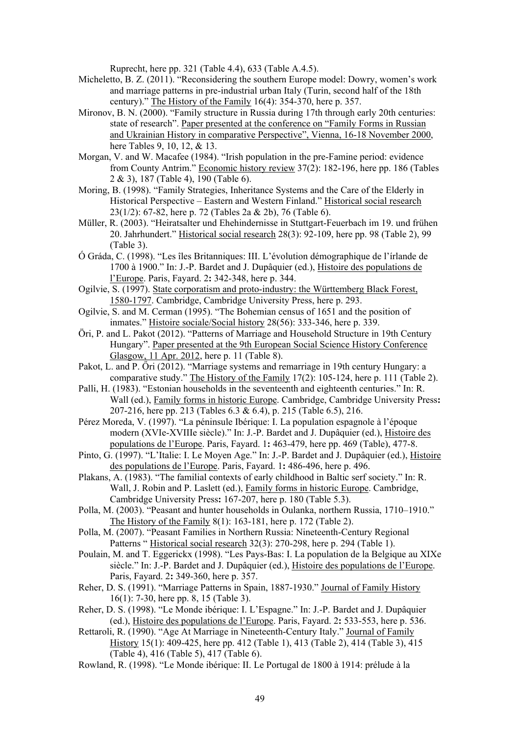Ruprecht, here pp. 321 (Table 4.4), 633 (Table A.4.5).

- Micheletto, B. Z. (2011). "Reconsidering the southern Europe model: Dowry, women's work and marriage patterns in pre-industrial urban Italy (Turin, second half of the 18th century)." The History of the Family 16(4): 354-370, here p. 357.
- Mironov, B. N. (2000). "Family structure in Russia during 17th through early 20th centuries: state of research". Paper presented at the conference on "Family Forms in Russian and Ukrainian History in comparative Perspective", Vienna, 16-18 November 2000, here Tables 9, 10, 12, & 13.
- Morgan, V. and W. Macafee (1984). "Irish population in the pre-Famine period: evidence from County Antrim." Economic history review 37(2): 182-196, here pp. 186 (Tables 2 & 3), 187 (Table 4), 190 (Table 6).
- Moring, B. (1998). "Family Strategies, Inheritance Systems and the Care of the Elderly in Historical Perspective – Eastern and Western Finland." Historical social research 23(1/2): 67-82, here p. 72 (Tables 2a & 2b), 76 (Table 6).
- Müller, R. (2003). "Heiratsalter und Ehehindernisse in Stuttgart-Feuerbach im 19. und frühen 20. Jahrhundert." Historical social research 28(3): 92-109, here pp. 98 (Table 2), 99 (Table 3).
- Ó Gráda, C. (1998). "Les îles Britanniques: III. L'évolution démographique de l'írlande de 1700 à 1900." In: J.-P. Bardet and J. Dupâquier (ed.), Histoire des populations de l'Europe. Paris, Fayard. 2**:** 342-348, here p. 344.
- Ogilvie, S. (1997). State corporatism and proto-industry: the Württemberg Black Forest, 1580-1797. Cambridge, Cambridge University Press, here p. 293.
- Ogilvie, S. and M. Cerman (1995). "The Bohemian census of 1651 and the position of inmates." Histoire sociale/Social history 28(56): 333-346, here p. 339.
- Öri, P. and L. Pakot (2012). "Patterns of Marriage and Household Structure in 19th Century Hungary". Paper presented at the 9th European Social Science History Conference Glasgow, 11 Apr. 2012, here p. 11 (Table 8).
- Pakot, L. and P. Őri (2012). "Marriage systems and remarriage in 19th century Hungary: a comparative study." The History of the Family 17(2): 105-124, here p. 111 (Table 2).
- Palli, H. (1983). "Estonian households in the seventeenth and eighteenth centuries." In: R. Wall (ed.), Family forms in historic Europe. Cambridge, Cambridge University Press**:**  207-216, here pp. 213 (Tables 6.3 & 6.4), p. 215 (Table 6.5), 216.
- Pérez Moreda, V. (1997). "La péninsule Ibérique: I. La population espagnole à l'époque modern (XVIe-XVIIIe siècle)." In: J.-P. Bardet and J. Dupâquier (ed.), Histoire des populations de l'Europe. Paris, Fayard. 1**:** 463-479, here pp. 469 (Table), 477-8.
- Pinto, G. (1997). "L'Italie: I. Le Moyen Age." In: J.-P. Bardet and J. Dupâquier (ed.), Histoire des populations de l'Europe. Paris, Fayard. 1**:** 486-496, here p. 496.
- Plakans, A. (1983). "The familial contexts of early childhood in Baltic serf society." In: R. Wall, J. Robin and P. Laslett (ed.), Family forms in historic Europe. Cambridge, Cambridge University Press**:** 167-207, here p. 180 (Table 5.3).
- Polla, M. (2003). "Peasant and hunter households in Oulanka, northern Russia, 1710–1910." The History of the Family 8(1): 163-181, here p. 172 (Table 2).
- Polla, M. (2007). "Peasant Families in Northern Russia: Nineteenth-Century Regional Patterns " Historical social research 32(3): 270-298, here p. 294 (Table 1).
- Poulain, M. and T. Eggerickx (1998). "Les Pays-Bas: I. La population de la Belgique au XIXe siècle." In: J.-P. Bardet and J. Dupâquier (ed.), Histoire des populations de l'Europe. Paris, Fayard. 2**:** 349-360, here p. 357.
- Reher, D. S. (1991). "Marriage Patterns in Spain, 1887-1930." Journal of Family History 16(1): 7-30, here pp. 8, 15 (Table 3).
- Reher, D. S. (1998). "Le Monde ibérique: I. L'Espagne." In: J.-P. Bardet and J. Dupâquier (ed.), Histoire des populations de l'Europe. Paris, Fayard. 2**:** 533-553, here p. 536.
- Rettaroli, R. (1990). "Age At Marriage in Nineteenth-Century Italy." Journal of Family History 15(1): 409-425, here pp. 412 (Table 1), 413 (Table 2), 414 (Table 3), 415 (Table 4), 416 (Table 5), 417 (Table 6).
- Rowland, R. (1998). "Le Monde ibérique: II. Le Portugal de 1800 à 1914: prélude à la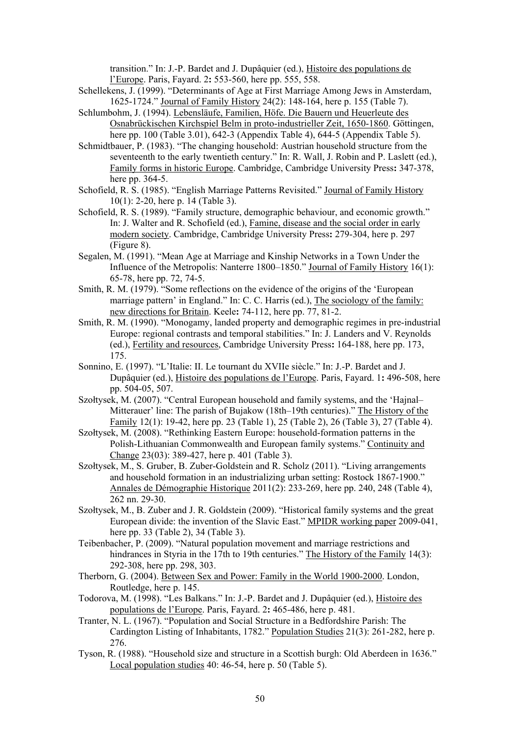transition." In: J.-P. Bardet and J. Dupâquier (ed.), Histoire des populations de l'Europe. Paris, Fayard. 2**:** 553-560, here pp. 555, 558.

- Schellekens, J. (1999). "Determinants of Age at First Marriage Among Jews in Amsterdam, 1625-1724." Journal of Family History 24(2): 148-164, here p. 155 (Table 7).
- Schlumbohm, J. (1994). Lebensläufe, Familien, Höfe. Die Bauern und Heuerleute des Osnabrückischen Kirchspiel Belm in proto-industrieller Zeit, 1650-1860. Göttingen, here pp. 100 (Table 3.01), 642-3 (Appendix Table 4), 644-5 (Appendix Table 5).
- Schmidtbauer, P. (1983). "The changing household: Austrian household structure from the seventeenth to the early twentieth century." In: R. Wall, J. Robin and P. Laslett (ed.), Family forms in historic Europe. Cambridge, Cambridge University Press**:** 347-378, here pp. 364-5.
- Schofield, R. S. (1985). "English Marriage Patterns Revisited." Journal of Family History 10(1): 2-20, here p. 14 (Table 3).
- Schofield, R. S. (1989). "Family structure, demographic behaviour, and economic growth." In: J. Walter and R. Schofield (ed.), Famine, disease and the social order in early modern society. Cambridge, Cambridge University Press**:** 279-304, here p. 297 (Figure 8).
- Segalen, M. (1991). "Mean Age at Marriage and Kinship Networks in a Town Under the Influence of the Metropolis: Nanterre 1800–1850." Journal of Family History 16(1): 65-78, here pp. 72, 74-5.
- Smith, R. M. (1979). "Some reflections on the evidence of the origins of the 'European marriage pattern' in England." In: C. C. Harris (ed.), The sociology of the family: new directions for Britain. Keele**:** 74-112, here pp. 77, 81-2.
- Smith, R. M. (1990). "Monogamy, landed property and demographic regimes in pre-industrial Europe: regional contrasts and temporal stabilities." In: J. Landers and V. Reynolds (ed.), Fertility and resources, Cambridge University Press**:** 164-188, here pp. 173, 175.
- Sonnino, E. (1997). "L'Italie: II. Le tournant du XVIIe siècle." In: J.-P. Bardet and J. Dupâquier (ed.), Histoire des populations de l'Europe. Paris, Fayard. 1**:** 496-508, here pp. 504-05, 507.
- Szołtysek, M. (2007). "Central European household and family systems, and the 'Hajnal– Mitterauer' line: The parish of Bujakow (18th–19th centuries)." The History of the Family 12(1): 19-42, here pp. 23 (Table 1), 25 (Table 2), 26 (Table 3), 27 (Table 4).
- Szołtysek, M. (2008). "Rethinking Eastern Europe: household-formation patterns in the Polish-Lithuanian Commonwealth and European family systems." Continuity and Change 23(03): 389-427, here p. 401 (Table 3).
- Szołtysek, M., S. Gruber, B. Zuber-Goldstein and R. Scholz (2011). "Living arrangements and household formation in an industrializing urban setting: Rostock 1867-1900." Annales de Démographie Historique 2011(2): 233-269, here pp. 240, 248 (Table 4), 262 nn. 29-30.
- Szołtysek, M., B. Zuber and J. R. Goldstein (2009). "Historical family systems and the great European divide: the invention of the Slavic East." MPIDR working paper 2009-041, here pp. 33 (Table 2), 34 (Table 3).
- Teibenbacher, P. (2009). "Natural population movement and marriage restrictions and hindrances in Styria in the 17th to 19th centuries." The History of the Family 14(3): 292-308, here pp. 298, 303.
- Therborn, G. (2004). Between Sex and Power: Family in the World 1900-2000. London, Routledge, here p. 145.
- Todorova, M. (1998). "Les Balkans." In: J.-P. Bardet and J. Dupâquier (ed.), Histoire des populations de l'Europe. Paris, Fayard. 2**:** 465-486, here p. 481.
- Tranter, N. L. (1967). "Population and Social Structure in a Bedfordshire Parish: The Cardington Listing of Inhabitants, 1782." Population Studies 21(3): 261-282, here p. 276.
- Tyson, R. (1988). "Household size and structure in a Scottish burgh: Old Aberdeen in 1636." Local population studies 40: 46-54, here p. 50 (Table 5).